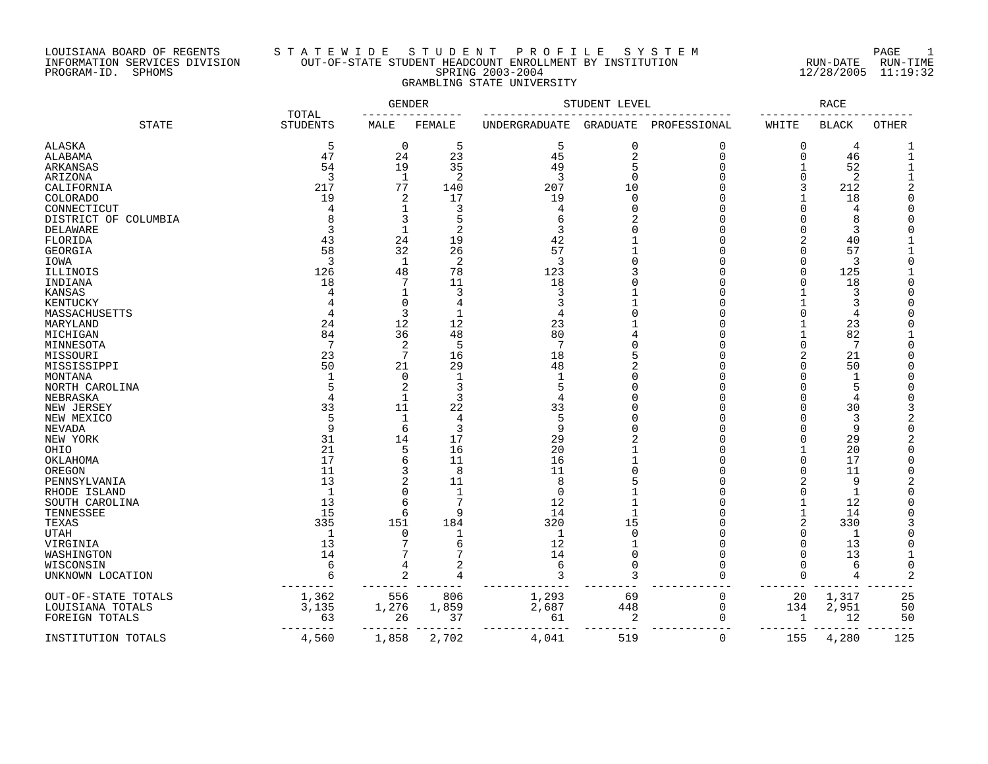### LOUISIANA BOARD OF REGENTS S T A T E W I D E S T U D E N T P R O F I L E S Y S T E M PAGE 1 INFORMATION SERVICES DIVISION OUT-OF-STATE STUDENT HEADCOUNT ENROLLMENT BY INSTITUTION RUN-DATE RUN-TIME PROGRAM-ID. SPHOMS SPRING 2003-2004 12/28/2005 11:19:32 GRAMBLING STATE UNIVERSITY

|                      | TOTAL           | GENDER         |                | STUDENT LEVEL | RACE           |              |                |                |       |
|----------------------|-----------------|----------------|----------------|---------------|----------------|--------------|----------------|----------------|-------|
| <b>STATE</b>         | <b>STUDENTS</b> | MALE           | FEMALE         | UNDERGRADUATE | GRADUATE       | PROFESSIONAL | WHITE          | <b>BLACK</b>   | OTHER |
| ALASKA               | 5               | 0              | 5              | 5             | 0              | 0            | 0              | 4              |       |
| ALABAMA              | 47              | 24             | 23             | 45            | $\overline{2}$ | $\Omega$     | $\Omega$       | 46             |       |
| ARKANSAS             | 54              | 19             | 35             | 49            | 5              | $\Omega$     |                | 52             |       |
| ARIZONA              | 3               | 1              | $\overline{2}$ | 3             | $\mathbf 0$    | $\Omega$     | $\Omega$       | 2              |       |
| CALIFORNIA           | 217             | 77             | 140            | 207           | 10             | $\cap$       | 3              | 212            |       |
| COLORADO             | 19              | 2              | 17             | 19            | $\Omega$       | $\cap$       |                | 18             |       |
| CONNECTICUT          | 4               | 1              | 3              | 4             | $\Omega$       |              |                | 4              |       |
| DISTRICT OF COLUMBIA |                 | 3              | 5              |               |                | U            |                | 8              |       |
| DELAWARE             | 3               | $\mathbf 1$    | $\overline{2}$ | 3             |                |              | $\cap$         | 3              |       |
| FLORIDA              | 43              | 24             | 19             | 42            |                |              |                | 40             |       |
| GEORGIA              | 58              | 32             | 26             | 57            |                |              |                | 57             |       |
| IOWA                 | 3               | 1              | 2              | 3             |                |              | $\Omega$       | 3              |       |
|                      | 126             | 48             | 78             | 123           |                |              | $\Omega$       | 125            |       |
| ILLINOIS             |                 | 7              |                | 18            |                |              | $\Omega$       |                |       |
| INDIANA              | 18              |                | 11             |               |                |              |                | 18<br>₹        |       |
| <b>KANSAS</b>        |                 | 1              | 3              | 3             |                |              |                |                |       |
| KENTUCKY             |                 | $\Omega$       | 4              |               |                |              |                | 3              |       |
| MASSACHUSETTS        | 4               | 3              | $\mathbf 1$    |               |                |              | $\cap$         | 4              |       |
| MARYLAND             | 24              | 12             | 12             | 23            |                |              |                | 23             |       |
| MICHIGAN             | 84              | 36             | 48             | 80            |                |              |                | 82             |       |
| MINNESOTA            | 7               | 2              | 5              |               |                |              | $\Omega$       | 7              |       |
| MISSOURI             | 23              | 7              | 16             | 18            |                |              | 2              | 21             |       |
| MISSISSIPPI          | 50              | 21             | 29             | 48            |                |              |                | 50             |       |
| MONTANA              | $\mathbf{1}$    | 0              | $\mathbf{1}$   |               | $\Omega$       |              |                | $\mathbf{1}$   |       |
| NORTH CAROLINA       |                 | 2              | 3              | 5             | $\cap$         | U            |                | 5              |       |
| NEBRASKA             | $\overline{4}$  | $\mathbf{1}$   | 3              |               |                |              |                | 4              |       |
| NEW JERSEY           | 33              | 11             | 22             | 33            | $\Omega$       | $\cap$       | $\Omega$       | 30             |       |
| NEW MEXICO           | 5               | 1              | 4              |               |                |              | ∩              | 3              |       |
| NEVADA               | 9               | 6              | 3              | q             |                | U            | ∩              | 9              |       |
| NEW YORK             | 31              | 14             | 17             | 29            |                | U            | $\Omega$       | 29             |       |
| OHIO                 | 21              | 5              | 16             | 20            |                | U            |                | 20             |       |
| OKLAHOMA             | 17              | 6              | 11             | 16            |                |              | <sup>0</sup>   | 17             |       |
| OREGON               | 11              | 3              | 8              | 11            | $\Omega$       |              | $\Omega$       | 11             |       |
| PENNSYLVANIA         | 13              | $\overline{2}$ | 11             | 8             |                |              |                | 9              |       |
| RHODE ISLAND         | $\overline{1}$  | $\Omega$       | $\mathbf{1}$   | $\Omega$      |                |              | $\Omega$       | $\mathbf{1}$   |       |
| SOUTH CAROLINA       | 13              | 6              | 7              | 12            |                |              |                | 12             |       |
| TENNESSEE            | 15              | 6              | 9              | 14            |                |              |                | 14             |       |
| TEXAS                | 335             | 151            | 184            | 320           | 15             |              | $\overline{2}$ | 330            |       |
| UTAH                 | $\mathbf{1}$    | $\Omega$       |                | $\mathbf{1}$  | $\Omega$       |              |                | $\mathbf{1}$   |       |
| VIRGINIA             | 13              | 7              | 6              | 12            |                | U            |                | 13             |       |
| WASHINGTON           | 14              |                |                | 14            | $\Omega$       |              |                | 13             |       |
| WISCONSIN            | 6               | 4              |                | 6             | 0              |              |                | 6              |       |
| UNKNOWN LOCATION     | 6               | 2              | 4              | 3             | 3              | $\cap$       | $\cap$         | $\overline{4}$ |       |
| OUT-OF-STATE TOTALS  | 1,362           | 556            | 806            | 1,293         | 69             | $\mathbf 0$  | 20             | 1,317          | 25    |
| LOUISIANA TOTALS     | 3,135           | 1,276          | 1,859          | 2,687         | 448            | $\mathbf 0$  | 134            | 2,951          | 50    |
| FOREIGN TOTALS       | 63              | 26             | 37             | 61            | 2              | $\Omega$     | -1             | 12             | 50    |
|                      |                 |                |                |               |                |              |                |                |       |
| INSTITUTION TOTALS   | 4,560           | 1,858          | 2,702          | 4,041         | 519            | $\mathbf 0$  | 155            | 4,280          | 125   |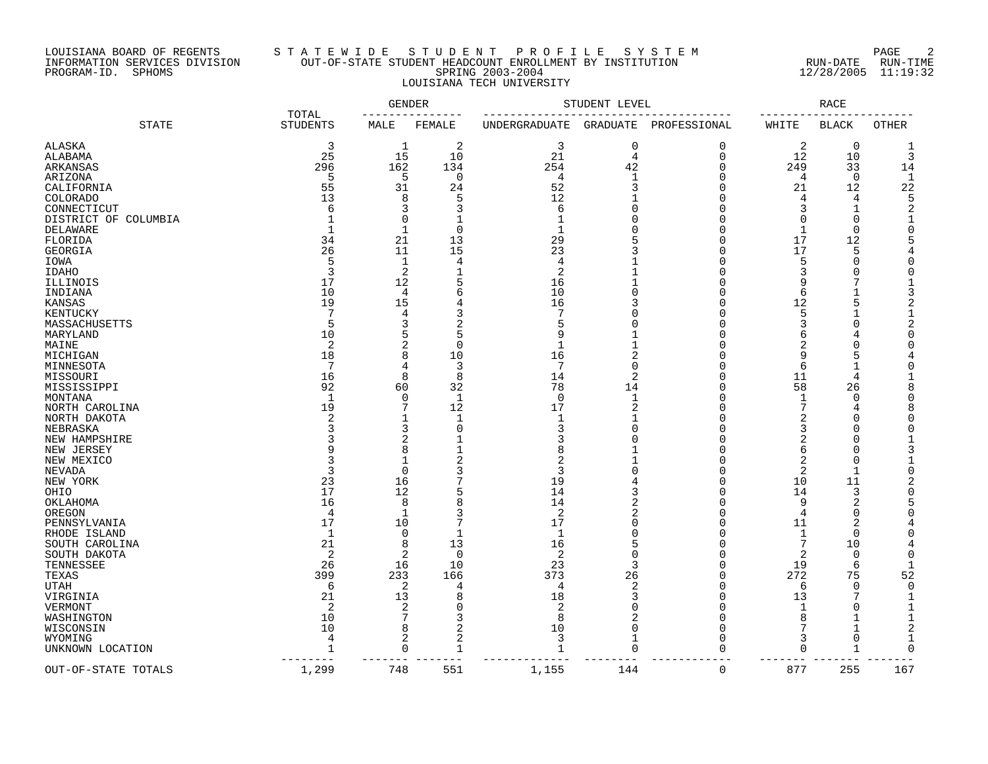### LOUISIANA BOARD OF REGENTS S T A T E W I D E S T U D E N T P R O F I L E S Y S T E M PAGE 2 INFORMATION SERVICES DIVISION OUT-OF-STATE STUDENT HEADCOUNT ENROLLMENT BY INSTITUTION RUN-DATE RUN-TIME PROGRAM-ID. SPHOMS SPRING 2003-2004 12/28/2005 11:19:32 LOUISIANA TECH UNIVERSITY

|                      |                          | <b>GENDER</b> |                | STUDENT LEVEL | RACE           |              |              |                |       |
|----------------------|--------------------------|---------------|----------------|---------------|----------------|--------------|--------------|----------------|-------|
| <b>STATE</b>         | TOTAL<br><b>STUDENTS</b> | MALE          | FEMALE         | UNDERGRADUATE | GRADUATE       | PROFESSIONAL | WHITE        | <b>BLACK</b>   | OTHER |
| ALASKA               | 3                        | 1             | 2              | 3             | 0              | $\Omega$     | 2            | $\overline{0}$ |       |
| ALABAMA              | 25                       | 15            | 10             | 21            | $\overline{4}$ | $\mathbf 0$  | 12           | 10             | 3     |
| ARKANSAS             | 296                      | 162           | 134            | 254           | 42             | $\Omega$     | 249          | 33             | 14    |
| ARIZONA              | 5                        | 5             | 0              | 4             | 1              | O            | 4            | 0              |       |
| CALIFORNIA           | 55                       | 31            | 24             | 52            | 3              | n            | 21           | 12             | 22    |
| COLORADO             | 13                       | 8             | 5              | 12            |                | O            | 4            | 4              |       |
| CONNECTICUT          | 6                        | 3             | 3              | 6             | $\Omega$       | Ω            | 3            | 1              |       |
| DISTRICT OF COLUMBIA |                          | $\Omega$      |                |               | O              | Ω            | $\Omega$     | $\Omega$       |       |
| DELAWARE             |                          | 1             | $\mathbf 0$    |               | O              | n            | $\mathbf 1$  | $\mathbf 0$    |       |
| FLORIDA              | 34                       | 21            | 13             | 29            | 5              | Ω            | 17           | 12             |       |
| <b>GEORGIA</b>       | 26                       | 11            | 15             | 23            |                | Ω            | 17           | 5              |       |
| IOWA                 | 5                        | 1             | $\overline{4}$ | 4             |                | Λ            | 5            | $\mathbf 0$    |       |
| <b>IDAHO</b>         | 3                        | 2             |                | 2             |                |              | 3            | $\bigcap$      |       |
| ILLINOIS             | 17                       | 12            |                | 16            |                |              | 9            |                |       |
| INDIANA              | 10                       | 4             | 6              | 10            |                | ſ            | 6            |                |       |
| KANSAS               | 19                       | 15            |                | 16            |                | Ω            | 12           | 5              |       |
| KENTUCKY             | 7                        | 4             | 3              | 7             | U              |              | 5            |                |       |
| MASSACHUSETTS        | 5                        | 3             |                |               |                |              |              | $\bigcap$      |       |
| MARYLAND             | 10                       | 5             | 5              |               |                |              |              |                |       |
| MAINE                | 2                        | 2             | $\bigcap$      |               |                |              | 2            |                |       |
| MICHIGAN             | 18                       | 8             | 10             | 16            | 2              | Ω            | 9            |                |       |
| MINNESOTA            | 7                        | 4             | 3              |               | O              |              | 6            |                |       |
| MISSOURI             | 16                       | 8             | 8              | 14            | $\overline{2}$ | Ω            | 11           | 4              |       |
| MISSISSIPPI          | 92                       | 60            | 32             | 78            | 14             | Ω            | 58           | 26             |       |
|                      |                          | 0             |                |               | $\mathbf{1}$   |              | $\mathbf{1}$ | $\mathbf 0$    |       |
| MONTANA              | 1<br>19                  | 7             | $\mathbf{1}$   | 0<br>17       |                |              | 7            |                |       |
| NORTH CAROLINA       |                          | 1             | 12             |               | 2              |              | 2            | 4<br>$\bigcap$ |       |
| NORTH DAKOTA         |                          |               | $\Omega$       | 3             | n              |              | 3            | $\cap$         |       |
| NEBRASKA             |                          | 3             |                |               |                |              |              | $\cap$         |       |
| NEW HAMPSHIRE        |                          | 2             |                |               |                |              | 2            |                |       |
| NEW JERSEY           |                          | 8             |                |               |                | r            | 6            | $\bigcap$      |       |
| NEW MEXICO           |                          | 1             |                | 2             |                | Ω            | 2            | $\cup$         |       |
| NEVADA               | 3                        | 0             |                | 3             | O              | Ω            | 2            | $\mathbf{1}$   |       |
| NEW YORK             | 23                       | 16            |                | 19            |                | Ω            | 10           | 11             |       |
| OHIO                 | 17                       | 12            |                | 14            |                | n            | 14           | 3              |       |
| OKLAHOMA             | 16                       | 8             | я              | 14            | 2              | n            | 9            | 2              |       |
| OREGON               | 4                        | 1             |                | 2             | 2              | Ω            | 4            | $\mathbf 0$    |       |
| PENNSYLVANIA         | 17                       | 10            |                | 17            | O              | Ω            | 11           | 2              |       |
| RHODE ISLAND         | 1                        | 0             |                | $\mathbf 1$   | O              | Ω            | 1            | $\Omega$       |       |
| SOUTH CAROLINA       | 21                       | 8             | 13             | 16            | 5              | Ω            | 7            | 10             |       |
| SOUTH DAKOTA         | $\overline{2}$           | 2             | $\overline{0}$ | 2             | $\Omega$       | Ω            | 2            | 0              |       |
| TENNESSEE            | 26                       | 16            | 10             | 23            | 3              | Ω            | 19           | 6              |       |
| TEXAS                | 399                      | 233           | 166            | 373           | 26             | n            | 272          | 75             | 52    |
| UTAH                 | -6                       | 2             | 4              | 4             | 2              | O            | 6            | 0              |       |
| VIRGINIA             | 21                       | 13            | 8              | 18            | 3              | Ω            | 13           | 7              |       |
| VERMONT              | 2                        | 2             | $\Omega$       | 2             | O              | Ω            |              | O              |       |
| WASHINGTON           | 10                       | 7             | 3              | 8             |                | O            | 8            |                |       |
| WISCONSIN            | 10                       | 8             | 2              | 10            | 0              | Ω            | 7            |                |       |
| WYOMING              | $\overline{4}$           | 2             | $\overline{c}$ | 3             | $\mathbf{1}$   | Ω            | 3            | $\mathbf 0$    |       |
| UNKNOWN LOCATION     | $\mathbf 1$<br>----      | 0             |                | 1             | $\Omega$       | ∩            | $\Omega$     |                |       |
| OUT-OF-STATE TOTALS  | 1,299                    | 748           | 551            | 1,155         | 144            | 0            | 877          | 255            | 167   |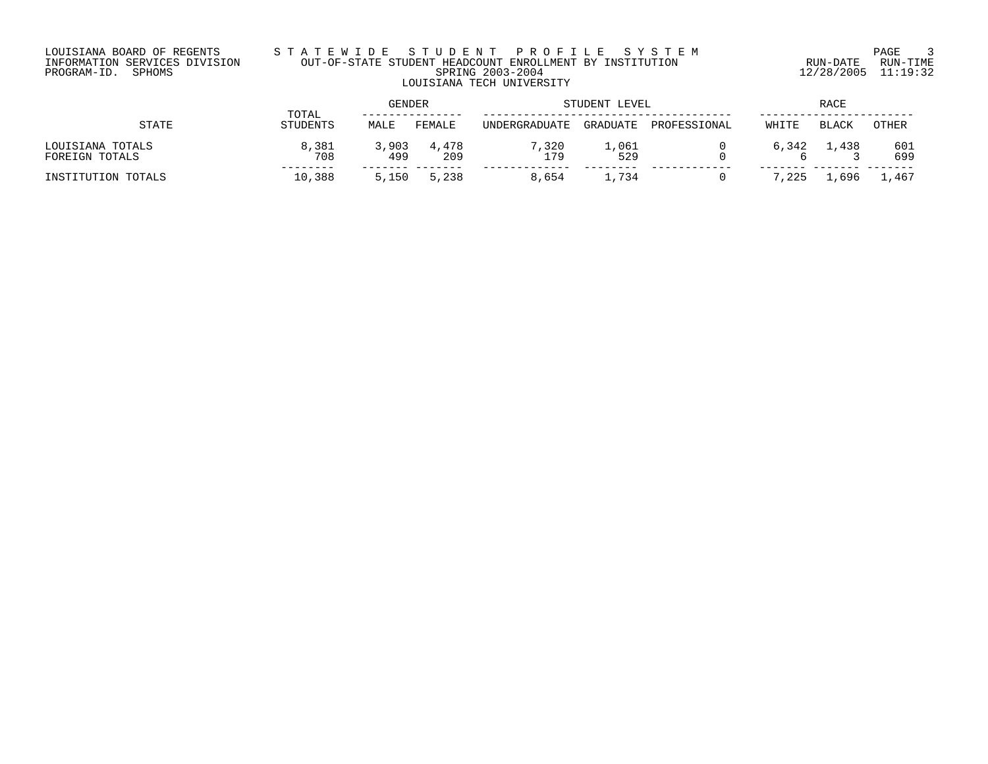### LOUISIANA BOARD OF REGENTS S T A T E W I D E S T U D E N T P R O F I L E S Y S T E M PAGE 3 INFORMATION SERVICES DIVISION OUT-OF-STATE STUDENT HEADCOUNT ENROLLMENT BY INSTITUTION RUN-DATE RUN-TIME PROGRAM-ID. SPHOMS SPRING 2003-2004 12/28/2005 11:19:32 LOUISIANA TECH UNIVERSITY

| STATE                              | TOTAL        | <b>GENDER</b> |              | STUDENT LEVEL |              |              | <b>RACE</b> |              |            |
|------------------------------------|--------------|---------------|--------------|---------------|--------------|--------------|-------------|--------------|------------|
|                                    | STUDENTS     | MALE          | FEMALE       | UNDERGRADUATE | GRADUATE     | PROFESSIONAL | WHITE       | <b>BLACK</b> | OTHER      |
| LOUISIANA TOTALS<br>FOREIGN TOTALS | 8,381<br>708 | 3,903<br>499  | 4,478<br>209 | 7,320<br>179  | 1,061<br>529 |              | 6,342       | 1,438        | 601<br>699 |
| INSTITUTION TOTALS                 | 10,388       | 5,150         | 5,238        | 8,654         | 1,734        |              | 7,225       | .696         | 1,467      |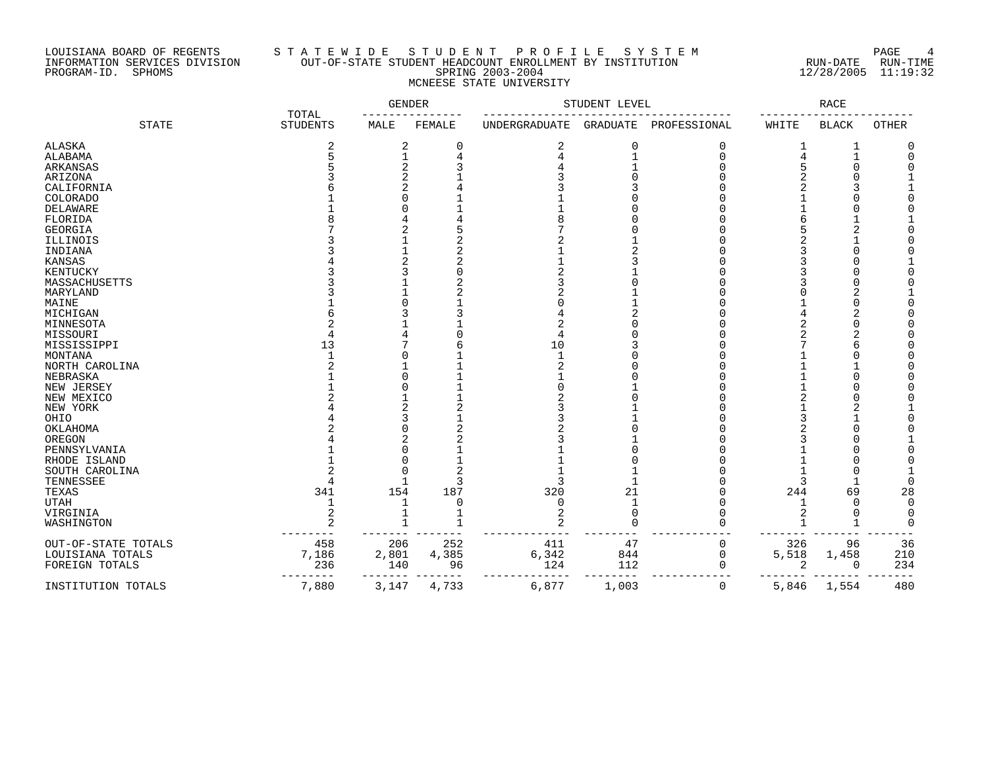### LOUISIANA BOARD OF REGENTS S T A T E W I D E S T U D E N T P R O F I L E S Y S T E M PAGE 4 INFORMATION SERVICES DIVISION OUT-OF-STATE STUDENT HEADCOUNT ENROLLMENT BY INSTITUTION RUN-DATE RUN-TIME PROGRAM-ID. SPHOMS SPRING 2003-2004 12/28/2005 11:19:32 MCNEESE STATE UNIVERSITY

|                     |                          | <b>GENDER</b> |          | STUDENT LEVEL |                 |              | RACE           |              |              |
|---------------------|--------------------------|---------------|----------|---------------|-----------------|--------------|----------------|--------------|--------------|
| <b>STATE</b>        | TOTAL<br><b>STUDENTS</b> | MALE          | FEMALE   | UNDERGRADUATE | <b>GRADUATE</b> | PROFESSIONAL | WHITE          | <b>BLACK</b> | <b>OTHER</b> |
| ALASKA              | 2                        | 2             | 0        | 2             | 0               | $\Omega$     |                | 1            |              |
| ALABAMA             |                          |               |          |               |                 | $\cap$       |                |              |              |
| ARKANSAS            |                          | 2             |          |               |                 |              |                | $\bigcap$    |              |
| ARIZONA             |                          | 2             |          |               |                 |              |                |              |              |
| CALIFORNIA          |                          | 2             |          |               |                 |              |                |              |              |
| COLORADO            |                          | U             |          |               |                 |              |                |              |              |
| DELAWARE            |                          |               |          |               |                 |              |                |              |              |
| FLORIDA             |                          |               |          |               |                 |              |                |              |              |
| GEORGIA             |                          | 2             |          |               |                 |              |                |              |              |
| ILLINOIS            |                          |               |          |               |                 |              |                |              |              |
| INDIANA             |                          |               | 2        |               |                 |              |                |              |              |
| KANSAS              |                          |               |          |               |                 |              |                |              |              |
| KENTUCKY            |                          |               |          |               |                 |              |                |              |              |
| MASSACHUSETTS       |                          |               |          |               |                 |              |                |              |              |
| MARYLAND            |                          |               |          |               |                 |              |                |              |              |
| MAINE               |                          |               |          |               |                 |              |                |              |              |
| MICHIGAN            |                          |               |          |               |                 |              |                |              |              |
| MINNESOTA           |                          |               |          |               |                 |              |                |              |              |
| MISSOURI            |                          |               |          |               |                 |              |                |              |              |
| MISSISSIPPI         | 13                       |               |          | 10            |                 |              |                | 6            |              |
| MONTANA             |                          |               |          | $\mathbf{1}$  |                 |              |                |              |              |
| NORTH CAROLINA      |                          |               |          |               |                 |              |                |              |              |
| NEBRASKA            |                          | O             |          |               |                 |              |                | $\bigcap$    |              |
| NEW JERSEY          |                          |               |          |               |                 |              |                |              |              |
| NEW MEXICO          |                          |               |          |               |                 |              |                |              |              |
| NEW YORK            |                          | 2             | 2        |               |                 |              |                | 2            |              |
| OHIO                |                          | 3             |          |               |                 |              |                |              |              |
| OKLAHOMA            |                          | O             |          |               |                 |              |                |              |              |
| OREGON              |                          | 2             |          |               |                 |              |                |              |              |
| PENNSYLVANIA        |                          | U             |          |               |                 |              |                |              |              |
| RHODE ISLAND        |                          | O             |          |               |                 |              |                |              |              |
| SOUTH CAROLINA      |                          | O             |          |               |                 |              |                | $\bigcap$    |              |
| TENNESSEE           |                          |               | 3        |               |                 |              |                | $\mathbf 1$  |              |
| TEXAS               | 341                      | 154           | 187      | 320           | 21              |              | 244            | 69           | 28           |
| <b>UTAH</b>         |                          |               | $\Omega$ | O             |                 | ſ            |                | $\Omega$     |              |
| VIRGINIA            | 2                        |               |          | 2             | $\Omega$        |              | 2              | 0            |              |
| WASHINGTON          | $\overline{c}$           |               |          | 2             | $\Omega$        | ∩            |                |              |              |
| OUT-OF-STATE TOTALS | 458                      | 206           | 252      | 411           | 47              | 0            | 326            | 96           | 36           |
| LOUISIANA TOTALS    | 7,186                    | 2,801         | 4,385    | 6,342         | 844             | 0            | 5,518          | 1,458        | 210          |
| FOREIGN TOTALS      | 236                      | 140           | 96       | 124           | 112             | 0            | $\overline{2}$ | 0            | 234          |
| INSTITUTION TOTALS  | 7,880                    | 3,147         | 4,733    | 6,877         | 1,003           | 0            | 5,846          | 1,554        | 480          |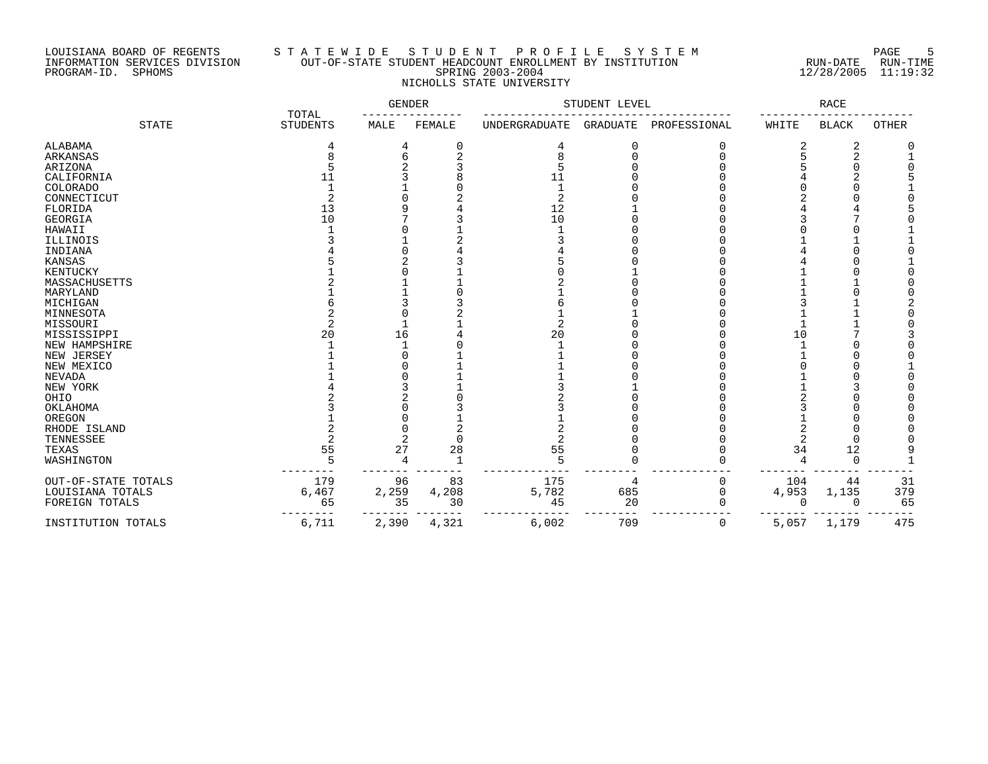### LOUISIANA BOARD OF REGENTS S T A T E W I D E S T U D E N T P R O F I L E S Y S T E M PAGE 5 INFORMATION SERVICES DIVISION OUT-OF-STATE STUDENT HEADCOUNT ENROLLMENT BY INSTITUTION RUN-DATE RUN-TIME PROGRAM-ID. SPHOMS SPRING 2003-2004 12/28/2005 11:19:32 NICHOLLS STATE UNIVERSITY

|                     | TOTAL           | <b>GENDER</b> |        | STUDENT LEVEL |                 |              | RACE         |              |              |
|---------------------|-----------------|---------------|--------|---------------|-----------------|--------------|--------------|--------------|--------------|
| <b>STATE</b>        | <b>STUDENTS</b> | MALE          | FEMALE | UNDERGRADUATE | <b>GRADUATE</b> | PROFESSIONAL | WHITE        | <b>BLACK</b> | <b>OTHER</b> |
| ALABAMA             | 4               |               | 0      | 4             | O               |              |              | 2            |              |
| ARKANSAS            | 8               | 6             | 2      |               |                 |              |              | 2            |              |
| ARIZONA             |                 |               |        |               |                 |              |              |              |              |
| CALIFORNIA          | 11              |               |        | 11            |                 |              |              |              |              |
| COLORADO            |                 |               |        |               |                 |              |              |              |              |
| CONNECTICUT         |                 |               |        | 2             |                 |              |              |              |              |
| FLORIDA             | 13              |               |        | 12            |                 |              |              |              |              |
| GEORGIA             | 10              |               |        | 10            |                 |              |              |              |              |
| HAWAII              |                 |               |        |               |                 |              |              |              |              |
| ILLINOIS            |                 |               |        |               |                 |              |              |              |              |
| INDIANA             |                 |               |        |               |                 |              |              |              |              |
| KANSAS              |                 |               |        |               |                 |              |              |              |              |
| KENTUCKY            |                 |               |        |               |                 |              |              |              |              |
| MASSACHUSETTS       |                 |               |        |               |                 |              |              |              |              |
| MARYLAND            |                 |               |        |               |                 |              |              |              |              |
| MICHIGAN            |                 |               |        |               |                 |              |              |              |              |
| MINNESOTA           |                 |               |        |               |                 |              |              |              |              |
| MISSOURI            |                 |               |        |               |                 |              |              |              |              |
| MISSISSIPPI         | 20              | 16            |        | 20            |                 |              | 10           |              |              |
| NEW HAMPSHIRE       |                 |               |        |               |                 |              |              |              |              |
| NEW JERSEY          |                 |               |        |               |                 |              |              |              |              |
| NEW MEXICO          |                 |               |        |               |                 |              |              |              |              |
| <b>NEVADA</b>       |                 |               |        |               |                 |              |              |              |              |
| NEW YORK            |                 |               |        |               |                 |              |              |              |              |
| OHIO                |                 |               |        |               |                 |              |              |              |              |
| OKLAHOMA            |                 |               |        |               |                 |              |              |              |              |
| OREGON              |                 |               |        |               |                 |              |              |              |              |
| RHODE ISLAND        |                 |               |        |               |                 |              |              |              |              |
| TENNESSEE           |                 | 2             | $\cap$ |               |                 |              |              | ∩            |              |
| TEXAS               | 55              | 27            | 28     | 55            |                 |              | 34           | 12           |              |
| WASHINGTON          | 5               | 4             |        | 5             |                 |              | 4            | $\Omega$     |              |
| OUT-OF-STATE TOTALS | 179             | 96            | 83     | 175           | 4               | 0            | 104          | 44           | 31           |
| LOUISIANA TOTALS    | 6,467           | 2,259         | 4,208  | 5,782         | 685             | 0            | 4,953        | 1,135        | 379          |
| FOREIGN TOTALS      | 65              | 35            | 30     | 45            | 20              | O            | <sup>0</sup> | O            | 65           |
| INSTITUTION TOTALS  | 6,711           | 2,390         | 4,321  | 6,002         | 709             | 0            | 5,057        | 1,179        | 475          |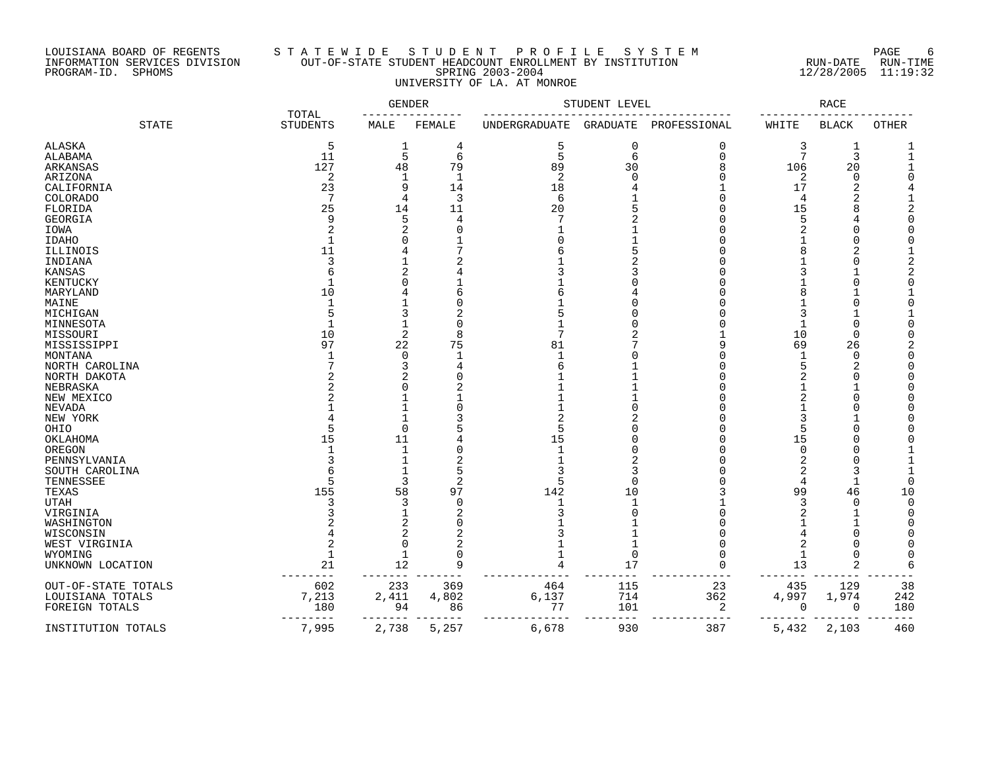### LOUISIANA BOARD OF REGENTS S T A T E W I D E S T U D E N T P R O F I L E S Y S T E M PAGE 6 INFORMATION SERVICES DIVISION OUT-OF-STATE STUDENT HEADCOUNT ENROLLMENT BY INSTITUTION RUN-DATE RUN-TIME PROGRAM-ID. SPHOMS SPRING 2003-2004 12/28/2005 11:19:32 UNIVERSITY OF LA. AT MONROE

|                     |                          | GENDER         |                | STUDENT LEVEL | RACE        |              |       |              |              |
|---------------------|--------------------------|----------------|----------------|---------------|-------------|--------------|-------|--------------|--------------|
| <b>STATE</b>        | TOTAL<br><b>STUDENTS</b> | MALE           | FEMALE         | UNDERGRADUATE | GRADUATE    | PROFESSIONAL | WHITE | <b>BLACK</b> | <b>OTHER</b> |
| ALASKA              | 5                        | 1              | 4              | 5             | $\mathbf 0$ | $\Omega$     | 3     | 1            |              |
| ALABAMA             | 11                       | 5              | 6              | 5             | 6           | $\mathbf 0$  | 7     | 3            |              |
| ARKANSAS            | 127                      | 48             | 79             | 89            | 30          | 8            | 106   | 20           |              |
| ARIZONA             | 2                        | 1              | 1              | 2             | $\Omega$    | O            | 2     | $\mathbf 0$  |              |
| CALIFORNIA          | 23                       | 9              | 14             | 18            |             |              | 17    | 2            |              |
| COLORADO            | 7                        | 4              | 3              | 6             |             | n            | 4     |              |              |
| FLORIDA             | 25                       | 14             | 11             | 20            |             |              | 15    | 8            |              |
|                     |                          |                |                |               |             |              |       |              |              |
| <b>GEORGIA</b>      | 9                        | 5              | 4              |               |             |              | 5     |              |              |
| IOWA                | $\overline{c}$           | $\overline{2}$ | $\Omega$       |               |             |              | 2     |              |              |
| <b>IDAHO</b>        |                          | O              |                |               |             |              |       | $\bigcap$    |              |
| ILLINOIS            | 11                       |                |                |               |             |              |       | 2            |              |
| INDIANA             | 3                        |                |                |               |             |              |       | $\bigcap$    |              |
| KANSAS              | 6                        | 2              |                |               |             |              |       |              |              |
| KENTUCKY            |                          | O              |                |               |             |              |       | $\bigcap$    |              |
| MARYLAND            | 10                       |                |                |               |             |              |       |              |              |
| MAINE               |                          |                |                |               |             |              |       |              |              |
| MICHIGAN            |                          | 3              |                |               |             |              |       |              |              |
| MINNESOTA           |                          |                |                |               |             |              | -1    | $\cup$       |              |
| MISSOURI            | 10                       | 2              | 8              |               |             |              | 10    | 0            |              |
|                     | 97                       | 22             | 75             | 81            |             |              | 69    | 26           |              |
| MISSISSIPPI         |                          | $\Omega$       |                |               |             |              |       | $\mathbf 0$  |              |
| MONTANA             |                          |                |                |               |             |              |       |              |              |
| NORTH CAROLINA      |                          | 3              |                |               |             |              |       | 2            |              |
| NORTH DAKOTA        |                          | 2              |                |               |             |              |       |              |              |
| NEBRASKA            |                          | O              |                |               |             |              |       |              |              |
| NEW MEXICO          |                          |                |                |               |             |              |       |              |              |
| NEVADA              |                          |                |                |               |             |              |       |              |              |
| NEW YORK            |                          |                |                |               |             |              |       |              |              |
| OHIO                |                          | 0              |                |               |             |              |       |              |              |
| OKLAHOMA            | 15                       | 11             |                | 15            |             |              | 15    |              |              |
| OREGON              |                          | -1             |                |               |             |              | n     |              |              |
| PENNSYLVANIA        |                          |                |                |               |             |              |       |              |              |
| SOUTH CAROLINA      |                          | $\mathbf{1}$   | 5              |               | 3           |              |       |              |              |
| TENNESSEE           |                          | 3              | $\overline{2}$ |               | $\cap$      |              | 4     |              |              |
| TEXAS               | 155                      | 58             | 97             | 142           | 10          |              | 99    | 46           | 10           |
|                     |                          |                | $\Omega$       |               |             |              |       | $\bigcap$    |              |
| <b>UTAH</b>         |                          | 3              |                |               |             |              | 3     |              |              |
| VIRGINIA            |                          | 1              |                |               | $\Omega$    |              |       |              |              |
| WASHINGTON          |                          | $\overline{2}$ | 0              |               |             |              |       |              |              |
| WISCONSIN           |                          | $\overline{2}$ |                |               |             |              |       |              |              |
| WEST VIRGINIA       | $\overline{c}$           | 0              | 2              |               | 1           |              | 2     |              |              |
| WYOMING             |                          | 1              |                |               | $\mathbf 0$ |              | 1     |              |              |
| UNKNOWN LOCATION    | 21                       | 12             | 9              |               | 17          | $\Omega$     | 13    | 2            |              |
| OUT-OF-STATE TOTALS | 602                      | 233            | 369            | 464           | 115         | 23           | 435   | 129          | 38           |
| LOUISIANA TOTALS    | 7,213                    | 2,411          | 4,802          | 6,137         | 714         | 362          | 4,997 | 1,974        | 242          |
| FOREIGN TOTALS      | 180                      | 94             | 86             | 77            | 101         | 2            | 0     | 0            | 180          |
| INSTITUTION TOTALS  | ------<br>7,995          | 2,738          | 5,257          | 6,678         | 930         | 387          | 5,432 | 2,103        | 460          |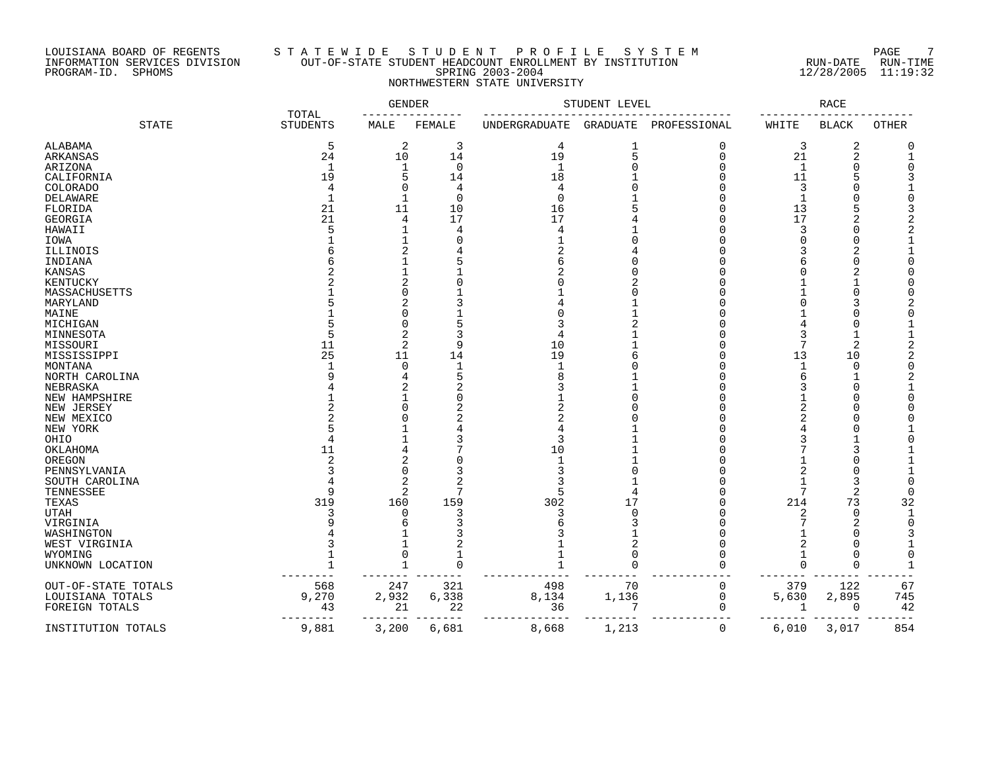#### LOUISIANA BOARD OF REGENTS S T A T E W I D E S T U D E N T P R O F I L E S Y S T E M PAGE 7 INFORMATION SERVICES DIVISION OUT-OF-STATE STUDENT HEADCOUNT ENROLLMENT BY INSTITUTION RUN-DATE RUN-TIME PROGRAM-ID. SPHOMS SPRING 2003-2004 12/28/2005 11:19:32 NORTHWESTERN STATE UNIVERSITY

|                     | <b>TOTAL</b>      | GENDER         |             | STUDENT LEVEL | RACE     |              |             |                |              |
|---------------------|-------------------|----------------|-------------|---------------|----------|--------------|-------------|----------------|--------------|
| <b>STATE</b>        | <b>STUDENTS</b>   | MALE           | FEMALE      | UNDERGRADUATE | GRADUATE | PROFESSIONAL | WHITE       | <b>BLACK</b>   | <b>OTHER</b> |
| ALABAMA             | 5                 | 2              | 3           | 4             | 1        | 0            | 3           | 2              |              |
| ARKANSAS            | 24                | 10             | 14          | 19            | 5        | $\Omega$     | 21          | $\overline{2}$ |              |
| ARIZONA             | 1                 | 1              | $\Omega$    | $\mathbf{1}$  |          | n            | $\mathbf 1$ |                |              |
| CALIFORNIA          | 19                | 5              | 14          | 18            |          |              | 11          |                |              |
| COLORADO            | 4                 | $\Omega$       | 4           | 4             |          |              | 3           |                |              |
| DELAWARE            | $\mathbf{1}$      |                | $\mathbf 0$ | $\Omega$      |          |              | 1           |                |              |
|                     |                   |                |             |               |          |              |             |                |              |
| FLORIDA             | 21                | 11             | 10          | 16            |          |              | 13          |                |              |
| <b>GEORGIA</b>      | 21                | 4              | 17          | 17            |          |              | 17          |                |              |
| HAWAII              |                   |                |             | 4             |          |              | 3           |                |              |
| IOWA                |                   |                |             |               |          |              |             |                |              |
| ILLINOIS            |                   |                |             |               |          |              |             |                |              |
| INDIANA             |                   |                |             |               |          |              |             |                |              |
| KANSAS              |                   |                |             |               |          |              |             |                |              |
| KENTUCKY            |                   |                |             |               |          |              |             |                |              |
| MASSACHUSETTS       |                   |                |             |               |          |              |             |                |              |
| MARYLAND            |                   |                |             |               |          |              |             |                |              |
| MAINE               |                   |                |             |               |          |              |             |                |              |
|                     |                   | N              |             |               |          |              |             |                |              |
| MICHIGAN            |                   |                |             |               |          |              |             |                |              |
| MINNESOTA           |                   | 2              |             |               |          |              |             |                |              |
| MISSOURI            | 11                | 2              |             | 10            |          |              |             | $\overline{2}$ |              |
| MISSISSIPPI         | 25                | 11             | 14          | 19            |          |              | 13          | 10             |              |
| MONTANA             |                   | $\Omega$       |             | -1            |          |              | 1           | $\Omega$       |              |
| NORTH CAROLINA      |                   |                |             |               |          |              |             |                |              |
| NEBRASKA            |                   |                |             |               |          |              | 3           |                |              |
| NEW HAMPSHIRE       |                   |                |             |               |          |              |             |                |              |
| NEW JERSEY          |                   |                | 2           |               |          |              | 2           |                |              |
| NEW MEXICO          |                   |                |             |               |          |              |             |                |              |
| NEW YORK            |                   |                |             |               |          |              |             |                |              |
|                     |                   |                |             |               |          |              |             |                |              |
| OHIO                |                   |                |             |               |          |              |             |                |              |
| OKLAHOMA            | 11                |                |             | 10            |          |              |             |                |              |
| OREGON              |                   |                |             | -1            |          |              |             |                |              |
| PENNSYLVANIA        |                   | $\Omega$       | 3           |               |          |              |             |                |              |
| SOUTH CAROLINA      |                   | $\overline{2}$ |             |               |          |              |             | 3              |              |
| TENNESSEE           | 9                 | 2              | 7           |               |          |              | 7           | $\overline{2}$ |              |
| TEXAS               | 319               | 160            | 159         | 302           | 17       |              | 214         | 73             | 32           |
| <b>UTAH</b>         | 3                 | $\Omega$       | 3           |               | n        |              | 2           | $\Omega$       |              |
| VIRGINIA            |                   | 6              |             |               |          |              |             | 2              |              |
| WASHINGTON          |                   |                |             |               |          |              |             |                |              |
| WEST VIRGINIA       |                   |                | 2           |               | 2        |              | 2           |                |              |
| WYOMING             |                   | 0              |             |               | $\Omega$ |              |             |                |              |
|                     |                   |                | $\Omega$    |               | $\Omega$ | $\Omega$     | $\Omega$    | $\Omega$       |              |
| UNKNOWN LOCATION    |                   |                |             |               |          |              |             |                |              |
| OUT-OF-STATE TOTALS | 568               | 247            | 321         | 498           | 70       | $\mathbf 0$  | 379         | 122            | 67           |
| LOUISIANA TOTALS    | 9,270             | 2,932          | 6,338       | 8,134         | 1,136    | $\mathbf 0$  | 5,630       | 2,895          | 745          |
| FOREIGN TOTALS      | 43                | 21             | 22          | 36            | 7        | 0            | 1           | 0              | 42           |
| INSTITUTION TOTALS  | $------$<br>9,881 | 3,200          | 6,681       | 8,668         | 1,213    | 0            | 6,010       | 3,017          | 854          |
|                     |                   |                |             |               |          |              |             |                |              |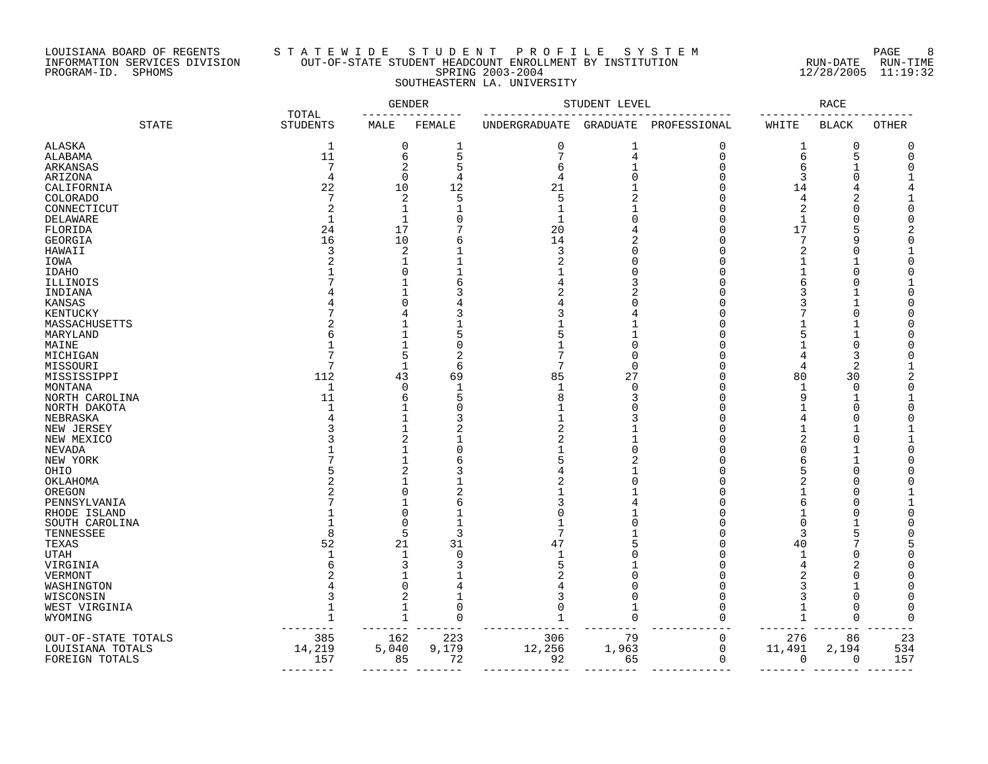#### LOUISIANA BOARD OF REGENTS S T A T E W I D E S T U D E N T P R O F I L E S Y S T E M PAGE 8 INFORMATION SERVICES DIVISION OUT-OF-STATE STUDENT HEADCOUNT ENROLLMENT BY INSTITUTION RUN-DATE RUN-TIME PROGRAM-ID. SPHOMS SPRING 2003-2004 12/28/2005 11:19:32 SOUTHEASTERN LA. UNIVERSITY

|                         |                          | <b>GENDER</b> |                    |               | STUDENT LEVEL  |              | RACE                |                     |       |  |  |  |  |
|-------------------------|--------------------------|---------------|--------------------|---------------|----------------|--------------|---------------------|---------------------|-------|--|--|--|--|
| <b>STATE</b>            | TOTAL<br><b>STUDENTS</b> | MALE          | FEMALE             | UNDERGRADUATE | GRADUATE       | PROFESSIONAL | WHITE               | <b>BLACK</b>        | OTHER |  |  |  |  |
| ALASKA                  | 1                        | 0             | 1                  | $\mathbf 0$   | $\mathbf 1$    | 0            | T                   | 0                   |       |  |  |  |  |
| ALABAMA                 | 11                       | б             | 5                  |               | $\overline{4}$ | $\Omega$     | 6                   | 5                   |       |  |  |  |  |
| ARKANSAS                | 7                        | 2             | 5                  | h             |                | $\Omega$     | 6                   | $\mathbf{1}$        |       |  |  |  |  |
| ARIZONA                 | 4                        | $\mathbf 0$   | 4                  | 4             | $\Omega$       | ∩            | 3                   | $\Omega$            |       |  |  |  |  |
| CALIFORNIA              | 22                       | 10            | 12                 | 21            |                |              | 14                  |                     |       |  |  |  |  |
| <b>COLORADO</b>         | 7                        | 2             | 5                  | 5             |                |              | 4                   | 2                   |       |  |  |  |  |
| CONNECTICUT             | $\overline{c}$           | 1             |                    |               |                | r            | 2                   | $\bigcap$           |       |  |  |  |  |
| DELAWARE                | $\mathbf{1}$             | -1            |                    | 1             |                |              | 1                   | $\bigcap$           |       |  |  |  |  |
| FLORIDA                 | 24                       | 17            |                    | 20            |                | ſ            | 17                  | 5                   |       |  |  |  |  |
| GEORGIA                 | 16                       | 10            | 6                  | 14            |                |              | 7                   | q                   |       |  |  |  |  |
| HAWAII                  | 3                        | 2             |                    | 3             | $\Omega$       |              | 2                   | C                   |       |  |  |  |  |
|                         |                          |               |                    |               | ſ              |              |                     |                     |       |  |  |  |  |
| IOWA<br><b>IDAHO</b>    |                          | 0             |                    |               |                |              |                     | $\cap$              |       |  |  |  |  |
|                         |                          |               | 6                  |               |                |              |                     |                     |       |  |  |  |  |
| ILLINOIS                |                          |               |                    |               |                |              |                     |                     |       |  |  |  |  |
| INDIANA                 |                          | 0             |                    |               |                |              |                     |                     |       |  |  |  |  |
| KANSAS                  |                          | 4             |                    |               |                |              |                     | $\cap$              |       |  |  |  |  |
| KENTUCKY                |                          |               |                    |               |                |              |                     |                     |       |  |  |  |  |
| MASSACHUSETTS           |                          |               |                    |               |                |              |                     |                     |       |  |  |  |  |
| MARYLAND                |                          |               |                    |               | $\Omega$       |              |                     | $\Omega$            |       |  |  |  |  |
| MAINE                   |                          | 5             |                    |               | $\cap$         |              |                     |                     |       |  |  |  |  |
| MICHIGAN                | 7                        | $\mathbf{1}$  | 6                  | 7             | $\mathbf 0$    | ſ            |                     | 3<br>$\overline{2}$ |       |  |  |  |  |
| MISSOURI                | 112                      |               |                    |               |                | $\sqrt{ }$   | 4                   | 30                  |       |  |  |  |  |
| MISSISSIPPI             | $\mathbf 1$              | 43<br>0       | 69<br>$\mathbf{1}$ | 85            | 27<br>$\Omega$ | Ω            | 80<br>1             | $\mathbf 0$         |       |  |  |  |  |
| MONTANA                 |                          | 6             | 5                  |               |                | ſ            | 9                   |                     |       |  |  |  |  |
| NORTH CAROLINA          | 11<br>$\mathbf{1}$       |               | $\Omega$           |               | 3              | $\sqrt{ }$   |                     | 1<br>$\Omega$       |       |  |  |  |  |
| NORTH DAKOTA            |                          | 1             | 3                  |               |                |              | 4                   | $\bigcap$           |       |  |  |  |  |
| NEBRASKA                |                          | 1             |                    |               |                | ſ            |                     |                     |       |  |  |  |  |
| NEW JERSEY              |                          |               | 2                  |               |                | ſ            | 1<br>$\overline{2}$ | $\bigcap$           |       |  |  |  |  |
| NEW MEXICO              |                          | 2             |                    |               | $\Omega$       |              | $\Omega$            |                     |       |  |  |  |  |
| <b>NEVADA</b>           |                          |               | $\Omega$           |               |                |              |                     |                     |       |  |  |  |  |
| NEW YORK                |                          | 2             | 6                  |               |                |              | 6                   | $\cap$              |       |  |  |  |  |
| OHIO                    |                          |               |                    |               |                |              |                     | C                   |       |  |  |  |  |
| OKLAHOMA                |                          | 0             | 2                  |               |                | ſ            |                     | $\cap$              |       |  |  |  |  |
| OREGON                  |                          |               |                    |               |                |              |                     |                     |       |  |  |  |  |
| PENNSYLVANIA            |                          | 0             | 6                  |               |                | ſ            | 6                   | $\cap$              |       |  |  |  |  |
| RHODE ISLAND            |                          | 0             |                    |               |                |              | $\Omega$            |                     |       |  |  |  |  |
| SOUTH CAROLINA          | $\mathsf{R}$             | 5             | 3                  | 7             |                |              | 3                   | 5                   |       |  |  |  |  |
| TENNESSEE               | 52                       | 21            | 31                 | 47            | 5              | Λ            |                     |                     |       |  |  |  |  |
| TEXAS                   |                          | 1             | $\Omega$           |               |                | r            | 40                  | C                   |       |  |  |  |  |
| <b>UTAH</b>             |                          | 3             | 3                  |               |                |              | $\overline{4}$      | 2                   |       |  |  |  |  |
| VIRGINIA<br>VERMONT     |                          |               |                    |               | O              | ſ            |                     | $\bigcap$           |       |  |  |  |  |
|                         |                          | $\Omega$      |                    |               | $\sqrt{ }$     |              | 3                   |                     |       |  |  |  |  |
| WASHINGTON<br>WISCONSIN |                          | 2             |                    |               | $\Omega$       | ∩            |                     | $\mathbf 0$         |       |  |  |  |  |
|                         |                          | 1             | $\Omega$           |               |                | ſ            |                     | $\Omega$            |       |  |  |  |  |
| WEST VIRGINIA           |                          | $\mathbf{1}$  | $\Omega$           |               | $\Omega$       | n            |                     | $\mathbf 0$         |       |  |  |  |  |
| WYOMING                 |                          |               |                    |               |                |              |                     |                     |       |  |  |  |  |
| OUT-OF-STATE TOTALS     | 385                      | 162           | 223                | 306           | 79             | 0            | 276                 | 86                  | 23    |  |  |  |  |
| LOUISIANA TOTALS        | 14,219                   | 5,040         | 9,179              | 12,256        | 1,963          | 0            | 11,491              | 2,194               | 534   |  |  |  |  |
| FOREIGN TOTALS          | 157                      | 85            | 72                 | 92            | 65             | $\mathbf 0$  | 0                   | 0                   | 157   |  |  |  |  |
|                         |                          |               |                    |               |                |              |                     |                     |       |  |  |  |  |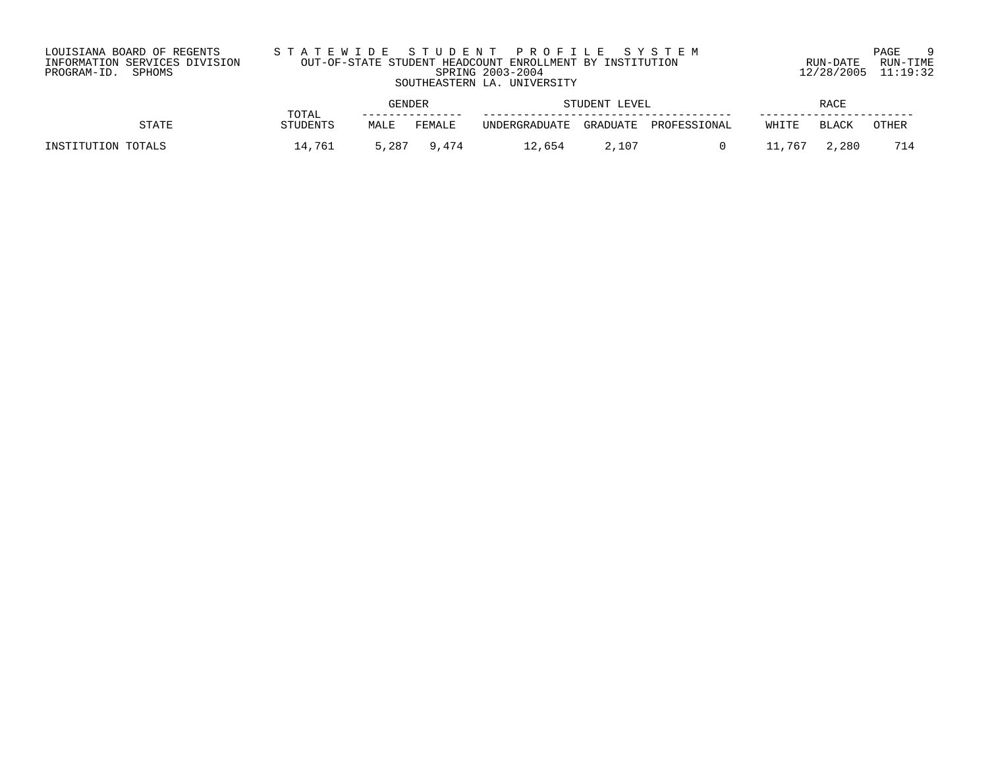| LOUISIANA BOARD OF REGENTS    | STATEWIDE STUDENT PROFILE SYSTEM                         |                     | $\alpha$<br>PAGE |
|-------------------------------|----------------------------------------------------------|---------------------|------------------|
| INFORMATION SERVICES DIVISION | OUT-OF-STATE STUDENT HEADCOUNT ENROLLMENT BY INSTITUTION | RUN-DATE            | RUN-TIME         |
| PROGRAM-ID. SPHOMS            | SPRING 2003-2004                                         | 12/28/2005 11:19:32 |                  |
|                               | SOUTHEASTERN LA. UNIVERSITY                              |                     |                  |
|                               |                                                          |                     |                  |

|                    | TOTAL    | GENDER |        | STUDENT LEVEL               |          |              | RACE    |       |       |
|--------------------|----------|--------|--------|-----------------------------|----------|--------------|---------|-------|-------|
| <b>STATE</b>       | STUDENTS | MALE   | FEMALE | UNDERGRADUATE               | GRADUATE | PROFESSIONAL | WHITE   | BLACK | OTHER |
| INSTITUTION TOTALS | 14.761   | 5,287  | 9,474  | $^{\circ}$ $^{\circ}$ , 654 | 2,107    |              | ' 1,767 | 2,280 | 714   |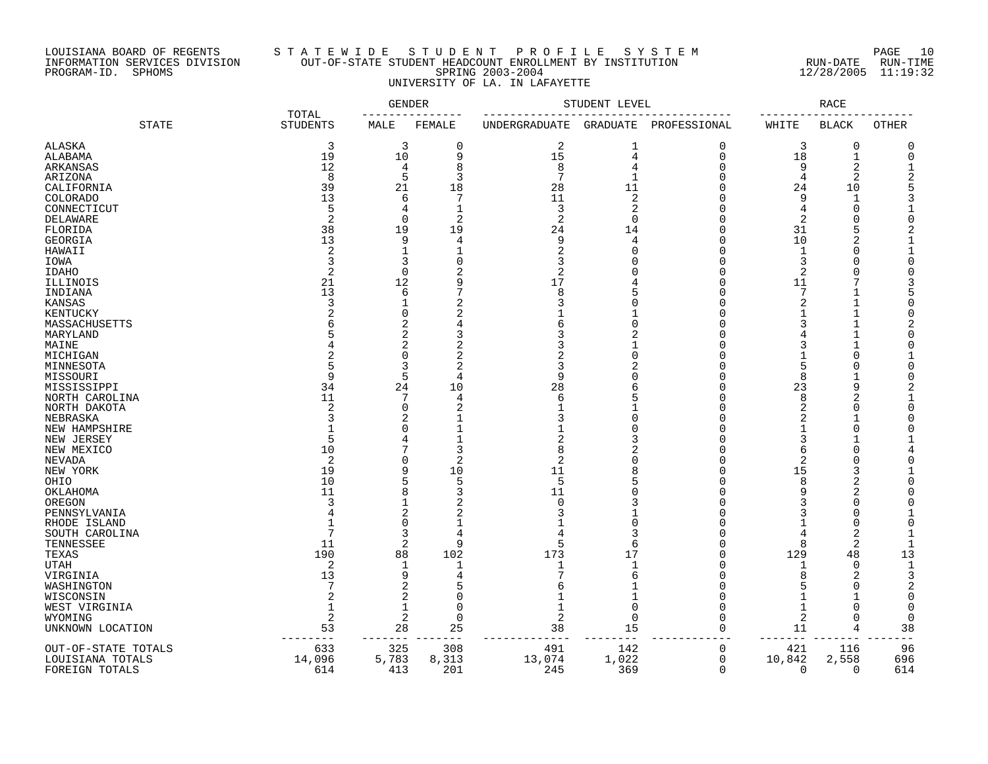#### LOUISIANA BOARD OF REGENTS S T A T E W I D E S T U D E N T P R O F I L E S Y S T E M PAGE 10 INFORMATION SERVICES DIVISION OUT-OF-STATE STUDENT HEADCOUNT ENROLLMENT BY INSTITUTION RUN-DATE RUN-TIME PROGRAM-ID. SPHOMS SPRING 2003-2004 12/28/2005 11:19:32 UNIVERSITY OF LA. IN LAFAYETTE

|                     |                          | <b>GENDER</b> |                     | STUDENT LEVEL |                |                | RACE           |                |              |
|---------------------|--------------------------|---------------|---------------------|---------------|----------------|----------------|----------------|----------------|--------------|
| <b>STATE</b>        | TOTAL<br><b>STUDENTS</b> | MALE          | FEMALE              | UNDERGRADUATE | GRADUATE       | PROFESSIONAL   | WHITE          | <b>BLACK</b>   | <b>OTHER</b> |
| <b>ALASKA</b>       | 3                        | 3             | 0                   | 2             | 1              | 0              | 3              | 0              | C            |
| ALABAMA             | 19                       | 10            | 9                   | 15            | $\overline{4}$ | $\overline{0}$ | $18\,$         | $\mathbf{1}$   |              |
| ARKANSAS            | 12                       | 4             | 8                   | 8             | 4              | $\Omega$       | 9              | $\overline{2}$ |              |
| ARIZONA             | 8                        | 5             | 3                   | 7             | 1              | $\cap$         | $\overline{4}$ | $\overline{2}$ |              |
| CALIFORNIA          | 39                       | 21            | 18                  | 28            | 11             | U              | 24             | 10             |              |
| COLORADO            | 13                       | 6             | 7                   | 11            | 2              | ∩              | 9              | $\mathbf{1}$   |              |
| CONNECTICUT         | 5                        | 4             | $\mathbf{1}$        | 3             | $\overline{2}$ | U              | $\overline{4}$ | $\Omega$       |              |
|                     | 2                        | $\Omega$      | $\overline{c}$      | 2             | $\Omega$       |                | 2              | $\Omega$       |              |
| DELAWARE            |                          |               |                     |               |                | $\cap$         |                | 5              |              |
| FLORIDA             | 38                       | 19            | 19                  | 24            | 14             |                | 31             |                |              |
| <b>GEORGIA</b>      | 13                       | 9             | 4                   | 9             | 4              | $\Omega$       | 10             | 2              |              |
| HAWAII              | 2                        | 1             | 1                   | 2             | $\Omega$       | $\cap$         | 1              | $\Omega$       |              |
| IOWA                | 3                        | 3             | $\mathbf 0$         | 3             | $\Omega$       | $\Omega$       | 3              | $\Omega$       |              |
| <b>IDAHO</b>        | $\overline{2}$           | $\Omega$      | 2                   | 2             | $\sqrt{ }$     | $\cap$         | 2              | $\cap$         |              |
| ILLINOIS            | 21                       | 12            | 9                   | 17            |                | $\Omega$       | 11             | 7              |              |
| INDIANA             | 13                       | 6             | 7                   | 8             | 5              | $\Omega$       | 7              |                |              |
| KANSAS              | 3                        | 1             | 2                   |               | $\Omega$       | U              | 2              |                |              |
| KENTUCKY            | $\overline{2}$           | 0             | $\overline{2}$      |               |                | $\Omega$       | $\mathbf{1}$   | $\mathbf{1}$   |              |
| MASSACHUSETTS       |                          | 2             | 4                   |               | $\Omega$       | U              | 3              |                |              |
| MARYLAND            |                          | 2             | 3                   |               |                | U              |                |                |              |
| MAINE               |                          | 2             | 2                   |               |                | $\cap$         | 3              |                |              |
| MICHIGAN            |                          | 0             | 2                   |               | $\Omega$       | n              | -1             | $\Omega$       |              |
| MINNESOTA           |                          | 3             | $\overline{2}$      | 3             |                |                | 5              | $\cap$         |              |
| MISSOURI            | 9                        | 5             | 4                   | 9             | $\sqrt{ }$     | U              | 8              | $\mathbf{1}$   |              |
| MISSISSIPPI         | 34                       | 24            | 10                  | 28            | 6              | $\cap$         | 23             | 9              |              |
| NORTH CAROLINA      | 11                       | 7             | 4                   | 6             | F              | U              | 8              | 2              |              |
| NORTH DAKOTA        | $\overline{2}$           | 0             | 2                   |               |                | U              | $\overline{2}$ | $\Omega$       |              |
| NEBRASKA            | ₹                        | 2             |                     |               | $\cap$         |                |                |                |              |
| NEW HAMPSHIRE       |                          | O             |                     |               | ſ              |                |                | ∩              |              |
| NEW JERSEY          | 5                        | 4             |                     |               |                | U              | 3              |                |              |
| NEW MEXICO          | 10                       | 7             | 3                   | 8             |                |                | 6              | ∩              |              |
| NEVADA              | $\overline{2}$           | $\Omega$      | $\overline{c}$      | 2             | $\sqrt{ }$     |                | $\overline{2}$ | $\Omega$       |              |
| NEW YORK            | 19                       | 9             | 10                  | 11            | 8              | U              | 15             | 3              |              |
| OHIO                | 10                       | 5             | 5                   | 5             |                |                | 8              | $\overline{2}$ |              |
|                     | 11                       | 8             | 3                   | 11            | ſ              |                | 9              | 2              |              |
| OKLAHOMA            | ₹                        | $\mathbf{1}$  |                     | ∩             |                |                | 3              | ∩              |              |
| OREGON              |                          | 2             | 2<br>$\overline{2}$ |               |                | C              | 3              | $\Omega$       |              |
| PENNSYLVANIA        |                          | $\Omega$      | $\mathbf 1$         |               | $\Omega$       |                |                | $\cap$         |              |
| RHODE ISLAND        |                          |               |                     |               |                |                |                |                |              |
| SOUTH CAROLINA      |                          | 3             | 4                   |               |                |                | 4              | 2              |              |
| TENNESSEE           | 11                       | 2             | 9                   | 5             | 6              | $\cap$         | $\mathsf{R}$   | $\overline{2}$ |              |
| TEXAS               | 190                      | 88            | 102                 | 173           | 17             | C              | 129            | 48             | 13           |
| UTAH                | 2                        | 1             | 1                   |               | 1              | C              | 1              | $\mathbf 0$    |              |
| VIRGINIA            | 13                       | 9             | 4                   |               | 6              | $\cap$         | 8              | 2              |              |
| WASHINGTON          |                          | 2             | 5                   |               |                | C              | 5              | $\Omega$       |              |
| WISCONSIN           | 2                        | 2             | $\Omega$            |               | 1              | U              | -1             | -1             | ∩            |
| WEST VIRGINIA       | 1                        | 1             | 0                   |               | $\mathbf 0$    | U              | 1              | ∩              |              |
| WYOMING             | $\overline{2}$           | 2             | $\Omega$            | 2             | $\Omega$       | $\cap$         | 2              | $\cap$         |              |
| UNKNOWN LOCATION    | 53                       | 28            | 25                  | 38            | 15             | $\Omega$       | 11             | 4              | 38           |
| OUT-OF-STATE TOTALS | 633                      | 325           | 308                 | 491           | 142            | 0              | 421            | 116            | 96           |
| LOUISIANA TOTALS    | 14,096                   | 5,783         | 8,313               | 13,074        | 1,022          | $\mathbf 0$    | 10,842         | 2,558          | 696          |
| FOREIGN TOTALS      | 614                      | 413           | 201                 | 245           | 369            | $\Omega$       | $\Omega$       | $\Omega$       | 614          |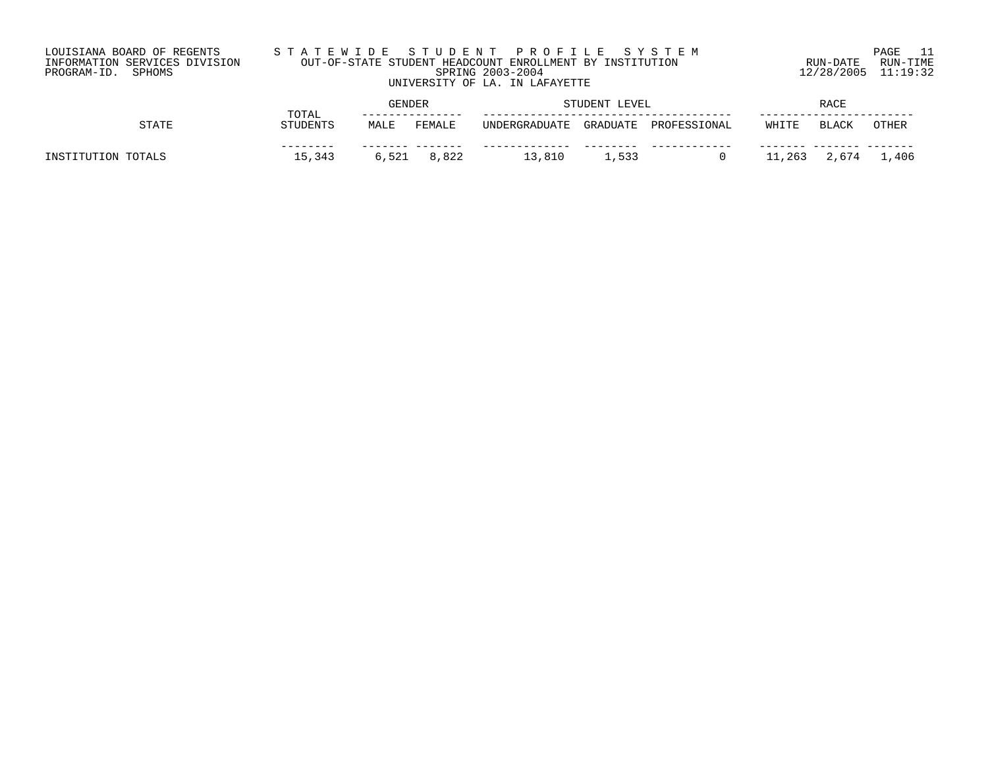| LOUISIANA BOARD OF REGENTS<br>INFORMATION SERVICES DIVISION | STATEWIDE STUDENT PROFILE SYSTEM   | OUT-OF-STATE STUDENT HEADCOUNT ENROLLMENT BY INSTITUTION                                                                                                                                                                                                                                                                                                                    | RUN-DATE                | PAGE<br>RUN-TIME |
|-------------------------------------------------------------|------------------------------------|-----------------------------------------------------------------------------------------------------------------------------------------------------------------------------------------------------------------------------------------------------------------------------------------------------------------------------------------------------------------------------|-------------------------|------------------|
| PROGRAM-ID. SPHOMS                                          |                                    | SPRING 2003-2004<br>UNIVERSITY OF LA. IN LAFAYETTE                                                                                                                                                                                                                                                                                                                          | $12/28/2005$ $11:19:32$ |                  |
|                                                             | $\sim$ $\sim$ $\sim$ $\sim$ $\sim$ | $G$ $\overline{G}$ $\overline{G}$ $\overline{G}$ $\overline{G}$ $\overline{G}$ $\overline{G}$ $\overline{G}$ $\overline{G}$ $\overline{G}$ $\overline{G}$ $\overline{G}$ $\overline{G}$ $\overline{G}$ $\overline{G}$ $\overline{G}$ $\overline{G}$ $\overline{G}$ $\overline{G}$ $\overline{G}$ $\overline{G}$ $\overline{G}$ $\overline{G}$ $\overline{G}$ $\overline{G}$ | $\sim$ $\sim$ $\sim$    |                  |

|                    | TOTAL    | GENDER |        | STUDENT LEVEL |               | RACE         |        |              |       |
|--------------------|----------|--------|--------|---------------|---------------|--------------|--------|--------------|-------|
| <b>STATE</b>       | STUDENTS | MALE   | FEMALE | UNDERGRADUATE | GRADUATE      | PROFESSIONAL | WHITE  | <b>BLACK</b> | OTHER |
| INSTITUTION TOTALS | 15,343   | 6,521  | 8,822  | .3,810        | $\perp$ , 533 |              | 11,263 | 2,674        | 1,406 |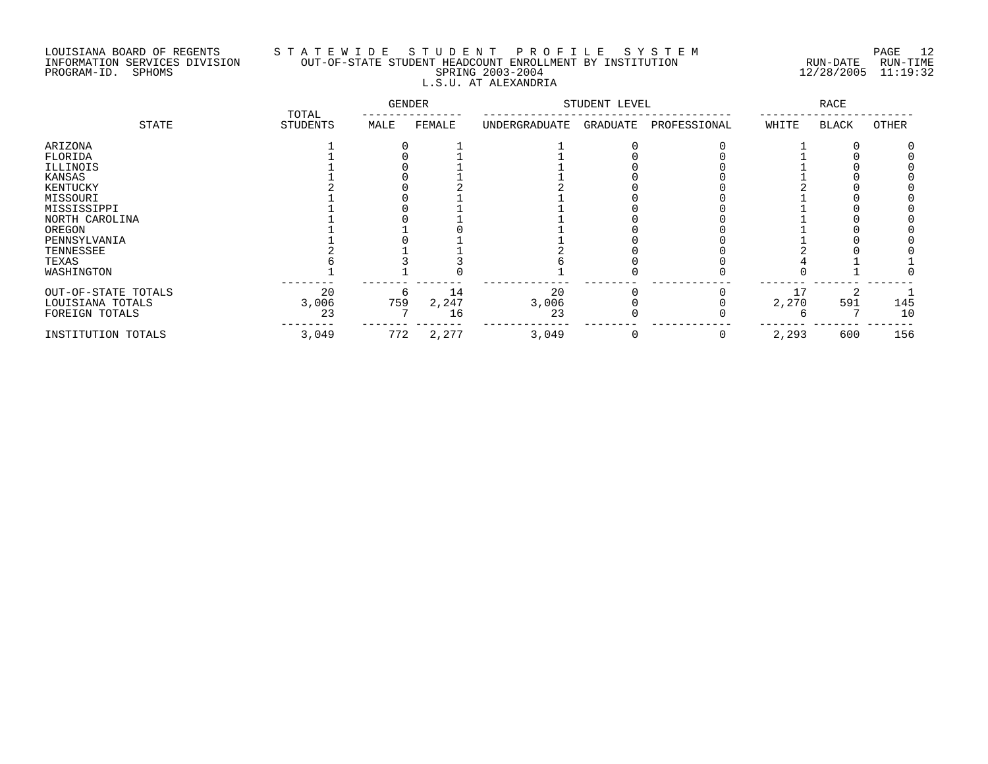## LOUISIANA BOARD OF REGENTS S T A T E W I D E S T U D E N T P R O F I L E S Y S T E M PAGE 12 INFORMATION SERVICES DIVISION OUT-OF-STATE STUDENT HEADCOUNT ENROLLMENT BY INSTITUTION RUN-DATE RUN-TIME PROGRAM-ID. SPHOMS SPRING 2003-2004 12/28/2005 11:19:32 L.S.U. AT ALEXANDRIA

|                     | TOTAL           | GENDER |        |               | STUDENT LEVEL |              |       | RACE         |       |
|---------------------|-----------------|--------|--------|---------------|---------------|--------------|-------|--------------|-------|
| STATE               | <b>STUDENTS</b> | MALE   | FEMALE | UNDERGRADUATE | GRADUATE      | PROFESSIONAL | WHITE | <b>BLACK</b> | OTHER |
| ARIZONA             |                 |        |        |               |               |              |       |              |       |
| FLORIDA             |                 |        |        |               |               |              |       |              |       |
| ILLINOIS            |                 |        |        |               |               |              |       |              |       |
| KANSAS              |                 |        |        |               |               |              |       |              |       |
| KENTUCKY            |                 |        |        |               |               |              |       |              |       |
| MISSOURI            |                 |        |        |               |               |              |       |              |       |
| MISSISSIPPI         |                 |        |        |               |               |              |       |              |       |
| NORTH CAROLINA      |                 |        |        |               |               |              |       |              |       |
| OREGON              |                 |        |        |               |               |              |       |              |       |
| PENNSYLVANIA        |                 |        |        |               |               |              |       |              |       |
| TENNESSEE           |                 |        |        |               |               |              |       |              |       |
| TEXAS               |                 |        |        |               |               |              |       |              |       |
| WASHINGTON          |                 |        |        |               |               |              |       |              |       |
| OUT-OF-STATE TOTALS | 20              | 6      | 14     | 20            |               |              |       |              |       |
| LOUISIANA TOTALS    | 3,006           | 759    | 2,247  | 3,006         |               |              | 2,270 | 591          | 145   |
| FOREIGN TOTALS      | 23              |        | 16     | 23            |               |              |       |              | 10    |
| INSTITUTION TOTALS  | 3,049           | 772    | 2,277  | 3,049         |               | 0            | 2,293 | 600          | 156   |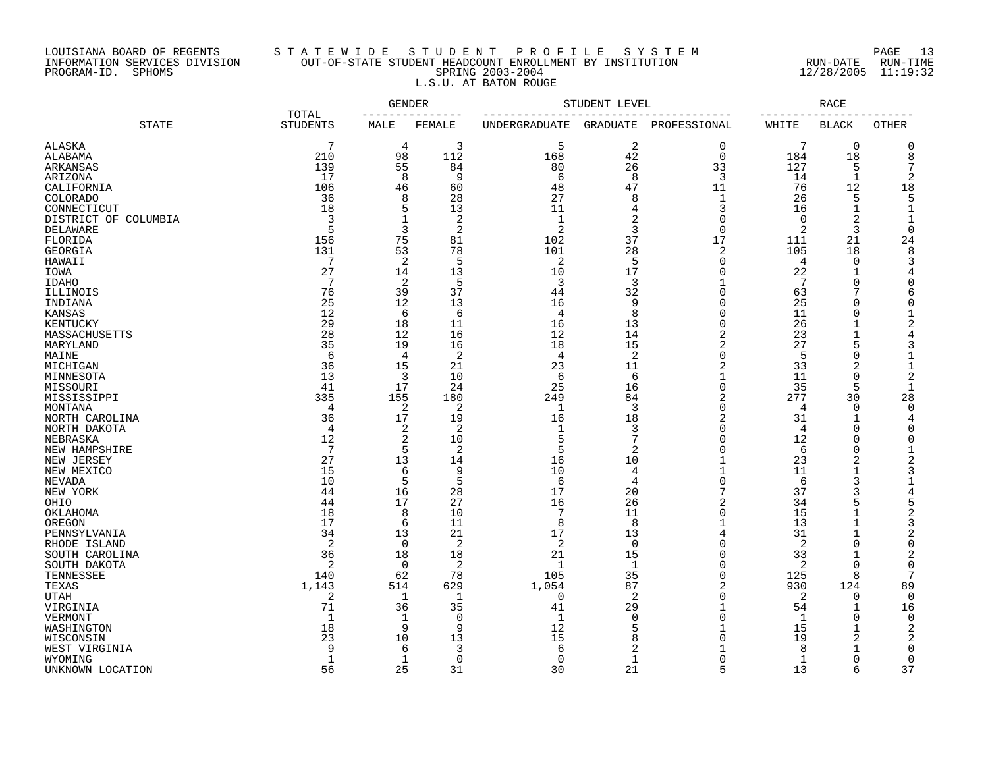# LOUISIANA BOARD OF REGENTS S T A T E W I D E S T U D E N T P R O F I L E S Y S T E M PAGE 13 INFORMATION SERVICES DIVISION OUT-OF-STATE STUDENT HEADCOUNT ENROLLMENT BY INSTITUTION RUN-DATE RUN-TIME PROGRAM-ID. SPHOMS SPRING 2003-2004 12/28/2005 11:19:32 L.S.U. AT BATON ROUGE

|                          |                          | GENDER              |                |               | STUDENT LEVEL       |                       |             | RACE                 |                               |
|--------------------------|--------------------------|---------------------|----------------|---------------|---------------------|-----------------------|-------------|----------------------|-------------------------------|
| <b>STATE</b>             | TOTAL<br><b>STUDENTS</b> | MALE                | FEMALE         | UNDERGRADUATE |                     | GRADUATE PROFESSIONAL | WHITE       | <b>BLACK</b>         | OTHER                         |
| ALASKA                   | 7                        | 4                   | 3              | 5             | 2                   | 0                     | 7           | $\mathbf 0$          | $\mathbf 0$                   |
| ALABAMA                  | 210                      | 98                  | 112            | 168           | 42                  | $\overline{0}$        | 184         | 18                   | 8                             |
| ARKANSAS                 | 139                      | 55                  | 84             | 80            | 26                  | 33                    | 127         | 5                    | 7                             |
| ARIZONA                  | 17                       | 8                   | 9              | 6             | 8                   | 3                     | 14          | $\mathbf{1}$         | 2                             |
| CALIFORNIA               | 106                      | 46                  | 60             | 48            | 47                  | 11                    | 76          | 12                   | 18                            |
| COLORADO                 | 36                       | 8                   | 28             | 27            | 8                   | 1                     | 26          | 5                    | 5                             |
| CONNECTICUT              | 18                       | 5                   | 13             | 11            | 4                   | 3                     | 16          | $\mathbf{1}$         | $\mathbf{1}$                  |
| DISTRICT OF COLUMBIA     | 3                        | $\mathbf{1}$        | 2              | $\mathbf{1}$  | 2                   | $\Omega$              | $\Omega$    | 2                    | $\mathbf 1$                   |
| DELAWARE                 | 5                        | 3                   | $\overline{2}$ | 2             | 3                   | $\Omega$              | 2           | 3                    | $\mathbf 0$                   |
| FLORIDA                  | 156                      | 75                  | 81             | 102           | 37                  | 17                    | 111         | 21                   | 24                            |
| GEORGIA                  | 131                      | 53                  | 78             | 101           | 28                  | $\overline{2}$        | 105         | 18                   | 8                             |
| HAWAII                   | 7                        | 2                   | 5              | 2             | 5                   | $\mathbf 0$           | 4           | 0                    | 3                             |
| IOWA                     | 27                       | 14                  | 13             | 10            | 17                  | $\Omega$              | 22          | 1                    | 4                             |
| <b>IDAHO</b>             | 7                        | 2                   | 5              | 3             | 3                   |                       | 7           | 0                    | 0                             |
| ILLINOIS                 | 76                       | 39                  | 37             | 44            | 32                  | $\Omega$              | 63          | 7                    | 6                             |
| INDIANA                  | 25                       | 12                  | 13             | 16            | 9                   | $\Omega$              | 25          | 0                    | $\mathbf 0$                   |
| KANSAS                   | 12                       | 6                   | 6              | 4             | 8                   | $\Omega$              | 11          | 0                    | $\mathbf 1$                   |
| KENTUCKY                 | 29                       | 18                  | 11             | 16            | 13                  | $\Omega$              | 26          | 1                    | 2                             |
| MASSACHUSETTS            | 28                       | 12                  | 16             | 12            | 14                  | $\overline{2}$        | 23          | $\mathbf{1}$         | $\overline{4}$                |
| MARYLAND                 | 35                       | 19                  | 16             | 18            | 15                  | $\overline{c}$        | 27          | 5                    | 3                             |
| MAINE                    | 6                        | $\overline{4}$      | $\overline{2}$ | 4             | 2                   | $\Omega$              | 5           | 0                    | $\mathbf{1}$                  |
| MICHIGAN                 | 36                       | 15                  | 21             | 23            | 11                  | $\overline{2}$        | 33          | 2                    | $\mathbf{1}$                  |
| MINNESOTA                | 13                       | 3                   | 10             | 6             | 6                   | 1                     | 11          | 0                    | 2                             |
| MISSOURI                 | 41                       | 17                  | 24             | 25            | 16                  | $\Omega$              | 35          | 5                    | $\mathbf{1}$                  |
| MISSISSIPPI              | 335                      | 155                 | 180            | 249           | 84                  | $\overline{2}$        | 277         | 30                   | 28                            |
| MONTANA                  | 4                        | $\overline{2}$      | $\overline{2}$ | $\mathbf{1}$  | 3                   | $\Omega$              | 4           | 0                    | $\mathbf 0$                   |
| NORTH CAROLINA           | 36                       | 17                  | 19             | 16            | 18                  | $\overline{2}$        | 31          | $\mathbf{1}$         | 4                             |
| NORTH DAKOTA             | $\overline{4}$           | 2                   | 2              | -1<br>5       | 3<br>$\overline{7}$ | n<br>$\Omega$         | 4           | $\Omega$<br>$\Omega$ | $\mathbf 0$                   |
| NEBRASKA                 | 12<br>7                  | $\overline{2}$<br>5 | 10             | 5             |                     | $\Omega$              | 12          | $\Omega$             | $\mathbf 0$                   |
| NEW HAMPSHIRE            | 27                       | 13                  | 2              | 16            | 2<br>10             | $\mathbf{1}$          | 6<br>23     | 2                    | $\mathbf 1$<br>$\overline{c}$ |
| NEW JERSEY<br>NEW MEXICO | 15                       | 6                   | 14<br>9        | 10            | $\overline{4}$      | $\mathbf{1}$          | 11          | $\mathbf{1}$         | 3                             |
| <b>NEVADA</b>            | 10                       | 5                   | 5              | 6             | $\overline{4}$      | $\Omega$              | 6           | 3                    | $\mathbf{1}$                  |
| NEW YORK                 | 44                       | 16                  | 28             | 17            | 20                  | 7                     | 37          | 3                    | 4                             |
| OHIO                     | 44                       | 17                  | 27             | 16            | 26                  | $\overline{2}$        | 34          | 5                    | 5                             |
| OKLAHOMA                 | 18                       | 8                   | 10             |               | 11                  | $\Omega$              | 15          | $\mathbf{1}$         | $\overline{2}$                |
| OREGON                   | 17                       | 6                   | 11             | 8             | 8                   | 1                     | 13          | $\mathbf{1}$         | 3                             |
| PENNSYLVANIA             | 34                       | 13                  | 21             | 17            | 13                  | 4                     | 31          | $\mathbf{1}$         | $\overline{c}$                |
| RHODE ISLAND             | 2                        | $\mathbf 0$         | 2              | 2             | $\Omega$            | $\Omega$              | 2           | $\Omega$             | $\mathbf 0$                   |
| SOUTH CAROLINA           | 36                       | 18                  | 18             | 21            | 15                  | $\Omega$              | 33          | 1                    | $\overline{c}$                |
| SOUTH DAKOTA             | 2                        | $\Omega$            | 2              | $\mathbf{1}$  | $\mathbf{1}$        | $\Omega$              | 2           | $\Omega$             | $\Omega$                      |
| TENNESSEE                | 140                      | 62                  | 78             | 105           | 35                  | $\Omega$              | 125         | 8                    | 7                             |
| TEXAS                    | 1,143                    | 514                 | 629            | 1,054         | 87                  | $\overline{2}$        | 930         | 124                  | 89                            |
| <b>UTAH</b>              | 2                        | 1                   | 1              | $\Omega$      | 2                   | $\Omega$              | 2           | 0                    | $\overline{0}$                |
| VIRGINIA                 | 71                       | 36                  | 35             | 41            | 29                  | $\mathbf{1}$          | 54          | $\mathbf{1}$         | 16                            |
| VERMONT                  | $\mathbf{1}$             | 1                   | $\Omega$       | $\mathbf{1}$  | $\Omega$            | $\Omega$              | 1           | 0                    | $\mathbf 0$                   |
| WASHINGTON               | 18                       | 9                   | 9              | 12            | .5                  |                       | 15          | 1                    | 2                             |
| WISCONSIN                | 23                       | 10                  | 13             | 15            | 8                   | ∩                     | 19          | 2                    | 2                             |
| WEST VIRGINIA            | 9                        | 6                   | 3              | 6             | 2                   |                       | 8           | 1                    | 0                             |
| WYOMING                  | 1                        | $\mathbf{1}$        | $\Omega$       | $\Omega$      | -1                  |                       | $\mathbf 1$ | 0                    | $\mathbf 0$                   |
| UNKNOWN LOCATION         | 56                       | 25                  | 31             | 30            | 21                  | 5                     | 13          | 6                    | 37                            |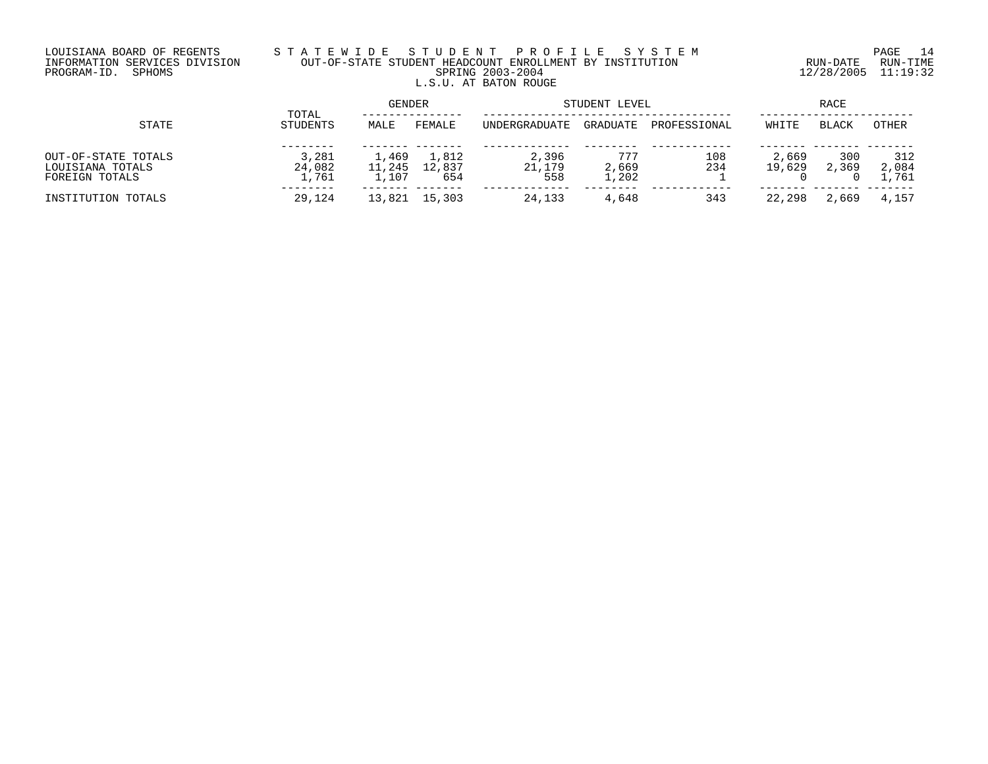# LOUISIANA BOARD OF REGENTS S T A T E W I D E S T U D E N T P R O F I L E S Y S T E M PAGE 14 INFORMATION SERVICES DIVISION OUT-OF-STATE STUDENT HEADCOUNT ENROLLMENT BY INSTITUTION RUN-DATE RUN-TIME PROGRAM-ID. SPHOMS SPRING 2003-2004 12/28/2005 11:19:32 L.S.U. AT BATON ROUGE

|                     |                   | GENDER |               | STUDENT LEVEL | RACE     |              |        |              |       |
|---------------------|-------------------|--------|---------------|---------------|----------|--------------|--------|--------------|-------|
| STATE               | TOTAL<br>STUDENTS | MALE   | FEMALE        | UNDERGRADUATE | GRADUATE | PROFESSIONAL | WHITE  | <b>BLACK</b> | OTHER |
|                     |                   |        |               |               |          |              |        |              |       |
| OUT-OF-STATE TOTALS | 3,281             | 1,469  | 1,812         | 2,396         | 777      | 108          | 2,669  | 300          | 312   |
| LOUISIANA TOTALS    | 24,082            | 11,245 | 12,837        | 21,179        | 2,669    | 234          | 19,629 | 2,369        | 2,084 |
| FOREIGN TOTALS      | 1,761             | 1,107  | 654           | 558           | 1,202    |              |        |              | 761   |
| INSTITUTION TOTALS  | 29,124            |        | 13,821 15,303 | 24,133        | 4,648    | 343          | 22,298 | 2,669        | 4,157 |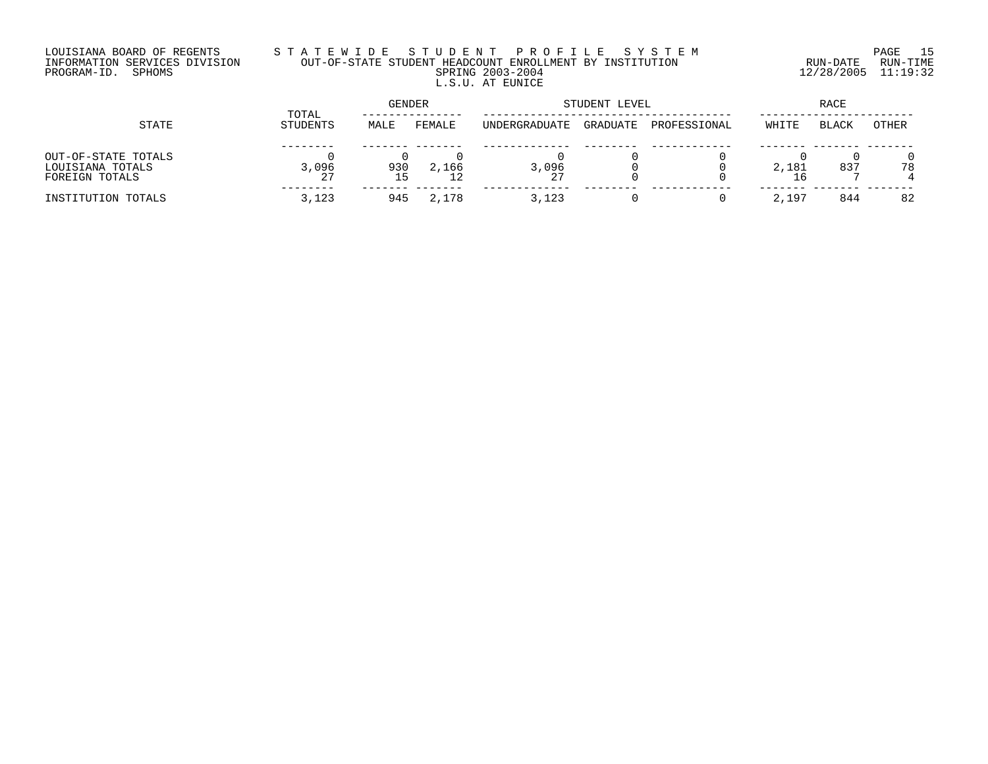## LOUISIANA BOARD OF REGENTS S T A T E W I D E S T U D E N T P R O F I L E S Y S T E M PAGE 15 INFORMATION SERVICES DIVISION OUT-OF-STATE STUDENT HEADCOUNT ENROLLMENT BY INSTITUTION RUN-DATE RUN-TIME PROGRAM-ID. SPHOMS SPRING 2003-2004 12/28/2005 11:19:32 L.S.U. AT EUNICE

|                                                           |                   | <b>GENDER</b> |        | STUDENT LEVEL | RACE     |              |       |              |              |
|-----------------------------------------------------------|-------------------|---------------|--------|---------------|----------|--------------|-------|--------------|--------------|
| STATE                                                     | TOTAL<br>STUDENTS | MALE          | FEMALE | UNDERGRADUATE | GRADUATE | PROFESSIONAL | WHITE | <b>BLACK</b> | <b>OTHER</b> |
| OUT-OF-STATE TOTALS<br>LOUISIANA TOTALS<br>FOREIGN TOTALS | 3,096<br>27       | 930<br>∸ ∼    | 2,166  | 3,096         |          |              | 2,181 | 837          | 78           |
| INSTITUTION TOTALS                                        | 3,123             | 945           | 2,178  | 3,123         |          |              | 2,197 | 844          | 82           |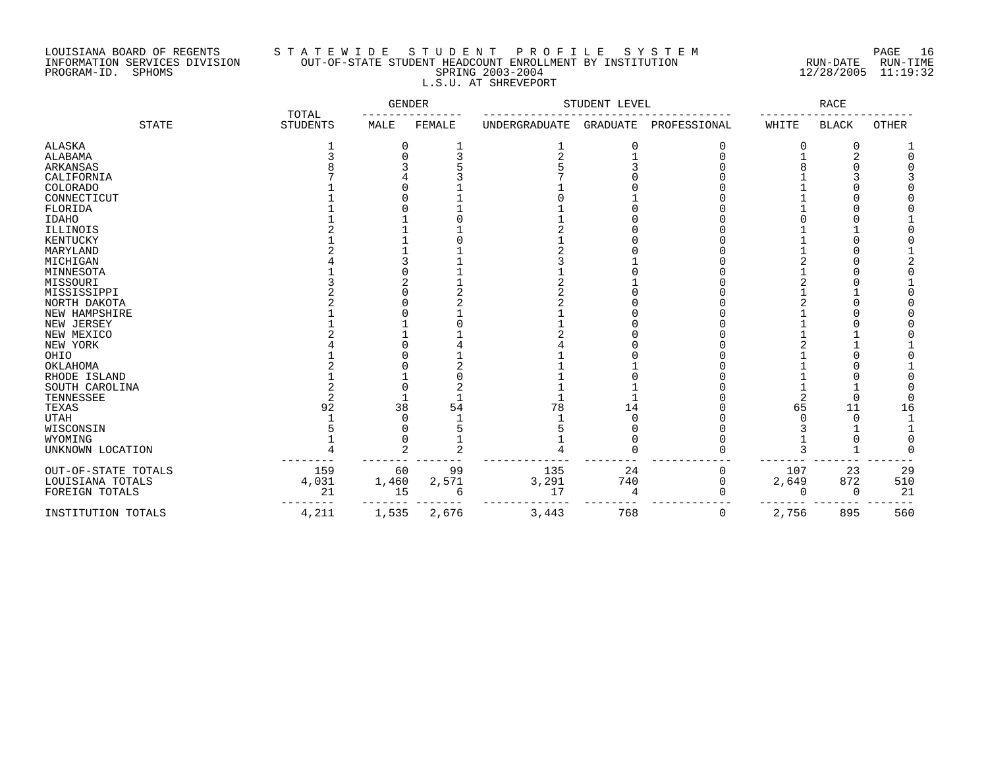## LOUISIANA BOARD OF REGENTS S T A T E W I D E S T U D E N T P R O F I L E S Y S T E M PAGE 16 INFORMATION SERVICES DIVISION OUT-OF-STATE STUDENT HEADCOUNT ENROLLMENT BY INSTITUTION RUN-DATE RUN-TIME PROGRAM-ID. SPHOMS SPRING 2003-2004 12/28/2005 11:19:32 L.S.U. AT SHREVEPORT

|                     | TOTAL           | GENDER |        | STUDENT LEVEL |                 | RACE         |              |              |              |
|---------------------|-----------------|--------|--------|---------------|-----------------|--------------|--------------|--------------|--------------|
| <b>STATE</b>        | <b>STUDENTS</b> | MALE   | FEMALE | UNDERGRADUATE | <b>GRADUATE</b> | PROFESSIONAL | WHITE        | <b>BLACK</b> | <b>OTHER</b> |
| <b>ALASKA</b>       |                 | 0      |        |               | 0               |              |              | 0            |              |
| ALABAMA             |                 | U      |        |               |                 |              |              | 2            |              |
| ARKANSAS            |                 |        |        |               |                 |              |              |              |              |
| CALIFORNIA          |                 |        |        |               |                 |              |              |              |              |
| <b>COLORADO</b>     |                 |        |        |               |                 |              |              |              |              |
| CONNECTICUT         |                 |        |        |               |                 |              |              |              |              |
| FLORIDA             |                 |        |        |               |                 |              |              |              |              |
| <b>IDAHO</b>        |                 |        |        |               |                 |              |              |              |              |
| ILLINOIS            |                 |        |        |               |                 |              |              |              |              |
| KENTUCKY            |                 |        |        |               |                 |              |              |              |              |
| MARYLAND            |                 |        |        |               |                 |              |              |              |              |
| MICHIGAN            |                 |        |        |               |                 |              |              |              |              |
| MINNESOTA           |                 |        |        |               |                 |              |              |              |              |
| MISSOURI            |                 |        |        |               |                 |              |              |              |              |
| MISSISSIPPI         |                 |        |        |               |                 |              |              |              |              |
| NORTH DAKOTA        |                 |        |        |               |                 |              |              |              |              |
| NEW HAMPSHIRE       |                 |        |        |               |                 |              |              |              |              |
| NEW JERSEY          |                 |        |        |               |                 |              |              |              |              |
| NEW MEXICO          |                 |        |        |               |                 |              |              |              |              |
| NEW YORK            |                 |        |        |               |                 |              |              |              |              |
| OHIO                |                 |        |        |               |                 |              |              |              |              |
| OKLAHOMA            |                 |        |        |               |                 |              |              |              |              |
| RHODE ISLAND        |                 |        |        |               |                 |              |              |              |              |
| SOUTH CAROLINA      |                 |        |        |               |                 |              |              |              |              |
| TENNESSEE           |                 |        |        |               |                 |              |              | <sup>-</sup> |              |
| TEXAS               | 92              | 38     | 54     | 78            | 14              |              | 65           | 11           | 16           |
| <b>UTAH</b>         |                 |        |        |               |                 |              |              |              |              |
| WISCONSIN           |                 |        |        |               |                 |              |              |              |              |
| WYOMING             |                 |        |        |               |                 |              |              |              |              |
| UNKNOWN LOCATION    |                 | 2      |        |               |                 |              |              |              |              |
| OUT-OF-STATE TOTALS | 159             | 60     | 99     | 135           | 24              | 0            | 107          | 23           | 29           |
| LOUISIANA TOTALS    | 4,031           | 1,460  | 2,571  | 3,291         | 740             | U            | 2,649        | 872          | 510          |
| FOREIGN TOTALS      | 21              | 15     | 6      | 17            |                 |              | <sup>0</sup> | $\Omega$     | 21           |
| INSTITUTION TOTALS  | 4,211           | 1,535  | 2,676  | 3,443         | 768             | 0            | 2,756        | 895          | 560          |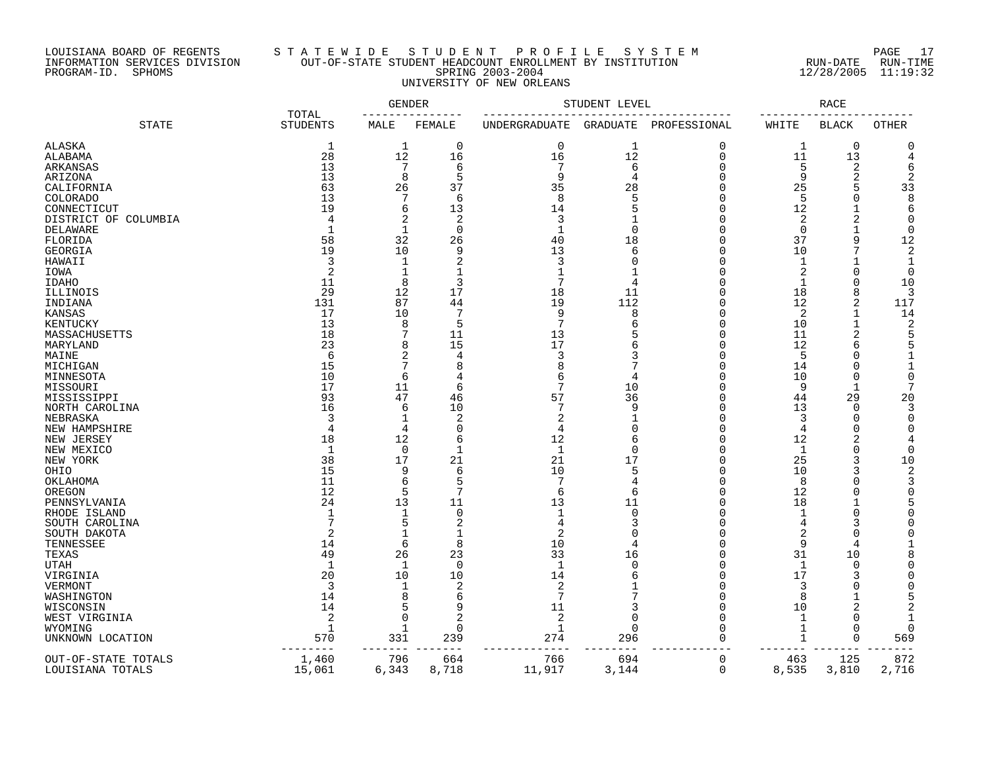### LOUISIANA BOARD OF REGENTS S T A T E W I D E S T U D E N T P R O F I L E S Y S T E M PAGE 17 INFORMATION SERVICES DIVISION OUT-OF-STATE STUDENT HEADCOUNT ENROLLMENT BY INSTITUTION RUN-DATE RUN-TIME PROGRAM-ID. SPHOMS SPRING 2003-2004 12/28/2005 11:19:32 UNIVERSITY OF NEW ORLEANS

|                      |                          | GENDER       |                |                | STUDENT LEVEL  |              | RACE           |                |               |  |
|----------------------|--------------------------|--------------|----------------|----------------|----------------|--------------|----------------|----------------|---------------|--|
| <b>STATE</b>         | TOTAL<br><b>STUDENTS</b> | MALE         | FEMALE         | UNDERGRADUATE  | GRADUATE       | PROFESSIONAL | WHITE          | <b>BLACK</b>   | OTHER         |  |
| <b>ALASKA</b>        | $\mathbf 1$              | $\mathbf 1$  | 0              | $\mathbf 0$    | 1              | $\Omega$     | 1              | $\mathbf 0$    | C             |  |
| ALABAMA              | 28                       | 12           | 16             | 16             | 12             | $\mathbf 0$  | 11             | 13             | 4             |  |
| ARKANSAS             | 13                       | 7            | 6              | 7              | 6              | $\cap$       | 5              | 2              | 6             |  |
| ARIZONA              | 13                       | 8            | 5              | 9              | $\overline{4}$ | $\cap$       | 9              | $\overline{c}$ |               |  |
| CALIFORNIA           | 63                       | 26           | 37             | 35             | 28             | n            | 25             | 5              | 33            |  |
| COLORADO             | 13                       | 7            | 6              | 8              | 5              |              | 5              | $\overline{0}$ | 8             |  |
| CONNECTICUT          | 19                       | 6            | 13             | 14             | 5              | n            | 12             | 1              | 6             |  |
| DISTRICT OF COLUMBIA |                          | 2            | $\overline{2}$ | 3              |                | n            | 2              | $\overline{2}$ | $\Omega$      |  |
| <b>DELAWARE</b>      | 1                        | $\mathbf{1}$ | $\mathbf 0$    | $\mathbf{1}$   | $\Omega$       | n            | $\mathbf 0$    | 1              | $\Omega$      |  |
| FLORIDA              | 58                       | 32           | 26             | 40             | 18             | $\cap$       | 37             | 9              | 12            |  |
| GEORGIA              | 19                       | 10           | 9              | 13             | 6              | n            | 10             | 7              | 2             |  |
| HAWAII               | 3                        | 1            | $\overline{2}$ | 3              | $\Omega$       | n            | 1              | $\mathbf{1}$   | $\mathbf{1}$  |  |
| IOWA                 | 2                        | $\mathbf{1}$ | $\mathbf{1}$   | $\mathbf{1}$   |                | n            | $\overline{2}$ | $\Omega$       | $\Omega$      |  |
| IDAHO                | 11                       | 8            | 3              |                | 4              |              | $\mathbf 1$    | $\Omega$       | 10            |  |
| ILLINOIS             | 29                       | 12           | 17             | 18             | 11             | n            | 18             | 8              | 3             |  |
| INDIANA              | 131                      | 87           | 44             | 19             | 112            | n            | 12             | 2              | 117           |  |
| KANSAS               | 17                       | 10           | 7              | 9              | 8              | n            | 2              | 1              | 14            |  |
| KENTUCKY             | 13                       | 8            | 5              | 7              | 6              | n            | 10             |                | 2             |  |
| MASSACHUSETTS        | 18                       | 7            | 11             | 13             |                |              | 11             |                | 5             |  |
| MARYLAND             | 23                       | 8            | 15             | 17             | 6              |              | 12             | 6              |               |  |
| MAINE                | 6                        | 2            | 4              | 3              | 3              |              | 5              | $\Omega$       | $\mathbf 1$   |  |
| MICHIGAN             | 15                       | 7            | 8              | 8              |                |              | 14             | $\Omega$       | 1             |  |
| MINNESOTA            | 10                       | 6            | 4              | 6              | 4              |              | 10             | $\Omega$       | $\Omega$      |  |
| MISSOURI             | 17                       | 11           | 6              | 7              | 10             | n            | 9              | $\mathbf{1}$   | 7             |  |
| MISSISSIPPI          | 93                       | 47           | 46             | 57             | 36             |              | 44             | 29             | 20            |  |
| NORTH CAROLINA       | 16                       | 6            | 10             | 7              | 9              | n            | 13             | 0              | 3             |  |
| NEBRASKA             | 3                        | 1            | $\overline{2}$ | $\overline{2}$ | $\mathbf 1$    | n            | 3              | $\Omega$       | $\Omega$      |  |
| NEW HAMPSHIRE        | 4                        | 4            | $\mathbf 0$    | 4              | $\Omega$       | n            | 4              | $\Omega$       | $\Omega$      |  |
| NEW JERSEY           | 18                       | 12           | 6              | 12             | 6              | $\cap$       | 12             | 2              |               |  |
|                      | 1                        | $\mathbf 0$  | $\mathbf{1}$   | $\mathbf{1}$   | $\Omega$       | n            |                | $\Omega$       | $\Omega$      |  |
| NEW MEXICO           | 38                       | 17           |                |                | 17             | $\cap$       | 1              | 3              | 10            |  |
| NEW YORK             | 15                       |              | 21<br>6        | 21<br>10       | 5              | n            | 25             | 3              |               |  |
| OHIO                 |                          | 9            |                | 7              |                |              | 10             |                | 2             |  |
| OKLAHOMA             | 11<br>12                 | 6<br>5       | 5<br>7         |                | 4              | n            | 8              | $\Omega$       | 3<br>$\Omega$ |  |
| OREGON               |                          |              |                | 6              | 6              |              | 12             | $\Omega$       |               |  |
| PENNSYLVANIA         | 24                       | 13           | 11             | 13             | 11             | n            | 18             |                | 5             |  |
| RHODE ISLAND         | -1                       | 1            | $\mathbf 0$    | $\mathbf{1}$   | $\mathbf 0$    | n<br>n       | 1              | $\Omega$       | U             |  |
| SOUTH CAROLINA       |                          | 5            | 2              | 4              | 3              |              | 4              | 3              |               |  |
| SOUTH DAKOTA         | $\overline{c}$           | 1            |                |                |                |              | $\overline{2}$ | ∩              |               |  |
| TENNESSEE            | 14                       | 6            | 8              | 10             | 4              | n            | 9              | 4              | 1             |  |
| TEXAS                | 49                       | 26           | 23             | 33             | 16             |              | 31             | 10             |               |  |
| UTAH                 | -1                       | 1            | $\Omega$       | $\mathbf{1}$   | $\Omega$       |              | 1              | 0              |               |  |
| VIRGINIA             | 20                       | 10           | 10             | 14             | 6              | n            | 17             | 3              |               |  |
| VERMONT              | 3                        | 1            | 2              | 2              |                | n            | 3              | $\Omega$       |               |  |
| WASHINGTON           | 14                       | 8            | 6              | 7              |                |              | 8              |                |               |  |
| WISCONSIN            | 14                       | 5            | 9              | 11             | 3              | $\Omega$     | 10             | $\overline{c}$ |               |  |
| WEST VIRGINIA        | $\overline{2}$           | $\Omega$     | 2              | 2              | $\Omega$       |              | 1              | $\Omega$       |               |  |
| WYOMING              | 1                        | 1            | $\mathbf 0$    | 1              | $\mathbf 0$    | O            | 1              | $\Omega$       | O             |  |
| UNKNOWN LOCATION     | 570                      | 331          | 239            | 274            | 296            | $\Omega$     | 1              | $\Omega$       | 569           |  |
| OUT-OF-STATE TOTALS  | 1,460                    | 796          | 664            | 766            | 694            | 0            | 463            | 125            | 872           |  |
| LOUISIANA TOTALS     | 15,061                   | 6,343        | 8,718          | 11,917         | 3,144          | $\Omega$     | 8,535          | 3,810          | 2,716         |  |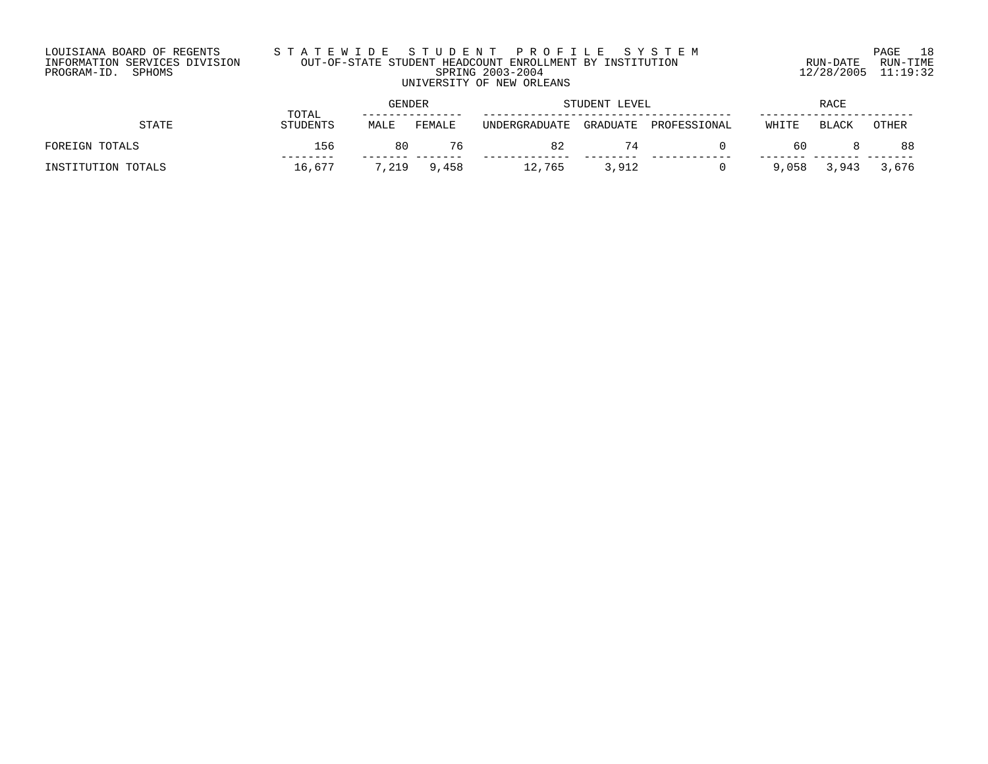### LOUISIANA BOARD OF REGENTS S T A T E W I D E S T U D E N T P R O F I L E S Y S T E M PAGE 18 INFORMATION SERVICES DIVISION OUT-OF-STATE STUDENT HEADCOUNT ENROLLMENT BY INSTITUTION RUN-DATE RUN-TIME PROGRAM-ID. SPHOMS SPRING 2003-2004 12/28/2005 11:19:32 UNIVERSITY OF NEW ORLEANS

|                    | TOTAL           | GENDER |        | STUDENT LEVEL |          | <b>RACE</b>  |       |       |       |
|--------------------|-----------------|--------|--------|---------------|----------|--------------|-------|-------|-------|
| STATE              | <b>STUDENTS</b> | MALE   | FEMALE | UNDERGRADUATE | GRADUATE | PROFESSIONAL | WHITE | BLACK | OTHER |
| FOREIGN TOTALS     | 156             | 80     | 76     | 82            | 74       |              | 60    |       | 88    |
| INSTITUTION TOTALS | 16.677          | 7,219  | 9,458  | 12,765        | 3,912    |              | 9,058 | 3,943 | 3,676 |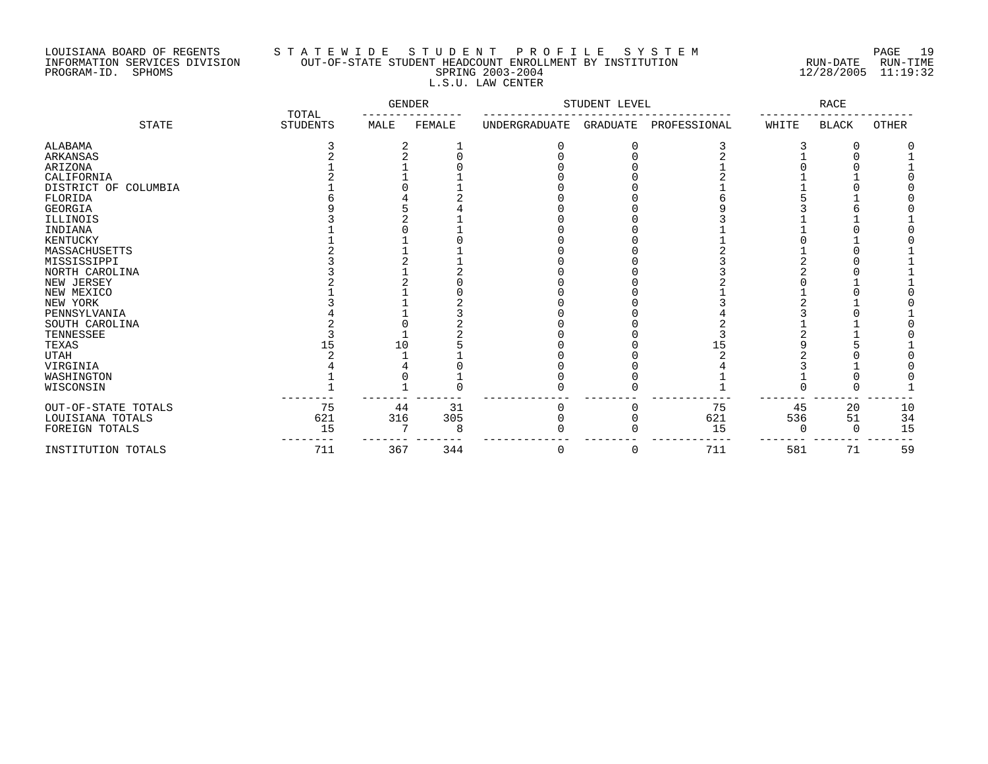## LOUISIANA BOARD OF REGENTS S T A T E W I D E S T U D E N T P R O F I L E S Y S T E M PAGE 19 INFORMATION SERVICES DIVISION OUT-OF-STATE STUDENT HEADCOUNT ENROLLMENT BY INSTITUTION RUN-DATE RUN-TIME PROGRAM-ID. SPHOMS SPRING 2003-2004 12/28/2005 11:19:32 L.S.U. LAW CENTER

|                      | TOTAL           | GENDER |        | STUDENT LEVEL |          | RACE         |       |              |       |
|----------------------|-----------------|--------|--------|---------------|----------|--------------|-------|--------------|-------|
| <b>STATE</b>         | <b>STUDENTS</b> | MALE   | FEMALE | UNDERGRADUATE | GRADUATE | PROFESSIONAL | WHITE | <b>BLACK</b> | OTHER |
| ALABAMA              |                 |        |        |               |          |              |       |              |       |
| ARKANSAS             |                 |        |        |               |          |              |       |              |       |
| ARIZONA              |                 |        |        |               |          |              |       |              |       |
| CALIFORNIA           |                 |        |        |               |          |              |       |              |       |
| DISTRICT OF COLUMBIA |                 |        |        |               |          |              |       |              |       |
| FLORIDA              |                 |        |        |               |          |              |       |              |       |
| <b>GEORGIA</b>       |                 |        |        |               |          |              |       |              |       |
| ILLINOIS             |                 |        |        |               |          |              |       |              |       |
| INDIANA              |                 |        |        |               |          |              |       |              |       |
| KENTUCKY             |                 |        |        |               |          |              |       |              |       |
| MASSACHUSETTS        |                 |        |        |               |          |              |       |              |       |
| MISSISSIPPI          |                 |        |        |               |          |              |       |              |       |
| NORTH CAROLINA       |                 |        |        |               |          |              |       |              |       |
| NEW JERSEY           |                 |        |        |               |          |              |       |              |       |
| NEW MEXICO           |                 |        |        |               |          |              |       |              |       |
| NEW YORK             |                 |        |        |               |          |              |       |              |       |
| PENNSYLVANIA         |                 |        |        |               |          |              |       |              |       |
| SOUTH CAROLINA       |                 |        |        |               |          |              |       |              |       |
| TENNESSEE            |                 |        |        |               |          |              |       |              |       |
| TEXAS                | 15              | 10     |        |               |          |              |       |              |       |
| <b>UTAH</b>          |                 |        |        |               |          |              |       |              |       |
| VIRGINIA             |                 |        |        |               |          |              |       |              |       |
| WASHINGTON           |                 |        |        |               |          |              |       |              |       |
| WISCONSIN            |                 |        |        |               |          |              |       |              |       |
| OUT-OF-STATE TOTALS  | 75              | 44     | 31     | 0             |          | 75           | 45    | 20           | 10    |
| LOUISIANA TOTALS     | 621             | 316    | 305    |               |          | 621          | 536   | 51           | 34    |
| FOREIGN TOTALS       | 15              |        | 8      |               |          | 15           |       |              | 15    |
| INSTITUTION TOTALS   | 711             | 367    | 344    | 0             |          | 711          | 581   | 71           | 59    |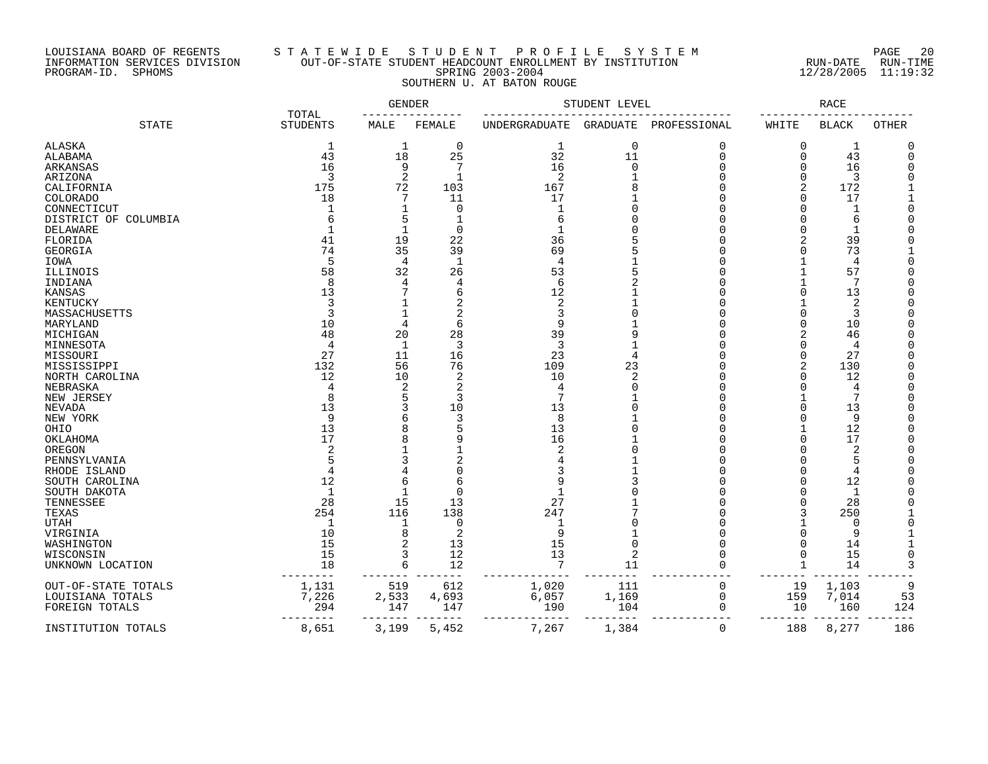### LOUISIANA BOARD OF REGENTS S T A T E W I D E S T U D E N T P R O F I L E S Y S T E M PAGE 20 INFORMATION SERVICES DIVISION OUT-OF-STATE STUDENT HEADCOUNT ENROLLMENT BY INSTITUTION RUN-DATE RUN-TIME ت بین بین الله الله عليه الله عليه الله عليه الله عليه الله عليه الله عليه الله عليه الله عليه الله عليه الله<br>INFORMATION SERVICES DIVISION OUT-OF-STATE STUDENT HEADCOUNT ENROLLMENT BY INSTITUTION RUN-DATE RUN-TIME<br>PROGRA SOUTHERN U. AT BATON ROUGE

|                      | <b>TOTAL</b>         | GENDER         |                | STUDENT LEVEL        |                 | RACE         |             |                |              |
|----------------------|----------------------|----------------|----------------|----------------------|-----------------|--------------|-------------|----------------|--------------|
| <b>STATE</b>         | <b>STUDENTS</b>      | MALE           | FEMALE         | <b>UNDERGRADUATE</b> | <b>GRADUATE</b> | PROFESSIONAL | WHITE       | <b>BLACK</b>   | <b>OTHER</b> |
| <b>ALASKA</b>        | 1                    | 1              | 0              | 1                    | $\mathbf 0$     | $\Omega$     | 0           | $\mathbf{1}$   | O            |
| ALABAMA              | 43                   | 18             | 25             | 32                   | 11              | $\Omega$     | 0           | 43             | $\Omega$     |
| ARKANSAS             | 16                   | 9              | 7              | 16                   | $\mathbf 0$     | $\Omega$     | O           | 16             |              |
| ARIZONA              | 3                    | 2              | 1              | 2                    |                 | $\Omega$     | 0           | 3              |              |
|                      | 175                  | 72             | 103            | 167                  |                 | $\Omega$     |             | 172            |              |
| CALIFORNIA           |                      |                |                |                      |                 | $\Omega$     | 2           |                |              |
| <b>COLORADO</b>      | 18                   | 7              | 11             | 17                   |                 |              | 0           | 17             |              |
| CONNECTICUT          |                      |                | $\mathbf 0$    | -1                   | $\Omega$        | $\Omega$     | O           | 1              | $\bigcap$    |
| DISTRICT OF COLUMBIA |                      | 5              |                | 6                    | $\Omega$        | $\Omega$     | O           | 6              | $\bigcap$    |
| <b>DELAWARE</b>      |                      | 1              | $\Omega$       | -1                   | ∩               | $\cap$       | O           | $\mathbf 1$    |              |
| FLORIDA              | 41                   | 19             | 22             | 36                   |                 |              | 2           | 39             | $\cap$       |
| GEORGIA              | 74                   | 35             | 39             | 69                   |                 |              | O           | 73             |              |
| IOWA                 | 5                    | 4              | $\mathbf 1$    | $\overline{4}$       |                 |              |             | 4              | C            |
| ILLINOIS             | 58                   | 32             | 26             | 53                   |                 |              |             | 57             |              |
| INDIANA              | 8                    | 4              | $\overline{4}$ | 6                    |                 |              |             | 7              |              |
| <b>KANSAS</b>        | 13                   |                | 6              | 12                   |                 |              | $\Omega$    | 13             |              |
|                      | 3                    |                |                | $\overline{2}$       |                 | U            |             |                |              |
| KENTUCKY             |                      |                | 2              |                      |                 |              |             | 2              |              |
| MASSACHUSETTS        | 3                    | 1              | 2              | 3                    |                 | n            | O           | 3              |              |
| MARYLAND             | 10                   | $\overline{4}$ | 6              | 9                    |                 | $\cap$       | O           | 10             |              |
| MICHIGAN             | 48                   | 20             | 28             | 39                   | 9               | <sup>n</sup> | 2           | 46             |              |
| MINNESOTA            | 4                    | 1              | 3              | 3                    |                 | $\Omega$     | O           | 4              |              |
| MISSOURI             | 27                   | 11             | 16             | 23                   |                 | $\Omega$     | 0           | 27             | $\cap$       |
| MISSISSIPPI          | 132                  | 56             | 76             | 109                  | 23              | <sup>n</sup> | 2           | 130            |              |
| NORTH CAROLINA       | 12                   | 10             | 2              | 10                   | $\overline{2}$  | $\Omega$     | 0           | 12             | $\bigcap$    |
| NEBRASKA             | $\overline{4}$       | 2              | 2              | 4                    | $\Omega$        | $\Omega$     | O           | 4              |              |
| NEW JERSEY           | 8                    | 5              | 3              | 7                    |                 |              |             | 7              |              |
|                      | 13                   | 3              | 10             | 13                   |                 | U            | O           | 13             |              |
| NEVADA               | 9                    |                |                |                      |                 |              |             |                |              |
| NEW YORK             |                      | 6              | 3              | 8                    |                 |              | O           | 9              |              |
| OHIO                 | 13                   | 8              |                | 13                   | O               |              |             | 12             |              |
| OKLAHOMA             | 17                   | 8              |                | 16                   |                 |              | ∩           | 17             |              |
| OREGON               | 2                    |                |                | 2                    |                 |              | N           | $\overline{2}$ |              |
| PENNSYLVANIA         |                      | 3              |                |                      |                 | U            | U           | 5              |              |
| RHODE ISLAND         |                      | 4              |                |                      |                 | $\cap$       | O           | 4              |              |
| SOUTH CAROLINA       | 12                   | 6              | 6              |                      | 3               | $\Omega$     | O           | 12             |              |
| SOUTH DAKOTA         | $\mathbf{1}$         | 1              | $\Omega$       | $\mathbf{1}$         |                 | $\Omega$     | O           | 1              | $\cap$       |
| TENNESSEE            | 28                   | 15             | 13             | 27                   |                 | $\cap$       | O           | 28             | $\cap$       |
| TEXAS                | 254                  | 116            | 138            | 247                  |                 | <sup>n</sup> | 3           | 250            |              |
| <b>UTAH</b>          | -1                   |                | 0              |                      | $\Omega$        | <sup>n</sup> |             | 0              | $\bigcap$    |
|                      |                      |                |                |                      |                 |              |             |                |              |
| VIRGINIA             | 10                   | 8              | 2              | 9                    |                 |              | O           | 9              |              |
| WASHINGTON           | 15                   | 2              | 13             | 15                   | 0               | <sup>n</sup> | O           | 14             |              |
| WISCONSIN            | 15                   | 3              | 12             | 13                   | $\overline{2}$  |              | 0           | 15             | $\Omega$     |
| UNKNOWN LOCATION     | 18                   | 6              | 12             | $\overline{7}$       | 11              | $\Omega$     | $\mathbf 1$ | 14             | 3            |
| OUT-OF-STATE TOTALS  | 1,131                | 519            | 612            | 1,020                | 111             | 0            | 19          | 1,103          | q            |
| LOUISIANA TOTALS     | 7,226                | 2,533          | 4,693          | 6,057                | 1,169           | $\mathbf 0$  | 159         | 7,014          | 53           |
| FOREIGN TOTALS       | 294                  | 147            | 147            | 190                  | 104             | $\Omega$     | 10          | 160            | 124          |
| INSTITUTION TOTALS   | . - - - - -<br>8,651 | 3,199          | 5,452          | 7,267                | 1,384           | $\mathbf 0$  | 188         | 8,277          | 186          |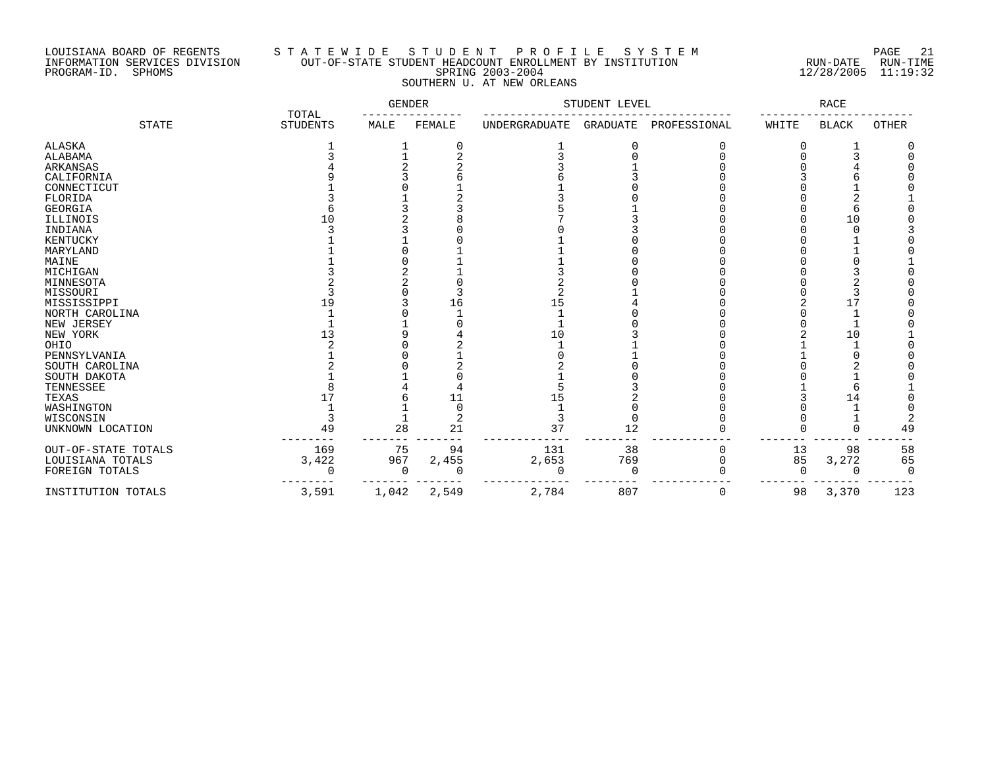### LOUISIANA BOARD OF REGENTS S T A T E W I D E S T U D E N T P R O F I L E S Y S T E M PAGE 21 INFORMATION SERVICES DIVISION OUT-OF-STATE STUDENT HEADCOUNT ENROLLMENT BY INSTITUTION RUN-DATE RUN-TIME PROGRAM-ID. SPHOMS SPRING 2003-2004 12/28/2005 11:19:32 SOUTHERN U. AT NEW ORLEANS

|                     | TOTAL           | GENDER |        | STUDENT LEVEL        |                 | RACE         |       |              |       |
|---------------------|-----------------|--------|--------|----------------------|-----------------|--------------|-------|--------------|-------|
| <b>STATE</b>        | <b>STUDENTS</b> | MALE   | FEMALE | <b>UNDERGRADUATE</b> | <b>GRADUATE</b> | PROFESSIONAL | WHITE | <b>BLACK</b> | OTHER |
| ALASKA              |                 |        | 0      |                      | 0               |              |       |              |       |
| ALABAMA             |                 |        |        |                      |                 |              |       |              |       |
| ARKANSAS            |                 |        |        |                      |                 |              |       |              |       |
| CALIFORNIA          |                 |        |        |                      |                 |              |       |              |       |
| CONNECTICUT         |                 |        |        |                      |                 |              |       |              |       |
| FLORIDA             |                 |        |        |                      |                 |              |       |              |       |
| <b>GEORGIA</b>      |                 |        |        |                      |                 |              |       |              |       |
| ILLINOIS            | 10              |        |        |                      |                 |              |       | 10           |       |
| INDIANA             |                 |        |        |                      |                 |              |       |              |       |
| <b>KENTUCKY</b>     |                 |        |        |                      |                 |              |       |              |       |
| MARYLAND            |                 |        |        |                      |                 |              |       |              |       |
| MAINE               |                 |        |        |                      |                 |              |       |              |       |
| MICHIGAN            |                 |        |        |                      |                 |              |       |              |       |
| MINNESOTA           |                 |        |        |                      |                 |              |       |              |       |
| MISSOURI            |                 |        |        | ∠                    |                 |              |       |              |       |
| MISSISSIPPI         | 19              |        | 16     | 15                   |                 |              |       | 17           |       |
| NORTH CAROLINA      |                 |        |        |                      |                 |              |       |              |       |
| NEW JERSEY          |                 |        |        |                      |                 |              |       |              |       |
| NEW YORK            | 13              |        |        | 10                   |                 |              |       | 10           |       |
| OHIO                |                 |        |        |                      |                 |              |       |              |       |
| PENNSYLVANIA        |                 |        |        |                      |                 |              |       |              |       |
| SOUTH CAROLINA      |                 |        |        |                      |                 |              |       |              |       |
| SOUTH DAKOTA        |                 |        |        |                      |                 |              |       |              |       |
| TENNESSEE           |                 |        |        |                      |                 |              |       |              |       |
| TEXAS               | 17              |        | 11     | 15                   |                 |              |       | 14           |       |
| WASHINGTON          |                 |        |        |                      |                 |              |       |              |       |
| WISCONSIN           |                 |        | 2      |                      |                 |              |       |              |       |
| UNKNOWN LOCATION    | 49              | 28     | 21     | 37                   | 12              |              |       |              | 49    |
| OUT-OF-STATE TOTALS | 169             | 75     | 94     | 131                  | 38              | 0            | 13    | 98           | 58    |
| LOUISIANA TOTALS    | 3,422           | 967    | 2,455  | 2,653                | 769             | $\Omega$     | 85    | 3,272        | 65    |
| FOREIGN TOTALS      | $\cap$          | 0      |        | 0                    | 0               |              | ∩     |              |       |
| INSTITUTION TOTALS  | 3,591           | 1,042  | 2,549  | 2,784                | 807             | 0            | 98    | 3,370        | 123   |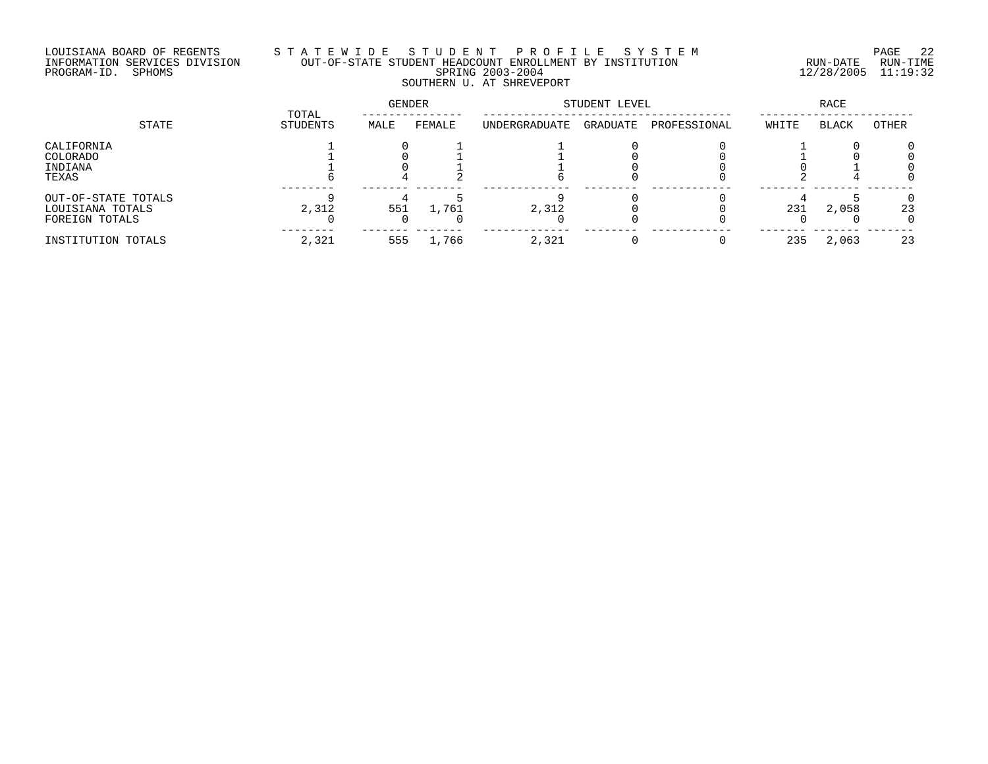## LOUISIANA BOARD OF REGENTS S T A T E W I D E S T U D E N T P R O F I L E S Y S T E M PAGE 22 INFORMATION SERVICES DIVISION OUT-OF-STATE STUDENT HEADCOUNT ENROLLMENT BY INSTITUTION RUN-DATE RUN-TIME PROGRAM-ID. SPHOMS SPRING 2003-2004 12/28/2005 11:19:32 SOUTHERN U. AT SHREVEPORT

| STATE                                                     | TOTAL<br>STUDENTS | GENDER |        | STUDENT LEVEL |          |              | RACE  |              |              |
|-----------------------------------------------------------|-------------------|--------|--------|---------------|----------|--------------|-------|--------------|--------------|
|                                                           |                   | MALE   | FEMALE | UNDERGRADUATE | GRADUATE | PROFESSIONAL | WHITE | <b>BLACK</b> | OTHER        |
| CALIFORNIA<br>COLORADO<br>INDIANA<br>TEXAS                |                   |        |        |               |          |              |       |              |              |
| OUT-OF-STATE TOTALS<br>LOUISIANA TOTALS<br>FOREIGN TOTALS | 2,312             | 551    | 1,761  | 2,312         |          |              | 231   | 2,058        | 23<br>$\cap$ |
| INSTITUTION TOTALS                                        | 2,321             | 555    | 1,766  | 2,321         |          |              | 235   | 2,063        | 23           |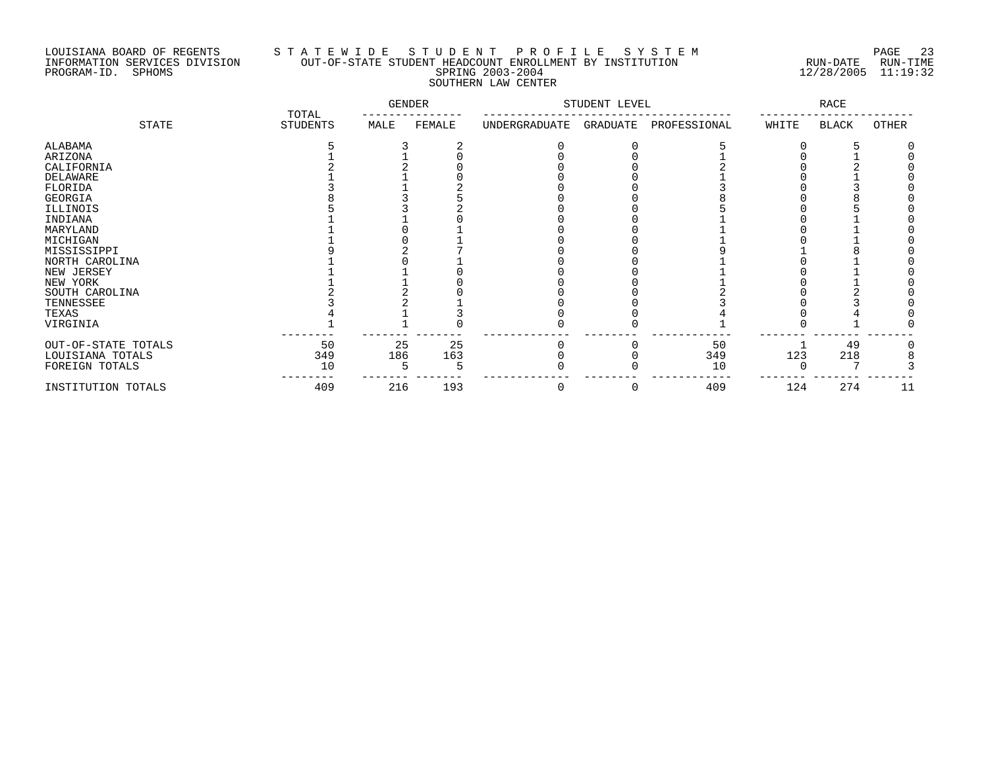# LOUISIANA BOARD OF REGENTS S T A T E W I D E S T U D E N T P R O F I L E S Y S T E M PAGE 23 INFORMATION SERVICES DIVISION OUT-OF-STATE STUDENT HEADCOUNT ENROLLMENT BY INSTITUTION RUN-DATE RUN-TIME PROGRAM-ID. SPHOMS SPRING 2003-2004 12/28/2005 11:19:32 SOUTHERN LAW CENTER

|                     | TOTAL           | GENDER |        | STUDENT LEVEL |          | RACE         |       |              |       |
|---------------------|-----------------|--------|--------|---------------|----------|--------------|-------|--------------|-------|
| STATE               | <b>STUDENTS</b> | MALE   | FEMALE | UNDERGRADUATE | GRADUATE | PROFESSIONAL | WHITE | <b>BLACK</b> | OTHER |
| ALABAMA             |                 |        |        |               |          |              |       |              |       |
| ARIZONA             |                 |        |        |               |          |              |       |              |       |
| CALIFORNIA          |                 |        |        |               |          |              |       |              |       |
| <b>DELAWARE</b>     |                 |        |        |               |          |              |       |              |       |
| FLORIDA             |                 |        |        |               |          |              |       |              |       |
| GEORGIA             |                 |        |        |               |          |              |       |              |       |
| ILLINOIS            |                 |        |        |               |          |              |       |              |       |
| INDIANA             |                 |        |        |               |          |              |       |              |       |
| MARYLAND            |                 |        |        |               |          |              |       |              |       |
| MICHIGAN            |                 |        |        |               |          |              |       |              |       |
| MISSISSIPPI         |                 |        |        |               |          |              |       |              |       |
| NORTH CAROLINA      |                 |        |        |               |          |              |       |              |       |
| NEW JERSEY          |                 |        |        |               |          |              |       |              |       |
| NEW YORK            |                 |        |        |               |          |              |       |              |       |
| SOUTH CAROLINA      |                 |        |        |               |          |              |       |              |       |
| TENNESSEE           |                 |        |        |               |          |              |       |              |       |
| TEXAS               |                 |        |        |               |          |              |       |              |       |
| VIRGINIA            |                 |        |        |               |          |              |       |              |       |
| OUT-OF-STATE TOTALS | 50              | 25     | 25     |               |          | 50           |       | 49           |       |
| LOUISIANA TOTALS    | 349             | 186    | 163    |               |          | 349          | 123   | 218          |       |
| FOREIGN TOTALS      | 10              |        |        |               |          | 10           |       |              |       |
| INSTITUTION TOTALS  | 409             | 216    | 193    | 0             | 0        | 409          | 124   | 274          | 11    |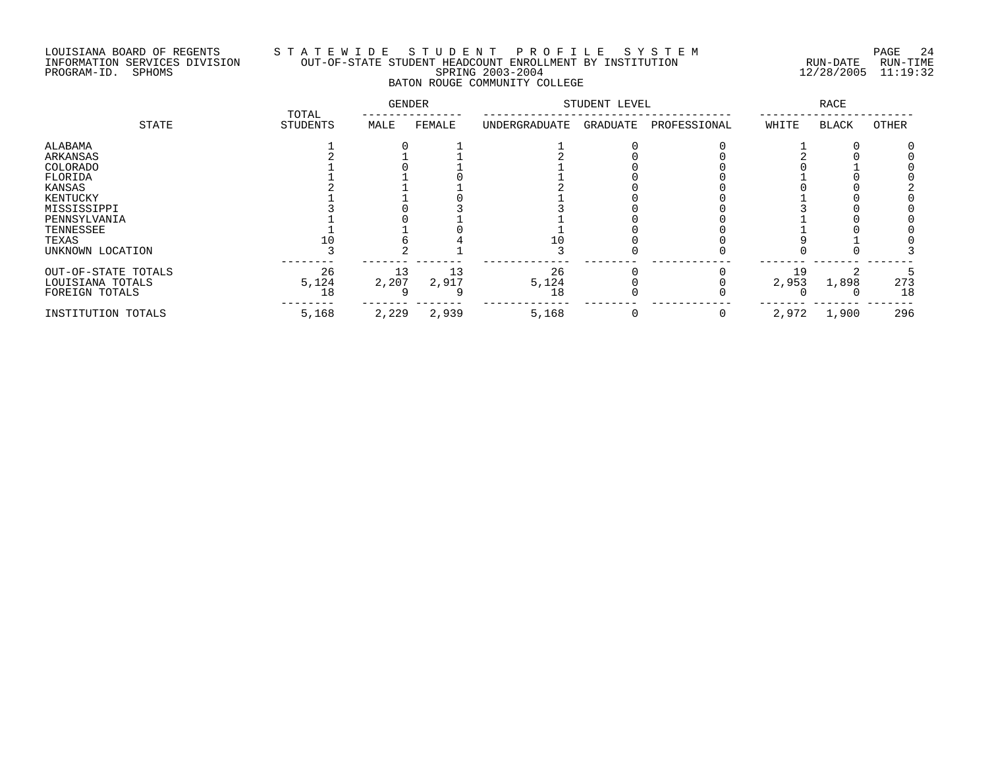### LOUISIANA BOARD OF REGENTS S T A T E W I D E S T U D E N T P R O F I L E S Y S T E M PAGE 24 INFORMATION SERVICES DIVISION OUT-OF-STATE STUDENT HEADCOUNT ENROLLMENT BY INSTITUTION RUN-DATE RUN-TIME PROGRAM-ID. SPHOMS SPRING 2003-2004 12/28/2005 11:19:32 BATON ROUGE COMMUNITY COLLEGE

|                     | TOTAL           | <b>GENDER</b> |        |               | STUDENT LEVEL |              |       | RACE         |       |
|---------------------|-----------------|---------------|--------|---------------|---------------|--------------|-------|--------------|-------|
| STATE               | <b>STUDENTS</b> | MALE          | FEMALE | UNDERGRADUATE | GRADUATE      | PROFESSIONAL | WHITE | <b>BLACK</b> | OTHER |
| ALABAMA             |                 |               |        |               |               |              |       |              |       |
| ARKANSAS            |                 |               |        |               |               |              |       |              |       |
| COLORADO            |                 |               |        |               |               |              |       |              |       |
| FLORIDA             |                 |               |        |               |               |              |       |              |       |
| KANSAS              |                 |               |        |               |               |              |       |              |       |
| KENTUCKY            |                 |               |        |               |               |              |       |              |       |
| MISSISSIPPI         |                 |               |        |               |               |              |       |              |       |
| PENNSYLVANIA        |                 |               |        |               |               |              |       |              |       |
| TENNESSEE           |                 |               |        |               |               |              |       |              |       |
| TEXAS               |                 |               |        |               |               |              |       |              |       |
| UNKNOWN LOCATION    |                 |               |        |               |               |              |       |              |       |
| OUT-OF-STATE TOTALS | 26              |               | 13     | 26            |               |              | 19    |              |       |
| LOUISIANA TOTALS    | 5,124           | 2,207         | 2,917  | 5,124         |               |              | 2,953 | 1,898        | 273   |
| FOREIGN TOTALS      | 18              |               |        | 18            |               |              |       |              | 18    |
| INSTITUTION TOTALS  | 5,168           | 2,229         | 2,939  | 5,168         |               | 0            | 2,972 | 1,900        | 296   |
|                     |                 |               |        |               |               |              |       |              |       |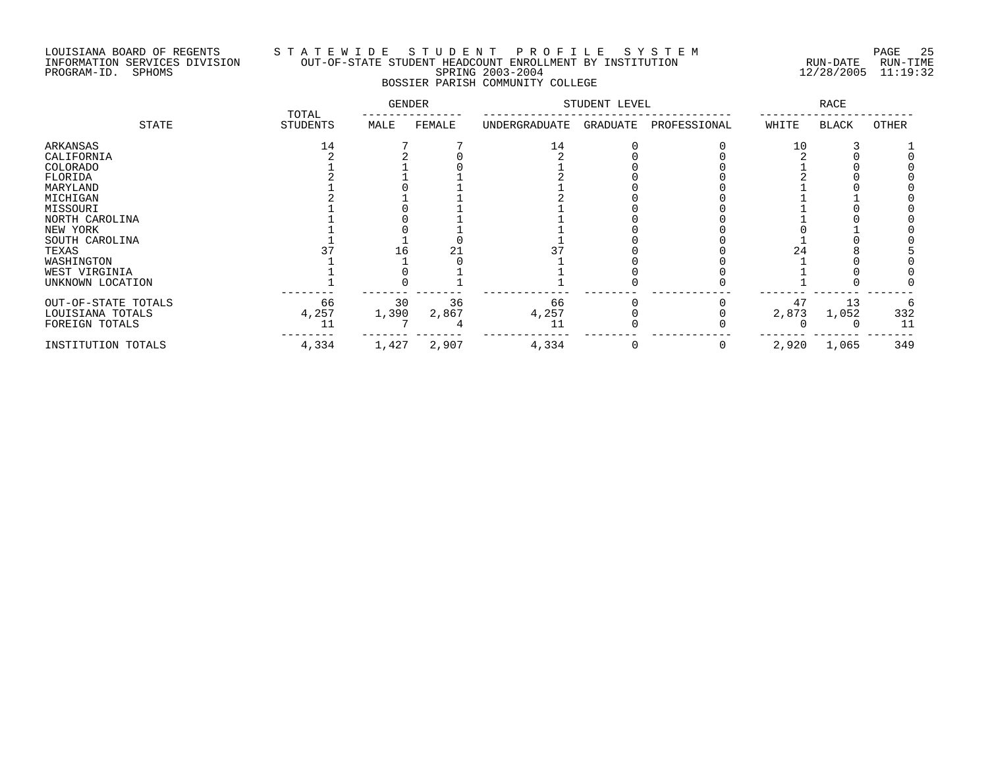### LOUISIANA BOARD OF REGENTS S T A T E W I D E S T U D E N T P R O F I L E S Y S T E M PAGE 25 INFORMATION SERVICES DIVISION OUT-OF-STATE STUDENT HEADCOUNT ENROLLMENT BY INSTITUTION RUN-DATE RUN-TIME PROGRAM-ID. SPHOMS SPRING 2003-2004 12/28/2005 11:19:32 BOSSIER PARISH COMMUNITY COLLEGE

|                     | TOTAL    | <b>GENDER</b> |        |               | STUDENT LEVEL |              |       | RACE         |       |
|---------------------|----------|---------------|--------|---------------|---------------|--------------|-------|--------------|-------|
| STATE               | STUDENTS | MALE          | FEMALE | UNDERGRADUATE | GRADUATE      | PROFESSIONAL | WHITE | <b>BLACK</b> | OTHER |
| ARKANSAS            | 14       |               |        | 14            |               |              | 10    |              |       |
| CALIFORNIA          |          |               |        |               |               |              |       |              |       |
| COLORADO            |          |               |        |               |               |              |       |              |       |
| FLORIDA             |          |               |        |               |               |              |       |              |       |
| MARYLAND            |          |               |        |               |               |              |       |              |       |
| MICHIGAN            |          |               |        |               |               |              |       |              |       |
| MISSOURI            |          |               |        |               |               |              |       |              |       |
| NORTH CAROLINA      |          |               |        |               |               |              |       |              |       |
| NEW YORK            |          |               |        |               |               |              |       |              |       |
| SOUTH CAROLINA      |          |               |        |               |               |              |       |              |       |
| TEXAS               |          | L6            |        |               |               |              |       |              |       |
| WASHINGTON          |          |               |        |               |               |              |       |              |       |
| WEST VIRGINIA       |          |               |        |               |               |              |       |              |       |
| UNKNOWN LOCATION    |          |               |        |               |               |              |       |              |       |
| OUT-OF-STATE TOTALS | 66       | 30            | 36     | 66            |               |              | 47    | 13           |       |
| LOUISIANA TOTALS    | 4,257    | 1,390         | 2,867  | 4,257         |               |              | 2,873 | 1,052        | 332   |
| FOREIGN TOTALS      | 11       |               |        | 11            |               |              |       |              | 11    |
| INSTITUTION TOTALS  | 4,334    | 1,427         | 2,907  | 4,334         |               |              | 2,920 | 1,065        | 349   |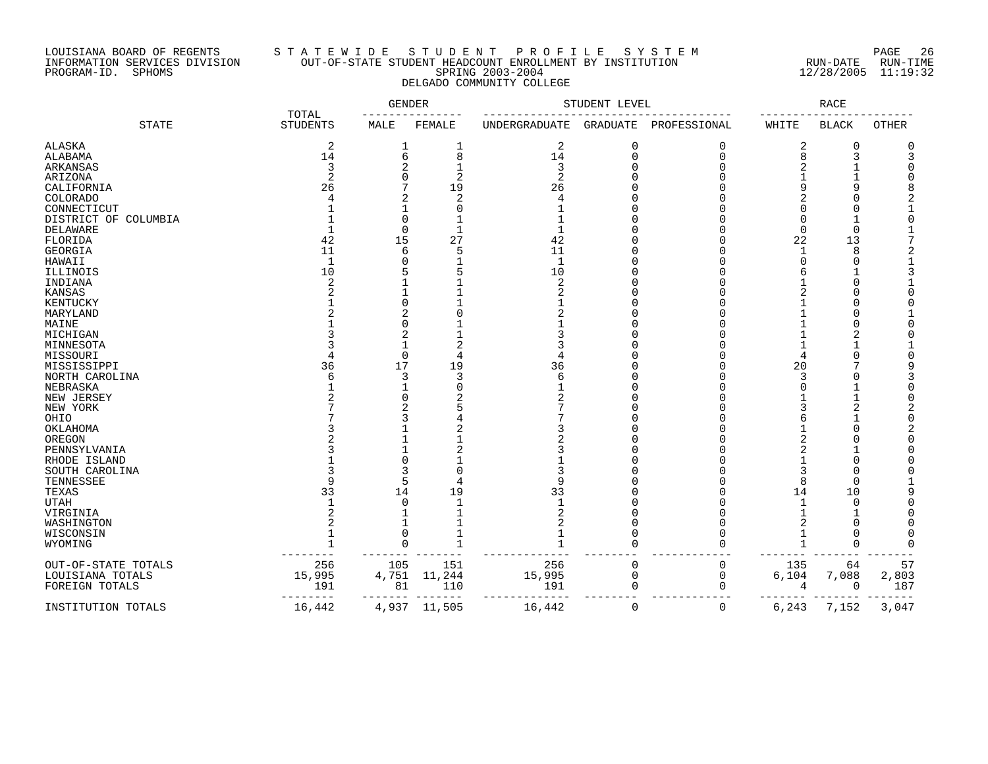### LOUISIANA BOARD OF REGENTS S T A T E W I D E S T U D E N T P R O F I L E S Y S T E M PAGE 26 INFORMATION SERVICES DIVISION OUT-OF-STATE STUDENT HEADCOUNT ENROLLMENT BY INSTITUTION RUN-DATE RUN-TIME PROGRAM-ID. SPHOMS SPRING 2003-2004 12/28/2005 11:19:32 DELGADO COMMUNITY COLLEGE

|                      | TOTAL           | GENDER   |                |               | STUDENT LEVEL |              |             | RACE         |              |
|----------------------|-----------------|----------|----------------|---------------|---------------|--------------|-------------|--------------|--------------|
| <b>STATE</b>         | <b>STUDENTS</b> | MALE     | FEMALE         | UNDERGRADUATE | GRADUATE      | PROFESSIONAL | WHITE       | <b>BLACK</b> | <b>OTHER</b> |
| <b>ALASKA</b>        | 2               | 1        | 1              | 2             | 0             | $\Omega$     | 2           | 0            |              |
| ALABAMA              | 14              | 6        | 8              | 14            | 0             | $\Omega$     | 8           | 3            |              |
| ARKANSAS             | 3               | 2        |                | 3             | U             |              |             |              |              |
| ARIZONA              | $\overline{c}$  | O        | 2              | 2             |               |              |             |              |              |
| CALIFORNIA           | 26              |          | 19             | 26            |               |              |             |              |              |
| <b>COLORADO</b>      |                 | 2        | 2              |               |               |              |             |              |              |
| CONNECTICUT          |                 |          |                |               |               |              |             |              |              |
| DISTRICT OF COLUMBIA |                 | 0        |                |               |               |              | n           |              |              |
| DELAWARE             |                 | $\Omega$ |                |               |               |              | 0           | $\cup$       |              |
| FLORIDA              | 42              | 15       | 27             | 42            |               |              | 22          | 13           |              |
| GEORGIA              | 11              | 6        | 5              | 11            |               |              | $\mathbf 1$ | 8            |              |
| HAWAII               | $\mathbf{1}$    | U        |                | $\mathbf{1}$  |               |              | $\cap$      | C            |              |
| ILLINOIS             | 10              |          |                | 10            |               |              | 6           |              |              |
| INDIANA              | 2               |          |                | 2             |               |              |             | C            |              |
| KANSAS               |                 |          |                |               |               |              |             |              |              |
| KENTUCKY             |                 | $\Omega$ |                |               |               |              |             |              |              |
| MARYLAND             |                 | 2        |                |               |               |              |             |              |              |
| MAINE                |                 | $\Omega$ |                |               |               |              |             |              |              |
| MICHIGAN             |                 | 2        |                |               |               |              |             |              |              |
| MINNESOTA            |                 |          |                |               |               |              |             |              |              |
| MISSOURI             |                 | 0        | 4              |               |               |              | 4           | C            |              |
| MISSISSIPPI          | 36              | 17       | 19             | 36            |               |              | 20          |              |              |
| NORTH CAROLINA       | 6               | 3        | 3              | 6             |               |              | 3           | C            |              |
| NEBRASKA             |                 |          | $\bigcap$      |               |               |              | U           |              |              |
| NEW JERSEY           |                 | $\Omega$ |                |               |               |              |             |              |              |
| NEW YORK             |                 | 2        |                |               |               |              |             |              |              |
| OHIO                 |                 | ζ        |                |               |               |              | 6           |              |              |
| OKLAHOMA             |                 |          |                |               |               |              |             |              |              |
| OREGON               |                 |          |                |               |               |              |             |              |              |
| PENNSYLVANIA         |                 |          |                |               |               |              |             |              |              |
| RHODE ISLAND         |                 | 0        |                |               |               |              |             | C            |              |
| SOUTH CAROLINA       |                 | 3        | $\bigcap$      |               |               |              | 3           | ſ            |              |
| TENNESSEE            | q               | 5        | $\overline{4}$ |               |               |              | 8           | $\cup$       |              |
| TEXAS                | 33              | 14       | 19             | 33            |               |              | 14          | 10           |              |
| <b>UTAH</b>          |                 | 0        |                |               |               |              |             | $\cup$       |              |
| VIRGINIA             | 2               |          |                |               |               |              |             |              |              |
| WASHINGTON           |                 |          |                |               |               |              |             | C            |              |
| WISCONSIN            |                 | $\Omega$ |                |               | O             |              |             | C            |              |
| WYOMING              |                 | $\Omega$ |                |               | $\Omega$      | U            |             | $\cap$       |              |
| OUT-OF-STATE TOTALS  | 256             | 105      | 151            | 256           | 0             | 0            | 135         | 64           | 57           |
| LOUISIANA TOTALS     | 15,995          | 4,751    | 11,244         | 15,995        | 0             | 0            | 6,104       | 7,088        | 2,803        |
| FOREIGN TOTALS       | 191             | 81       | 110            | 191           | 0             | 0            | 4           | 0            | 187          |
|                      |                 |          |                |               |               |              |             |              |              |
| INSTITUTION TOTALS   | 16,442          | 4,937    | 11,505         | 16,442        | 0             | 0            | 6,243       | 7,152        | 3,047        |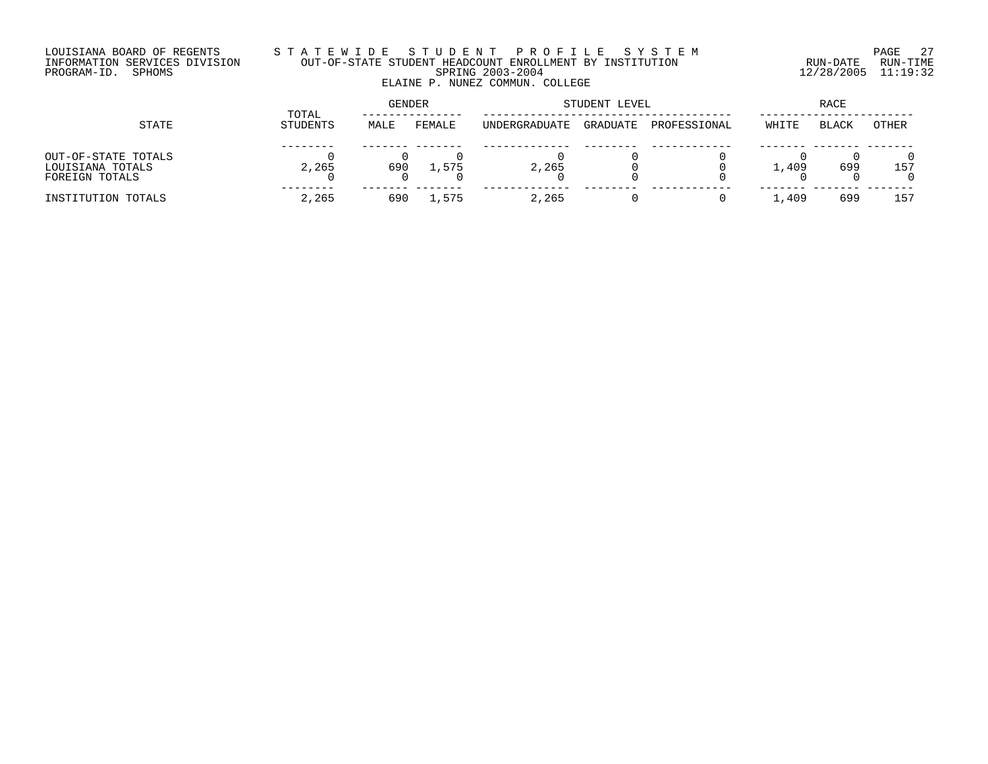### LOUISIANA BOARD OF REGENTS S T A T E W I D E S T U D E N T P R O F I L E S Y S T E M PAGE 27 INFORMATION SERVICES DIVISION OUT-OF-STATE STUDENT HEADCOUNT ENROLLMENT BY INSTITUTION RUN-DATE RUN-TIME PROGRAM-ID. SPHOMS SPRING 2003-2004 12/28/2005 11:19:32 ELAINE P. NUNEZ COMMUN. COLLEGE

| STATE                                                     |                   | GENDER |        | STUDENT LEVEL        | RACE     |              |       |              |       |
|-----------------------------------------------------------|-------------------|--------|--------|----------------------|----------|--------------|-------|--------------|-------|
|                                                           | TOTAL<br>STUDENTS | MALE   | FEMALE | <b>UNDERGRADUATE</b> | GRADUATE | PROFESSIONAL | WHITE | <b>BLACK</b> | OTHER |
| OUT-OF-STATE TOTALS<br>LOUISIANA TOTALS<br>FOREIGN TOTALS | 2,265             | 690    | 1,575  | 2,265                |          |              | 1,409 | 699          | 157   |
| INSTITUTION TOTALS                                        | 2,265             | 690    | 1,575  | 2,265                |          |              | 1,409 | 699          | 157   |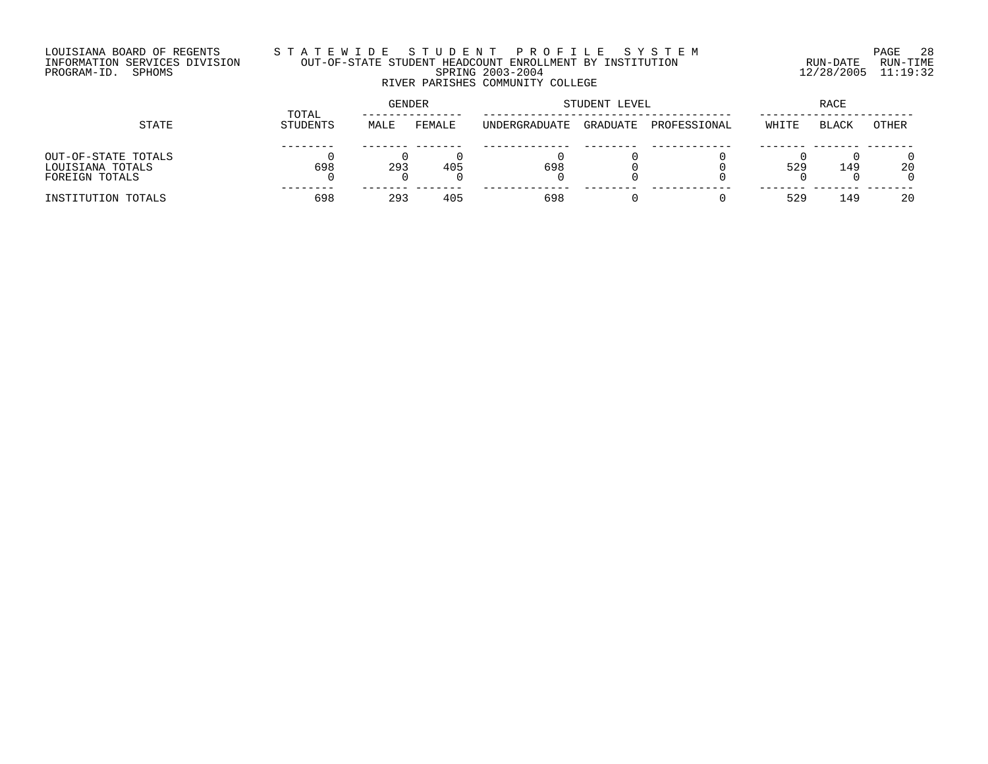## LOUISIANA BOARD OF REGENTS S T A T E W I D E S T U D E N T P R O F I L E S Y S T E M PAGE 28 INFORMATION SERVICES DIVISION OUT-OF-STATE STUDENT HEADCOUNT ENROLLMENT BY INSTITUTION RUN-DATE RUN-TIME PROGRAM-ID. SPHOMS SPRING 2003-2004 12/28/2005 11:19:32 RIVER PARISHES COMMUNITY COLLEGE

| STATE               |                   | <b>GENDER</b> |        | STUDENT LEVEL | RACE     |              |       |              |       |
|---------------------|-------------------|---------------|--------|---------------|----------|--------------|-------|--------------|-------|
|                     | TOTAL<br>STUDENTS | MALE          | FEMALE | UNDERGRADUATE | GRADUATE | PROFESSIONAL | WHITE | <b>BLACK</b> | OTHER |
|                     |                   |               |        |               |          |              |       |              |       |
| OUT-OF-STATE TOTALS |                   |               |        |               |          |              |       |              |       |
| LOUISIANA TOTALS    | 698               | 293           | 405    | 698           |          |              | 529   | 149          | 20    |
| FOREIGN TOTALS      |                   |               |        |               |          |              |       |              |       |
| INSTITUTION TOTALS  | 698               | 293           | 405    | 698           |          |              | 529   | 149          | 20    |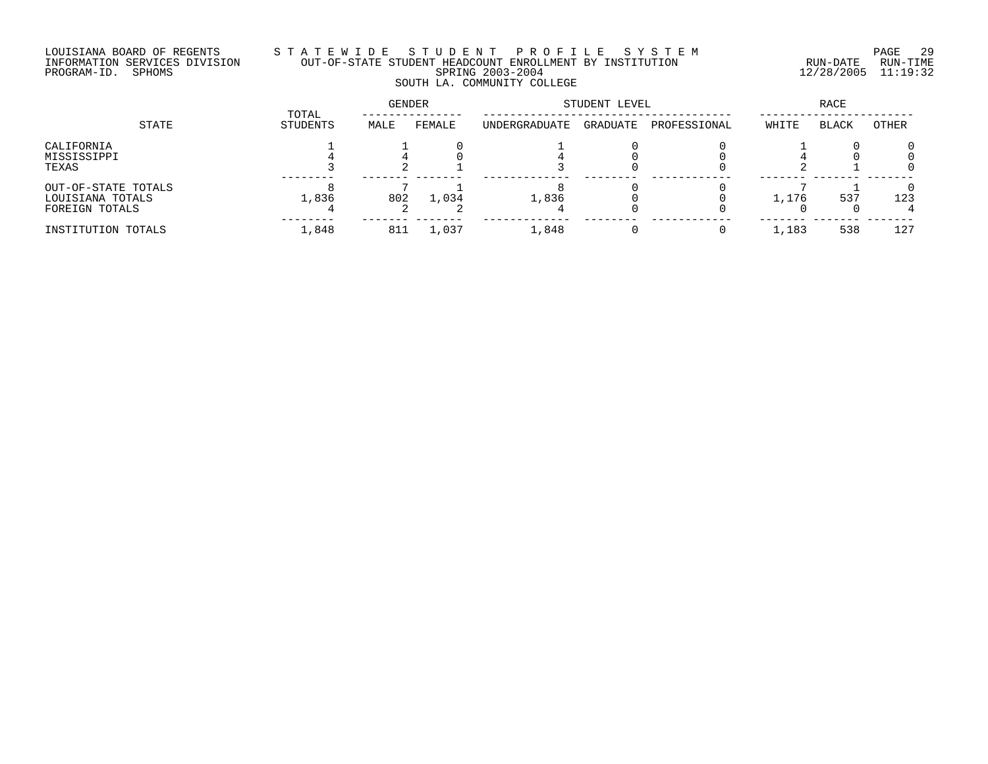## LOUISIANA BOARD OF REGENTS S T A T E W I D E S T U D E N T P R O F I L E S Y S T E M PAGE 29 INFORMATION SERVICES DIVISION OUT-OF-STATE STUDENT HEADCOUNT ENROLLMENT BY INSTITUTION RUN-DATE RUN-TIME PROGRAM-ID. SPHOMS SPRING 2003-2004 12/28/2005 11:19:32 SOUTH LA. COMMUNITY COLLEGE

|                                                           | TOTAL    | GENDER |        | STUDENT LEVEL |          | RACE         |       |              |       |
|-----------------------------------------------------------|----------|--------|--------|---------------|----------|--------------|-------|--------------|-------|
| STATE                                                     | STUDENTS | MALE   | FEMALE | UNDERGRADUATE | GRADUATE | PROFESSIONAL | WHITE | <b>BLACK</b> | OTHER |
| CALIFORNIA<br>MISSISSIPPI<br>TEXAS                        |          |        |        |               |          |              |       |              |       |
| OUT-OF-STATE TOTALS<br>LOUISIANA TOTALS<br>FOREIGN TOTALS | 1,836    | 802    | 1,034  | 1,836         |          |              | 1,176 | 537          | 123   |
| INSTITUTION TOTALS                                        | 1,848    | 811    | 1,037  | 1,848         |          | 0            | 1,183 | 538          | 127   |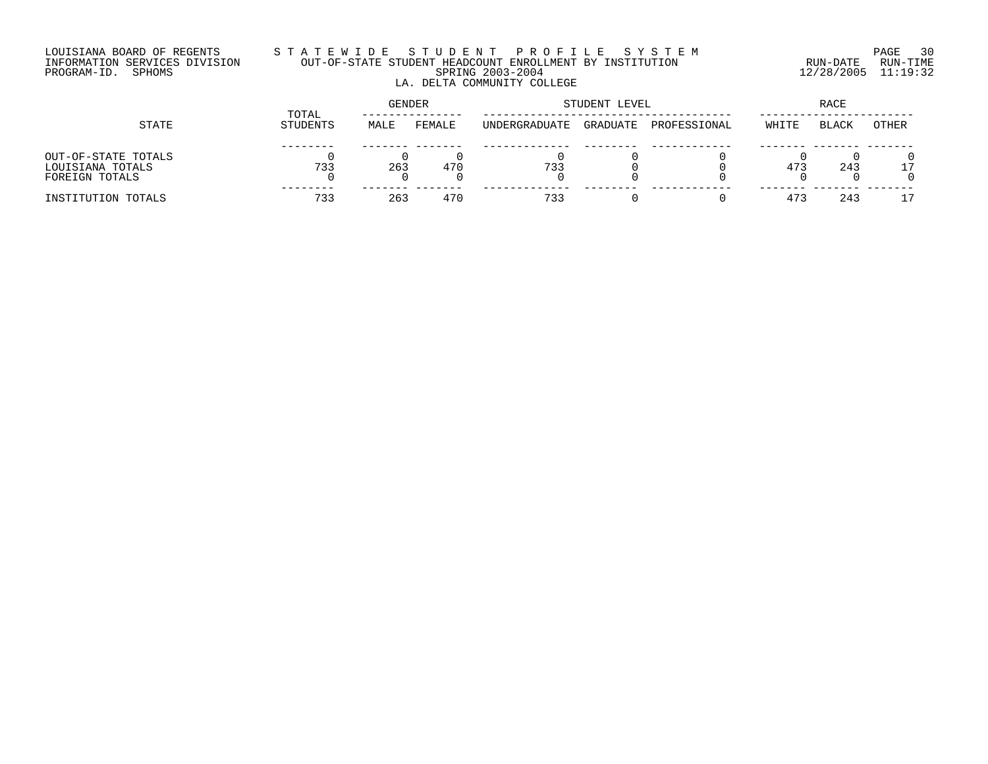### LOUISIANA BOARD OF REGENTS S T A T E W I D E S T U D E N T P R O F I L E S Y S T E M PAGE 30 INFORMATION SERVICES DIVISION OUT-OF-STATE STUDENT HEADCOUNT ENROLLMENT BY INSTITUTION RUN-DATE RUN-TIME PROGRAM-ID. SPHOMS SPRING 2003-2004 12/28/2005 11:19:32 LA. DELTA COMMUNITY COLLEGE

| STATE                                                     |                   |      | <b>GENDER</b> |                       | STUDENT LEVEL | RACE         |       |              |       |
|-----------------------------------------------------------|-------------------|------|---------------|-----------------------|---------------|--------------|-------|--------------|-------|
|                                                           | TOTAL<br>STUDENTS | MALE | FEMALE        | <b>IINDERGRADUATE</b> | GRADUATE      | PROFESSIONAL | WHITE | <b>BLACK</b> | OTHER |
| OUT-OF-STATE TOTALS<br>LOUISIANA TOTALS<br>FOREIGN TOTALS | 733               | 263  | 470           | 733                   |               |              | 473   | 243          | -7    |
| INSTITUTION TOTALS                                        | 733               | 263  | 470           | 733                   |               |              | 473   | 243          |       |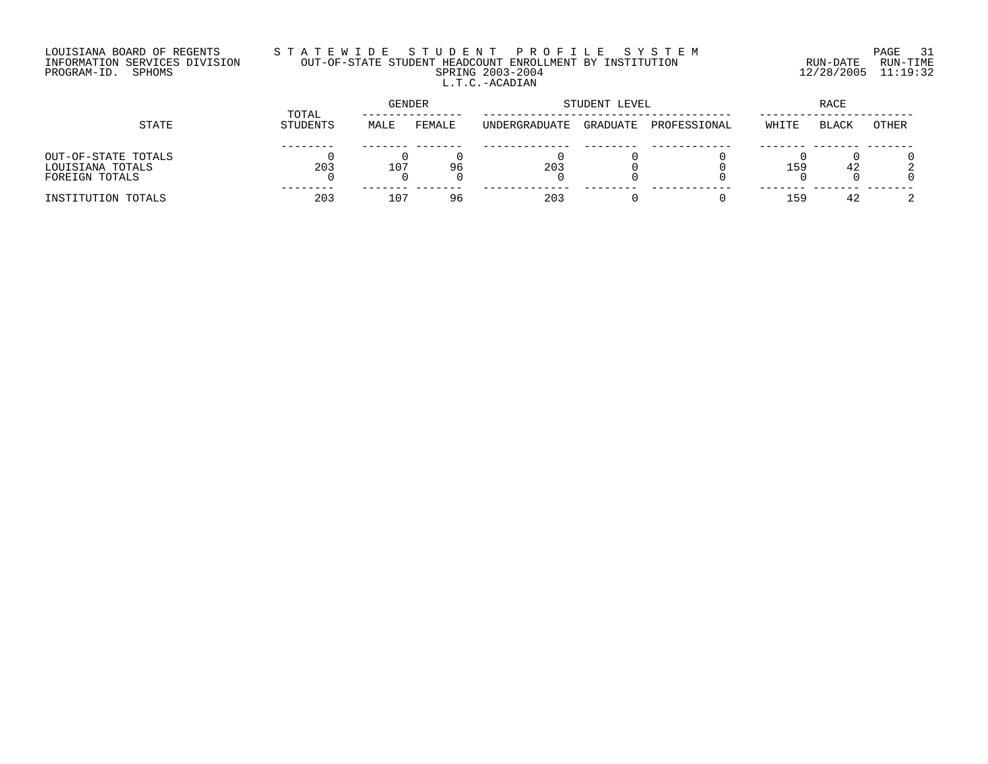# LOUISIANA BOARD OF REGENTS S T A T E W I D E S T U D E N T P R O F I L E S Y S T E M PAGE 31 INFORMATION SERVICES DIVISION OUT-OF-STATE STUDENT HEADCOUNT ENROLLMENT BY INSTITUTION RUN-DATE RUN-TIME PROGRAM-ID. SPHOMS SPRING 2003-2004 12/28/2005 11:19:32 L.T.C.-ACADIAN

| STATE                                                     |                   | GENDER          |        |               | STUDENT LEVEL | RACE         |       |              |       |
|-----------------------------------------------------------|-------------------|-----------------|--------|---------------|---------------|--------------|-------|--------------|-------|
|                                                           | TOTAL<br>STUDENTS | MALE            | FEMALE | UNDERGRADUATE | GRADUATE      | PROFESSIONAL | WHITE | <b>BLACK</b> | OTHER |
| OUT-OF-STATE TOTALS<br>LOUISIANA TOTALS<br>FOREIGN TOTALS | 203               | 107             | 96     | 203           |               |              | 159   | 42           |       |
| INSTITUTION TOTALS                                        | 203               | 10 <sup>7</sup> | 96     | 203           |               |              | 1 5 9 | 42           |       |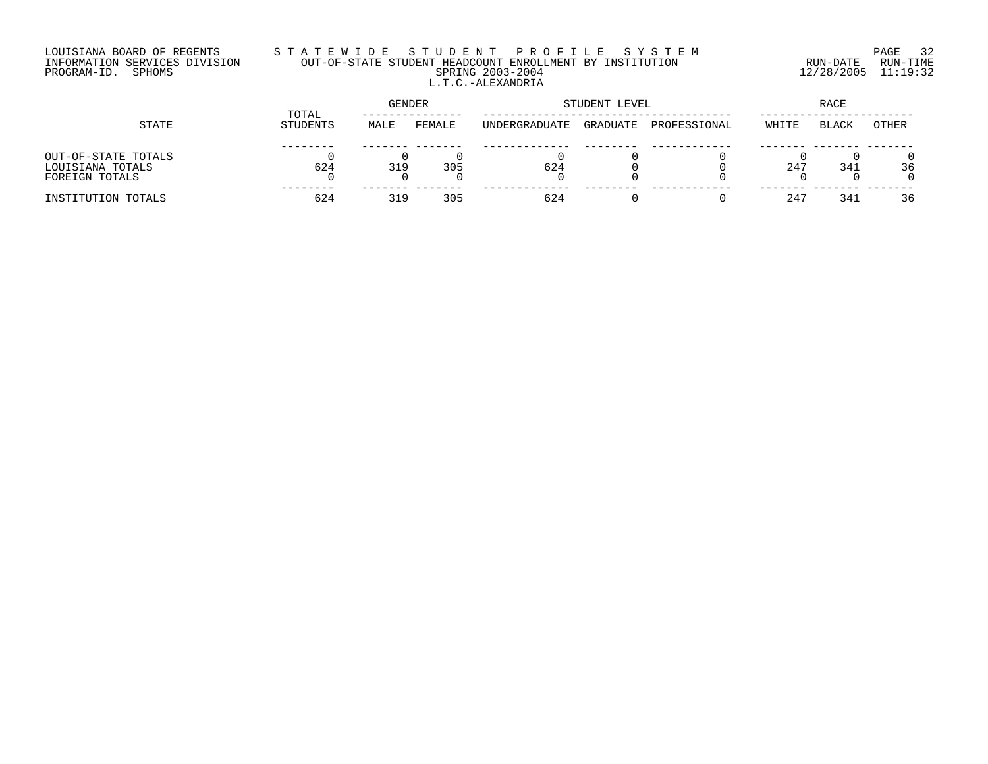## LOUISIANA BOARD OF REGENTS S T A T E W I D E S T U D E N T P R O F I L E S Y S T E M PAGE 32 INFORMATION SERVICES DIVISION OUT-OF-STATE STUDENT HEADCOUNT ENROLLMENT BY INSTITUTION RUN-DATE RUN-TIME PROGRAM-ID. SPHOMS SPRING 2003-2004 12/28/2005 11:19:32 L.T.C.-ALEXANDRIA

| STATE               |                   | GENDER |        |               | STUDENT LEVEL | RACE         |       |              |       |
|---------------------|-------------------|--------|--------|---------------|---------------|--------------|-------|--------------|-------|
|                     | TOTAL<br>STUDENTS | MALE   | FEMALE | UNDERGRADUATE | GRADUATE      | PROFESSIONAL | WHITE | <b>BLACK</b> | OTHER |
|                     |                   |        |        |               |               |              |       |              |       |
| OUT-OF-STATE TOTALS |                   |        |        |               |               |              |       |              |       |
| LOUISIANA TOTALS    | 624               | 319    | 305    | 624           |               |              | 247   | 341          | 36    |
| FOREIGN TOTALS      |                   |        |        |               |               |              |       |              |       |
| INSTITUTION TOTALS  | 624               | 319    | 305    | 624           |               |              | 24'   | 341          | 36    |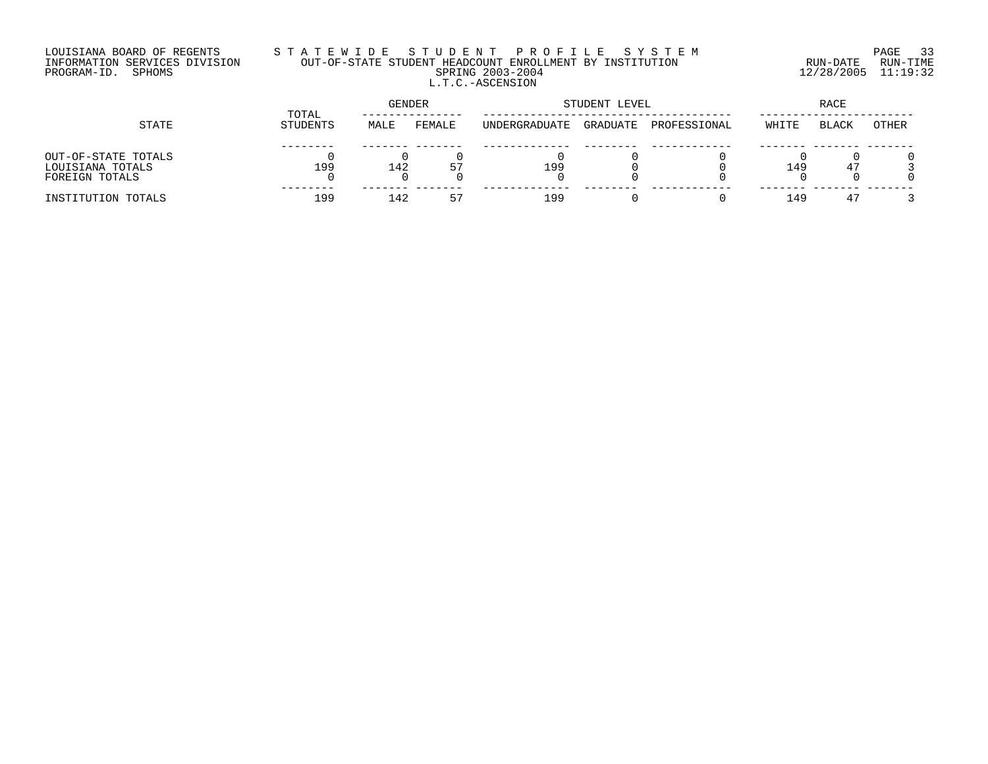# LOUISIANA BOARD OF REGENTS S T A T E W I D E S T U D E N T P R O F I L E S Y S T E M PAGE 33 INFORMATION SERVICES DIVISION OUT-OF-STATE STUDENT HEADCOUNT ENROLLMENT BY INSTITUTION RUN-DATE RUN-TIME PROGRAM-ID. SPHOMS SPRING 2003-2004 12/28/2005 11:19:32 L.T.C.-ASCENSION

| STATE                                                     |                   | <b>GENDER</b> |        | STUDENT LEVEL | RACE     |              |       |              |       |
|-----------------------------------------------------------|-------------------|---------------|--------|---------------|----------|--------------|-------|--------------|-------|
|                                                           | TOTAL<br>STUDENTS | MALE          | FEMALE | UNDERGRADUATE | GRADUATE | PROFESSIONAL | WHITE | <b>BLACK</b> | OTHER |
| OUT-OF-STATE TOTALS<br>LOUISIANA TOTALS<br>FOREIGN TOTALS | 199               | 142           | 57     | 199           |          |              | 149   | 47           |       |
| INSTITUTION TOTALS                                        | 199               | 142           | 57     | 199           |          |              | 149   | 47           |       |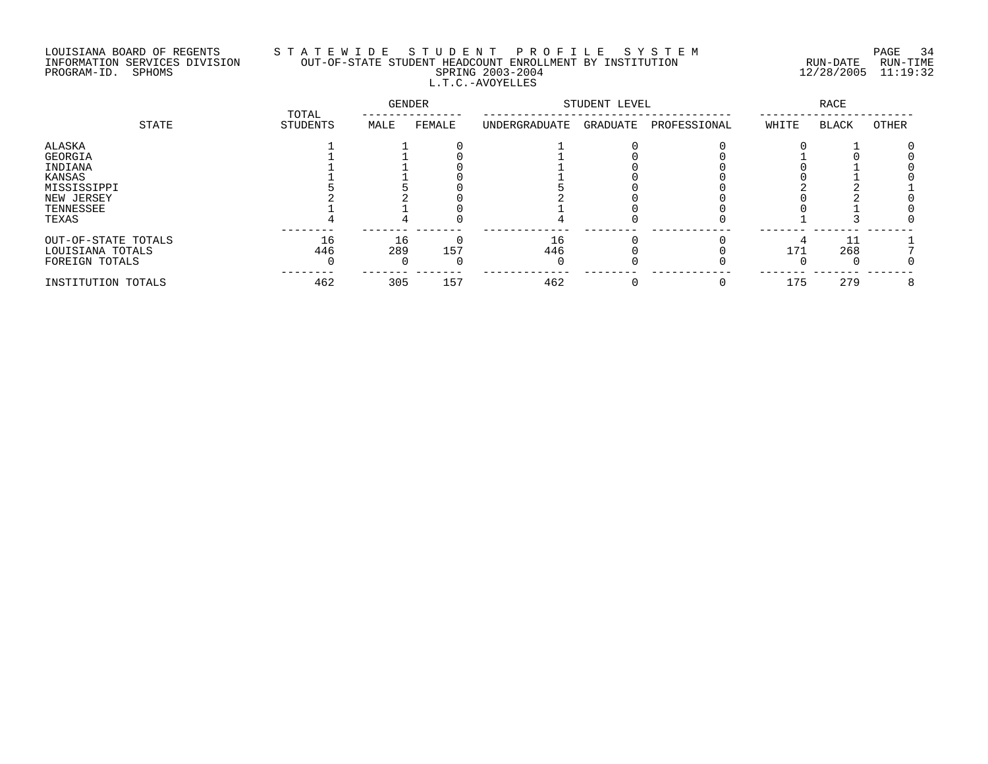# LOUISIANA BOARD OF REGENTS S T A T E W I D E S T U D E N T P R O F I L E S Y S T E M PAGE 34 INFORMATION SERVICES DIVISION OUT-OF-STATE STUDENT HEADCOUNT ENROLLMENT BY INSTITUTION RUN-DATE RUN-TIME PROGRAM-ID. SPHOMS SPRING 2003-2004 12/28/2005 11:19:32 L.T.C.-AVOYELLES

|                                         | TOTAL     | GENDER    |        | STUDENT LEVEL |          | <b>RACE</b>  |       |              |       |
|-----------------------------------------|-----------|-----------|--------|---------------|----------|--------------|-------|--------------|-------|
| STATE                                   | STUDENTS  | MALE      | FEMALE | UNDERGRADUATE | GRADUATE | PROFESSIONAL | WHITE | <b>BLACK</b> | OTHER |
| ALASKA<br>GEORGIA                       |           |           |        |               |          |              |       |              |       |
| INDIANA                                 |           |           |        |               |          |              |       |              |       |
| KANSAS<br>MISSISSIPPI                   |           |           |        |               |          |              |       |              |       |
| NEW JERSEY                              |           |           |        |               |          |              |       |              |       |
| TENNESSEE<br>TEXAS                      |           |           |        |               |          |              |       |              |       |
| OUT-OF-STATE TOTALS<br>LOUISIANA TOTALS | 16<br>446 | 16<br>289 | 157    | 16<br>446     |          |              | 171   | 268          |       |
| FOREIGN TOTALS                          |           |           |        |               |          |              |       |              |       |
| INSTITUTION TOTALS                      | 462       | 305       | 157    | 462           |          |              | 175   | 279          | 8     |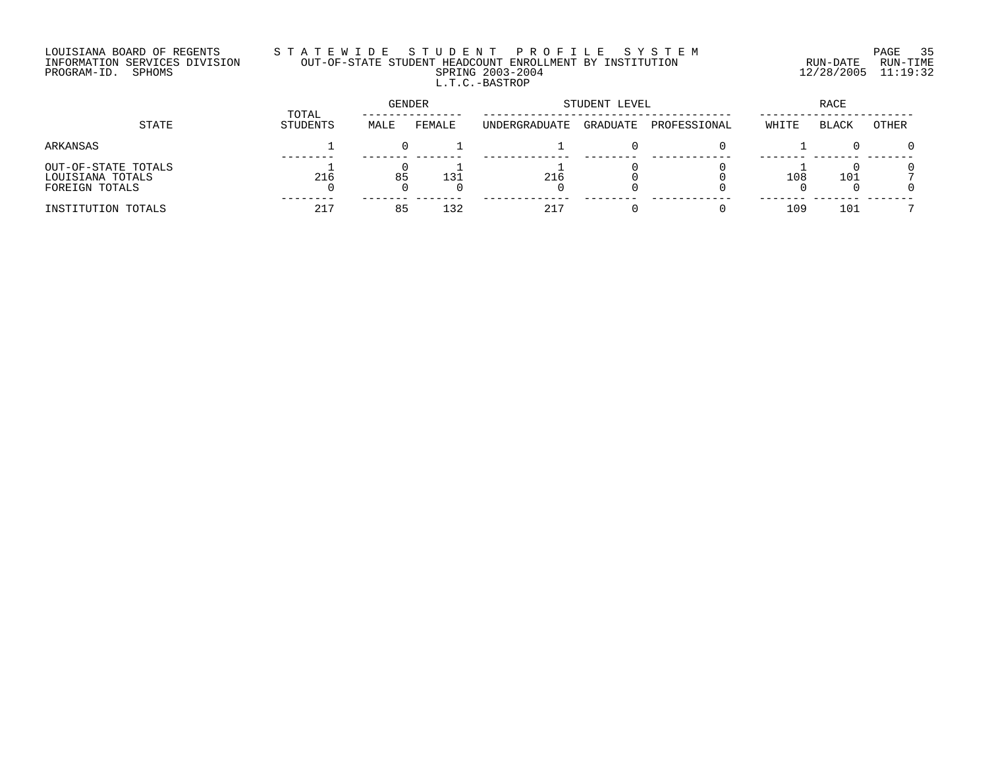# LOUISIANA BOARD OF REGENTS S T A T E W I D E S T U D E N T P R O F I L E S Y S T E M PAGE 35 INFORMATION SERVICES DIVISION OUT-OF-STATE STUDENT HEADCOUNT ENROLLMENT BY INSTITUTION RUN-DATE RUN-TIME PROGRAM-ID. SPHOMS SPRING 2003-2004 12/28/2005 11:19:32 L.T.C.-BASTROP

| STATE                                                     | TOTAL<br>STUDENTS | GENDER |        | STUDENT LEVEL |          |              | RACE  |              |       |
|-----------------------------------------------------------|-------------------|--------|--------|---------------|----------|--------------|-------|--------------|-------|
|                                                           |                   | MALE   | FEMALE | UNDERGRADUATE | GRADUATE | PROFESSIONAL | WHITE | <b>BLACK</b> | OTHER |
| ARKANSAS                                                  |                   |        |        |               |          |              |       |              |       |
| OUT-OF-STATE TOTALS<br>LOUISIANA TOTALS<br>FOREIGN TOTALS | 216               | 85     | 131    | 216           |          |              | 108   | 101          |       |
| INSTITUTION TOTALS                                        | 217               | 85     | 132    | 217           |          |              | 109   | 101          | -     |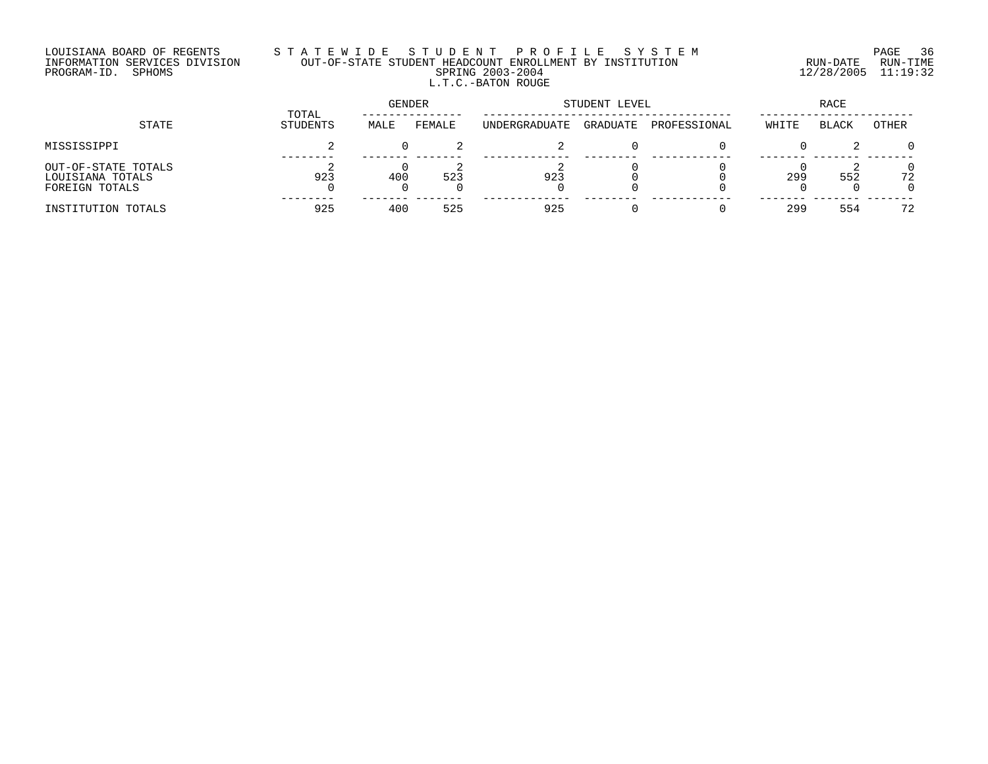# LOUISIANA BOARD OF REGENTS S T A T E W I D E S T U D E N T P R O F I L E S Y S T E M PAGE 36 INFORMATION SERVICES DIVISION OUT-OF-STATE STUDENT HEADCOUNT ENROLLMENT BY INSTITUTION RUN-DATE RUN-TIME PROGRAM-ID. SPHOMS SPRING 2003-2004 12/28/2005 11:19:32 L.T.C.-BATON ROUGE

| STATE                                                     | TOTAL<br>STUDENTS | <b>GENDER</b> |        | STUDENT LEVEL |          |              | RACE  |              |       |
|-----------------------------------------------------------|-------------------|---------------|--------|---------------|----------|--------------|-------|--------------|-------|
|                                                           |                   | MALE          | FEMALE | UNDERGRADUATE | GRADUATE | PROFESSIONAL | WHITE | <b>BLACK</b> | OTHER |
| MISSISSIPPI                                               |                   |               |        |               |          |              |       |              |       |
| OUT-OF-STATE TOTALS<br>LOUISIANA TOTALS<br>FOREIGN TOTALS | 923               | 400           | 523    | 923           |          |              | 299   | 552          | 72    |
| INSTITUTION TOTALS                                        | 925               | 400           | 525    | 925           |          |              | 299   | 554          | 72    |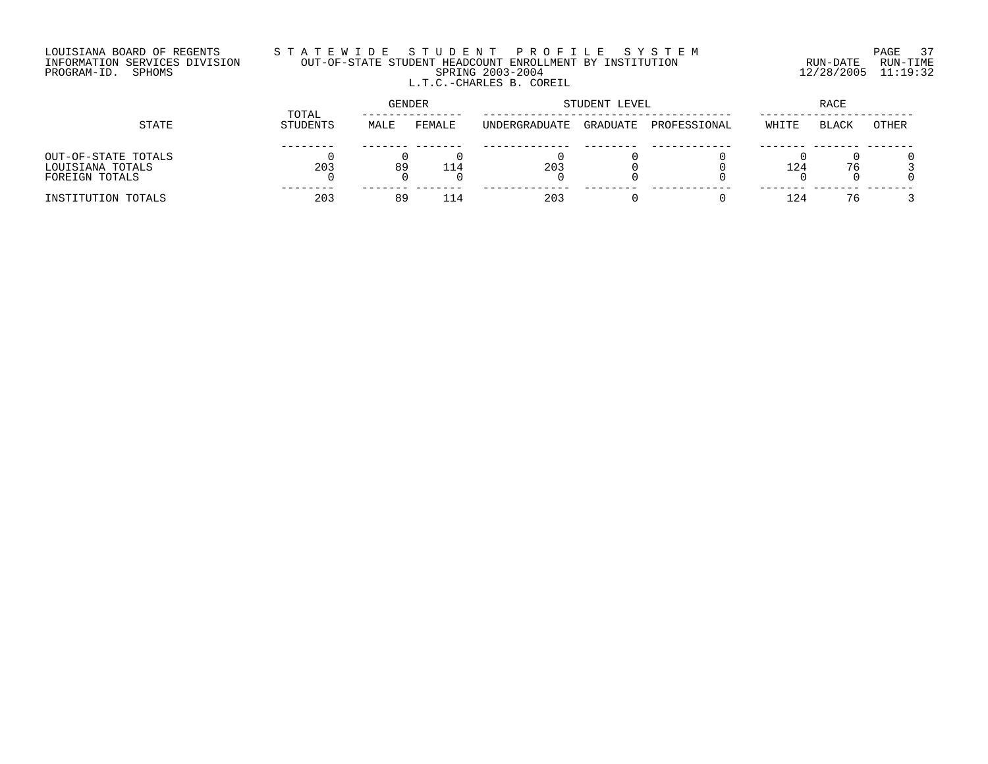#### LOUISIANA BOARD OF REGENTS S T A T E W I D E S T U D E N T P R O F I L E S Y S T E M PAGE 37 INFORMATION SERVICES DIVISION OUT-OF-STATE STUDENT HEADCOUNT ENROLLMENT BY INSTITUTION RUN-DATE RUN-TIME PROGRAM-ID. SPHOMS SPRING 2003-2004 12/28/2005 11:19:32 L.T.C.-CHARLES B. COREIL

| STATE               |                   | GENDER |        |               | STUDENT LEVEL | RACE         |       |              |       |
|---------------------|-------------------|--------|--------|---------------|---------------|--------------|-------|--------------|-------|
|                     | TOTAL<br>STUDENTS | MALE   | FEMALE | UNDERGRADUATE | GRADUATE      | PROFESSIONAL | WHITE | <b>BLACK</b> | OTHER |
|                     |                   |        |        |               |               |              |       |              |       |
| OUT-OF-STATE TOTALS |                   |        |        |               |               |              |       |              |       |
| LOUISIANA TOTALS    | 203               | 89     | 114    | 203           |               |              | 124   | 76           |       |
| FOREIGN TOTALS      |                   |        |        |               |               |              |       |              |       |
| INSTITUTION TOTALS  | 203               | 89     | l 14   | 203           |               |              | 124   | 76           |       |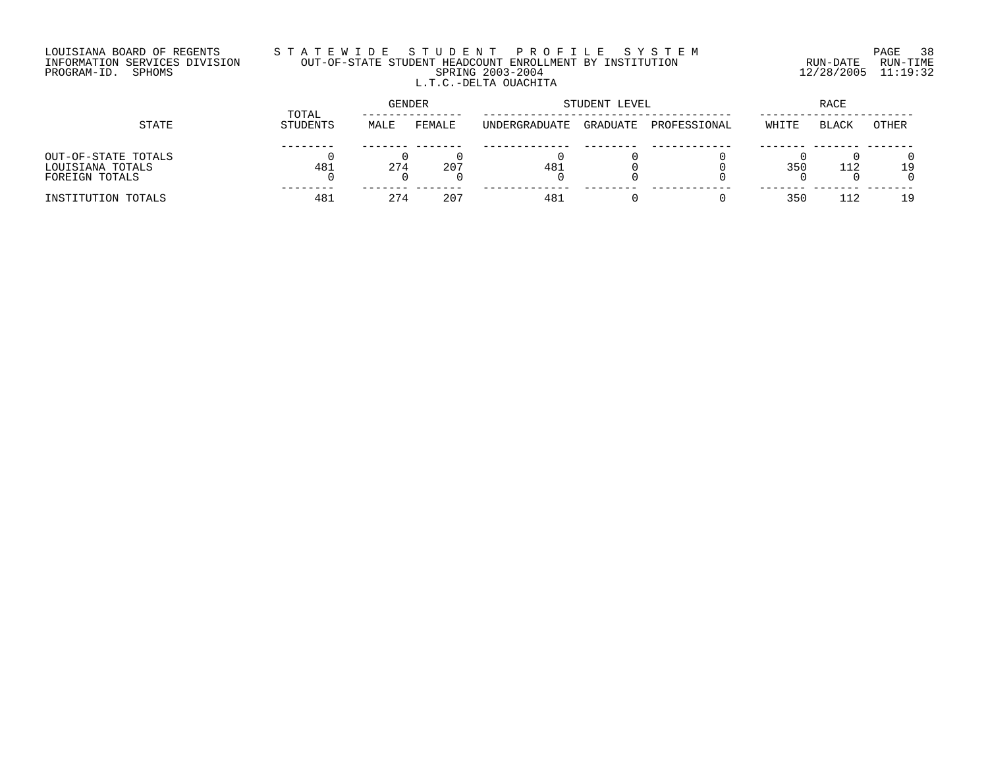## LOUISIANA BOARD OF REGENTS S T A T E W I D E S T U D E N T P R O F I L E S Y S T E M PAGE 38 INFORMATION SERVICES DIVISION OUT-OF-STATE STUDENT HEADCOUNT ENROLLMENT BY INSTITUTION RUN-DATE RUN-TIME PROGRAM-ID. SPHOMS SPRING 2003-2004 12/28/2005 11:19:32 L.T.C.-DELTA OUACHITA

|                     |                   | <b>GENDER</b> |        |               | STUDENT LEVEL | RACE         |       |              |       |
|---------------------|-------------------|---------------|--------|---------------|---------------|--------------|-------|--------------|-------|
| STATE               | TOTAL<br>STUDENTS | MALE          | FEMALE | UNDERGRADUATE | GRADUATE      | PROFESSIONAL | WHITE | <b>BLACK</b> | OTHER |
|                     |                   |               |        |               |               |              |       |              |       |
| OUT-OF-STATE TOTALS |                   |               |        |               |               |              |       |              |       |
| LOUISIANA TOTALS    | 481               | 274           | 207    | 481           |               |              | 350   | 112          | 1 9   |
| FOREIGN TOTALS      |                   |               |        |               |               |              |       |              |       |
| INSTITUTION TOTALS  | 481               | 274           | 207    | 481           |               |              | 35C   |              | 1 9   |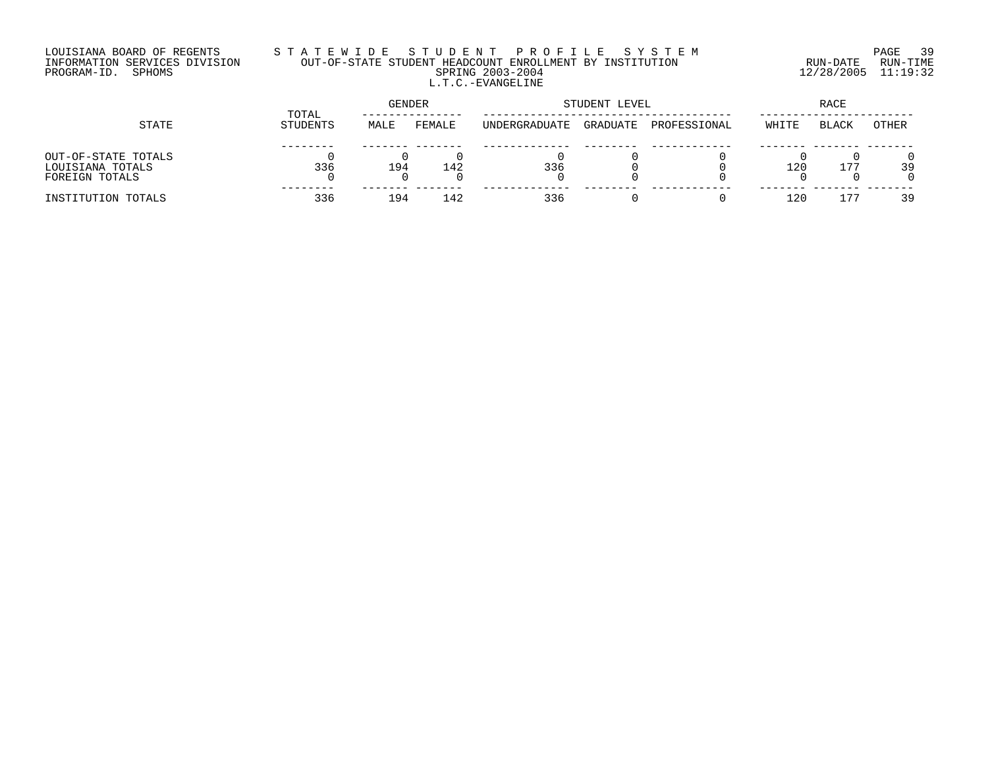## LOUISIANA BOARD OF REGENTS S T A T E W I D E S T U D E N T P R O F I L E S Y S T E M PAGE 39 INFORMATION SERVICES DIVISION OUT-OF-STATE STUDENT HEADCOUNT ENROLLMENT BY INSTITUTION RUN-DATE RUN-TIME PROGRAM-ID. SPHOMS SPRING 2003-2004 12/28/2005 11:19:32 L.T.C.-EVANGELINE

| STATE               |                   | GENDER |        |               | STUDENT LEVEL | RACE         |       |              |       |
|---------------------|-------------------|--------|--------|---------------|---------------|--------------|-------|--------------|-------|
|                     | TOTAL<br>STUDENTS | MALE   | FEMALE | UNDERGRADUATE | GRADUATE      | PROFESSIONAL | WHITE | <b>BLACK</b> | OTHER |
|                     |                   |        |        |               |               |              |       |              |       |
| OUT-OF-STATE TOTALS |                   |        |        |               |               |              |       |              |       |
| LOUISIANA TOTALS    | 336               | 194    | 142    | 336           |               |              | 120   | 177          | 39    |
| FOREIGN TOTALS      |                   |        |        |               |               |              |       |              |       |
| INSTITUTION TOTALS  | 336               | 194    | 142    | 336           |               |              | 120   |              | 39    |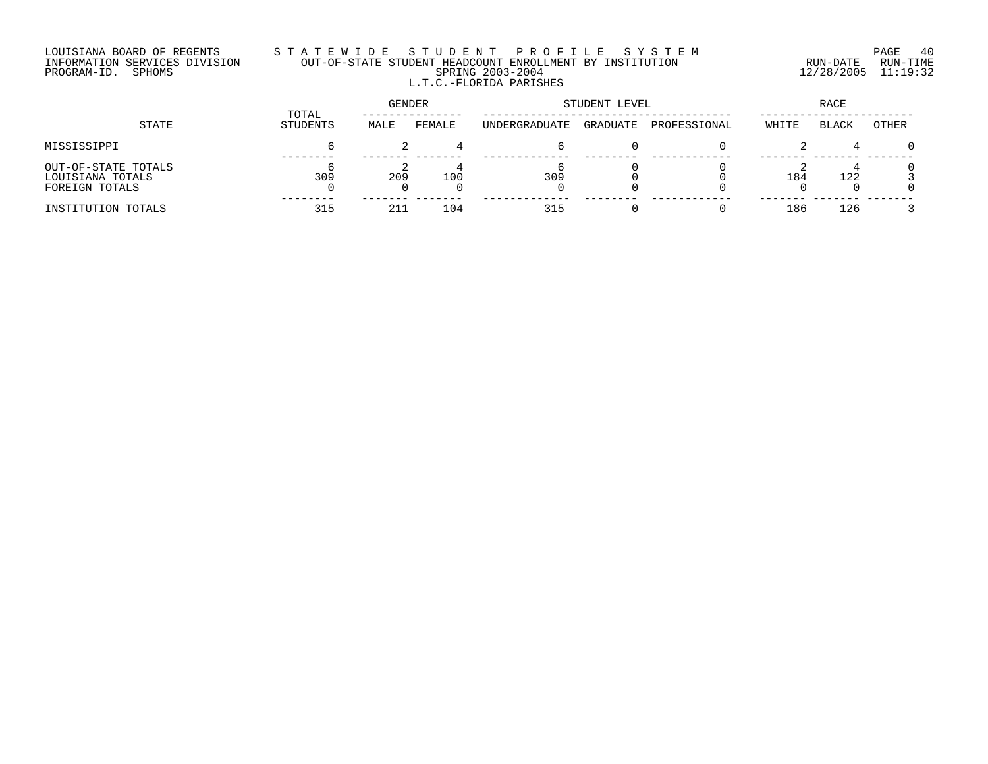#### LOUISIANA BOARD OF REGENTS S T A T E W I D E S T U D E N T P R O F I L E S Y S T E M PAGE 40 INFORMATION SERVICES DIVISION OUT-OF-STATE STUDENT HEADCOUNT ENROLLMENT BY INSTITUTION RUN-DATE RUN-TIME PROGRAM-ID. SPHOMS SPRING 2003-2004 12/28/2005 11:19:32 L.T.C.-FLORIDA PARISHES

|                                                           |                   | GENDER |        | STUDENT LEVEL | RACE     |              |       |       |        |
|-----------------------------------------------------------|-------------------|--------|--------|---------------|----------|--------------|-------|-------|--------|
| STATE                                                     | TOTAL<br>STUDENTS | MALE   | FEMALE | UNDERGRADUATE | GRADUATE | PROFESSIONAL | WHITE | BLACK | OTHER  |
| MISSISSIPPI                                               |                   |        |        |               |          |              |       |       | $\cap$ |
| OUT-OF-STATE TOTALS<br>LOUISIANA TOTALS<br>FOREIGN TOTALS | 309               | 209    | 100    | 309           |          |              | 184   | 122   |        |
| INSTITUTION TOTALS                                        | 315               | 211    | 104    | 315           |          |              | 186   | 126   |        |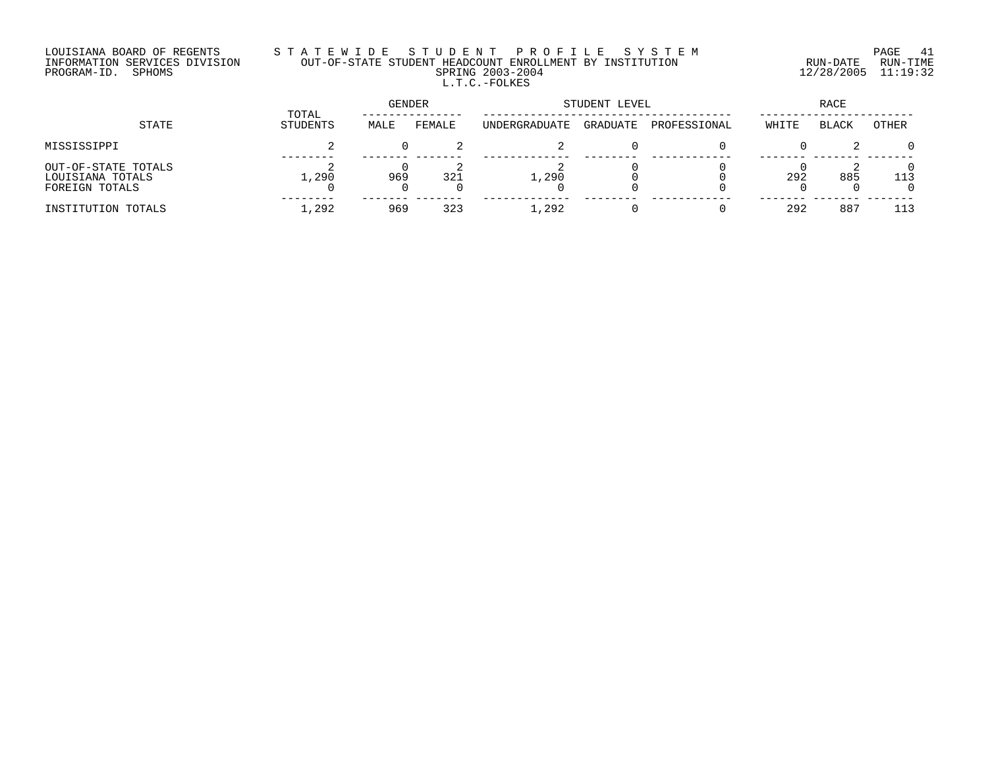## LOUISIANA BOARD OF REGENTS S T A T E W I D E S T U D E N T P R O F I L E S Y S T E M PAGE 41 INFORMATION SERVICES DIVISION OUT-OF-STATE STUDENT HEADCOUNT ENROLLMENT BY INSTITUTION RUN-DATE RUN-TIME PROGRAM-ID. SPHOMS SPRING 2003-2004 12/28/2005 11:19:32 L.T.C.-FOLKES

| STATE                                                     |                   | GENDER |        | STUDENT LEVEL | RACE     |              |       |              |              |
|-----------------------------------------------------------|-------------------|--------|--------|---------------|----------|--------------|-------|--------------|--------------|
|                                                           | TOTAL<br>STUDENTS | MALE   | FEMALE | UNDERGRADUATE | GRADUATE | PROFESSIONAL | WHITE | <b>BLACK</b> | <b>OTHER</b> |
| MISSISSIPPI                                               |                   |        |        |               |          |              |       |              |              |
| OUT-OF-STATE TOTALS<br>LOUISIANA TOTALS<br>FOREIGN TOTALS | 1,290             | 969    | 321    | 1,290         |          |              | 292   | 885          | 113          |
| INSTITUTION TOTALS                                        | 1,292             | 969    | 323    | 1,292         |          |              | 292   | 887          | 113          |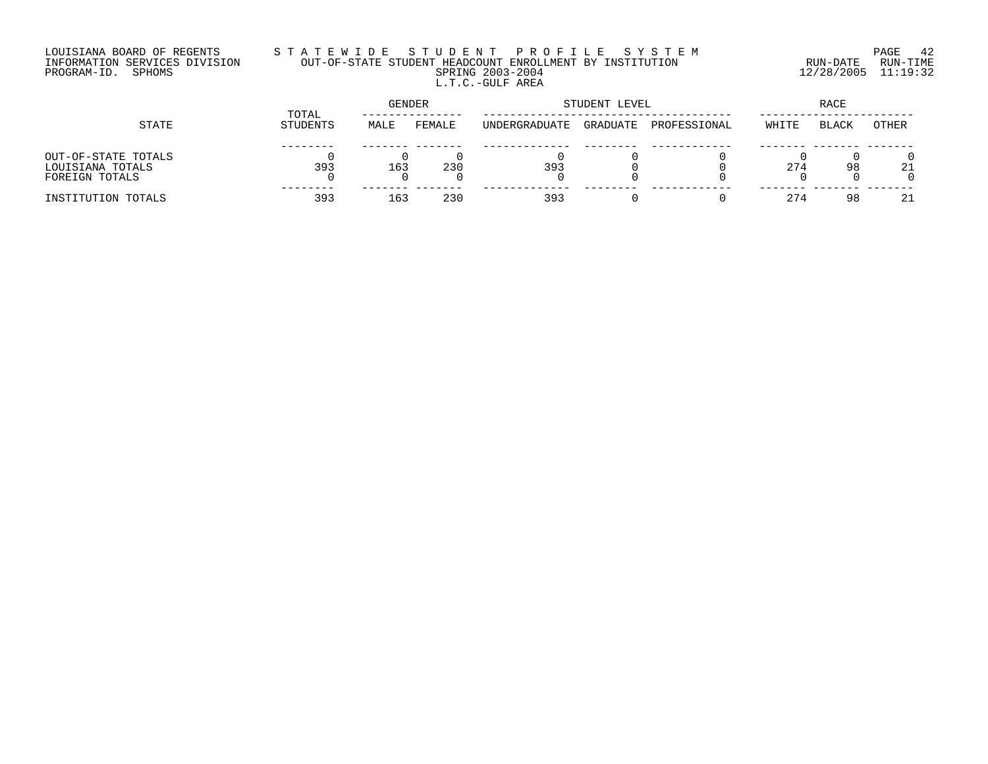## LOUISIANA BOARD OF REGENTS S T A T E W I D E S T U D E N T P R O F I L E S Y S T E M PAGE 42 INFORMATION SERVICES DIVISION OUT-OF-STATE STUDENT HEADCOUNT ENROLLMENT BY INSTITUTION RUN-DATE RUN-TIME PROGRAM-ID. SPHOMS SPRING 2003-2004 12/28/2005 11:19:32 L.T.C.-GULF AREA

|                                                           |                   | GENDER |        |               | STUDENT LEVEL | RACE         |       |              |              |
|-----------------------------------------------------------|-------------------|--------|--------|---------------|---------------|--------------|-------|--------------|--------------|
| STATE                                                     | TOTAL<br>STUDENTS | MALE   | FEMALE | UNDERGRADUATE | GRADUATE      | PROFESSIONAL | WHITE | <b>BLACK</b> | <b>OTHER</b> |
| OUT-OF-STATE TOTALS<br>LOUISIANA TOTALS<br>FOREIGN TOTALS | 393               | 163    | 230    | 393           |               |              | 274   | 98           | 21           |
| INSTITUTION TOTALS                                        | 393               | 163    | 230    | 393           |               |              | 274   | 98           | 21           |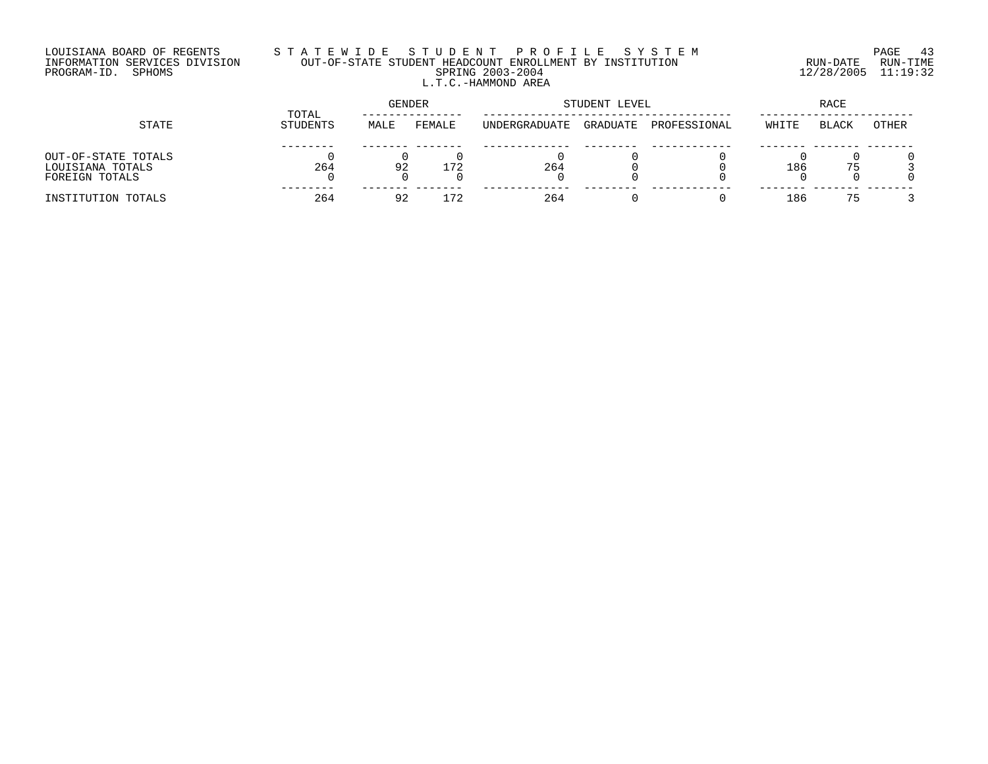## LOUISIANA BOARD OF REGENTS S T A T E W I D E S T U D E N T P R O F I L E S Y S T E M PAGE 43 INFORMATION SERVICES DIVISION OUT-OF-STATE STUDENT HEADCOUNT ENROLLMENT BY INSTITUTION RUN-DATE RUN-TIME PROGRAM-ID. SPHOMS SPRING 2003-2004 12/28/2005 11:19:32 L.T.C.-HAMMOND AREA

| STATE                                                     |                          | <b>GENDER</b> |        |               | STUDENT LEVEL | RACE         |       |              |       |
|-----------------------------------------------------------|--------------------------|---------------|--------|---------------|---------------|--------------|-------|--------------|-------|
|                                                           | TOTAL<br><b>STUDENTS</b> | MALE          | FEMALE | UNDERGRADUATE | GRADUATE      | PROFESSIONAL | WHITE | <b>BLACK</b> | OTHER |
| OUT-OF-STATE TOTALS<br>LOUISIANA TOTALS<br>FOREIGN TOTALS | 264                      | 92            | .72    | 264           |               |              | 186   | 75           |       |
| INSTITUTION TOTALS                                        | 264                      | 92            |        | 264           |               |              | 186   | 75           |       |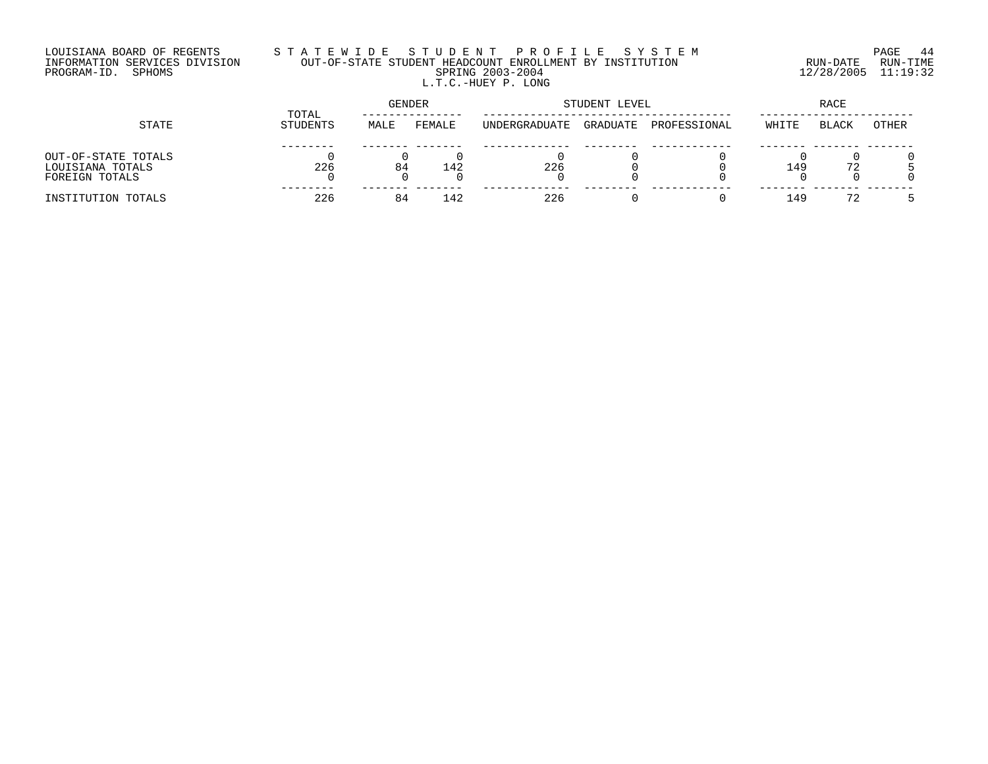## LOUISIANA BOARD OF REGENTS S T A T E W I D E S T U D E N T P R O F I L E S Y S T E M PAGE 44 INFORMATION SERVICES DIVISION OUT-OF-STATE STUDENT HEADCOUNT ENROLLMENT BY INSTITUTION RUN-DATE RUN-TIME PROGRAM-ID. SPHOMS SPRING 2003-2004 12/28/2005 11:19:32 L.T.C.-HUEY P. LONG

|                                                           |                   | GENDER |        |               | STUDENT LEVEL | RACE         |       |              |       |
|-----------------------------------------------------------|-------------------|--------|--------|---------------|---------------|--------------|-------|--------------|-------|
| STATE                                                     | TOTAL<br>STUDENTS | MALE   | FEMALE | UNDERGRADUATE | GRADUATE      | PROFESSIONAL | WHITE | <b>BLACK</b> | OTHER |
| OUT-OF-STATE TOTALS<br>LOUISIANA TOTALS<br>FOREIGN TOTALS | 226               | 84     | 142    | 226           |               |              | 149   | 72           |       |
| INSTITUTION TOTALS                                        | 226               | 84     | 142    | 226           |               |              | 149   | 72           |       |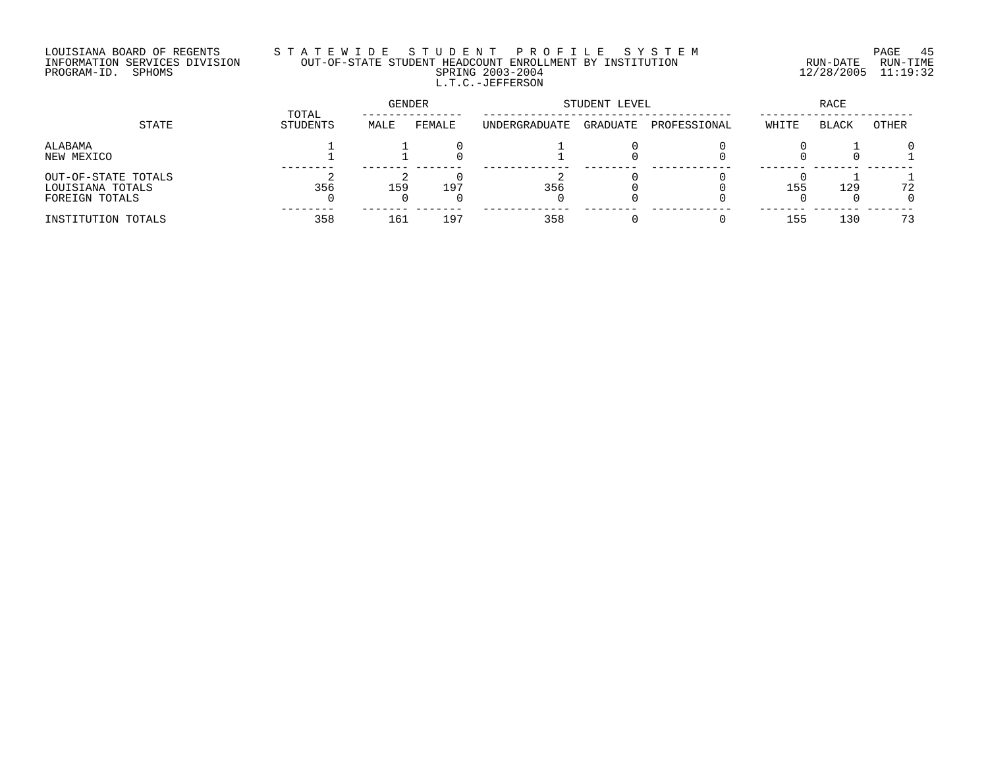## LOUISIANA BOARD OF REGENTS S T A T E W I D E S T U D E N T P R O F I L E S Y S T E M PAGE 45 INFORMATION SERVICES DIVISION OUT-OF-STATE STUDENT HEADCOUNT ENROLLMENT BY INSTITUTION RUN-DATE RUN-TIME PROGRAM-ID. SPHOMS SPRING 2003-2004 12/28/2005 11:19:32 L.T.C.-JEFFERSON

| STATE                                                     | TOTAL    | GENDER |        | STUDENT LEVEL |          | <b>RACE</b>  |       |              |         |
|-----------------------------------------------------------|----------|--------|--------|---------------|----------|--------------|-------|--------------|---------|
|                                                           | STUDENTS | MALE   | FEMALE | UNDERGRADUATE | GRADUATE | PROFESSIONAL | WHITE | <b>BLACK</b> | OTHER   |
| ALABAMA<br>NEW MEXICO                                     |          |        |        |               |          |              |       |              | ∩       |
| OUT-OF-STATE TOTALS<br>LOUISIANA TOTALS<br>FOREIGN TOTALS | 356      | 159    | 197    | 356           |          |              | 155   | 129          | 72<br>0 |
| INSTITUTION TOTALS                                        | 358      | 161    | 197    | 358           |          |              | 155   | 130          | 73      |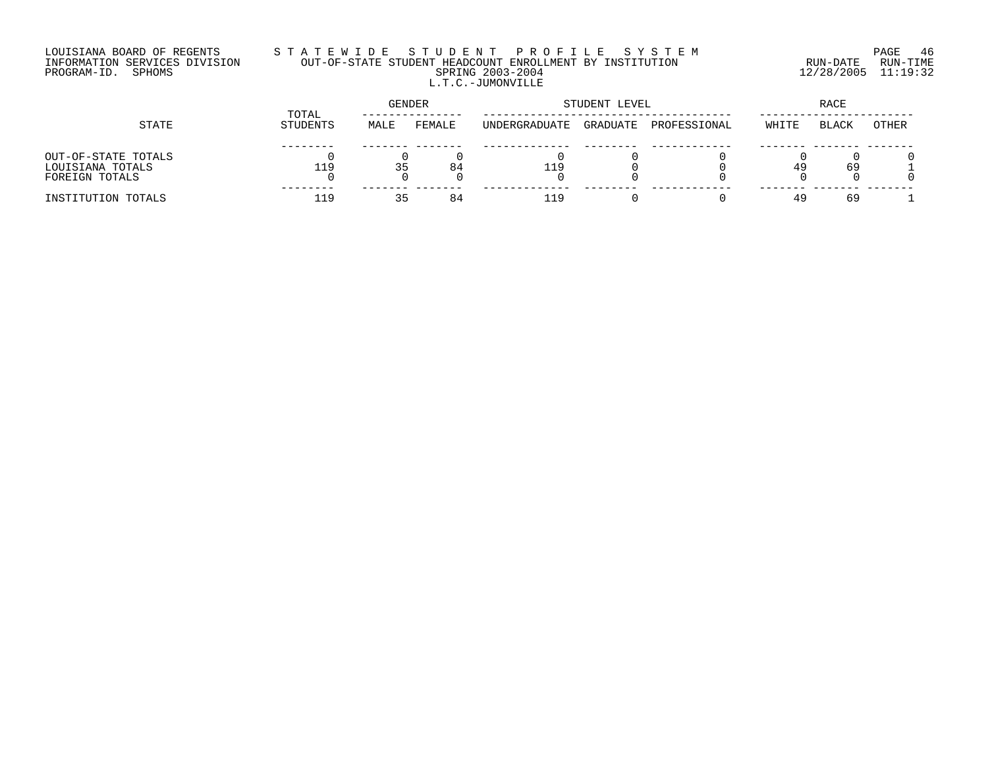## LOUISIANA BOARD OF REGENTS S T A T E W I D E S T U D E N T P R O F I L E S Y S T E M PAGE 46 INFORMATION SERVICES DIVISION OUT-OF-STATE STUDENT HEADCOUNT ENROLLMENT BY INSTITUTION RUN-DATE RUN-TIME PROGRAM-ID. SPHOMS SPRING 2003-2004 12/28/2005 11:19:32 L.T.C.-JUMONVILLE

|                                                           |                   | <b>GENDER</b> |        |               | STUDENT LEVEL | RACE         |       |       |              |
|-----------------------------------------------------------|-------------------|---------------|--------|---------------|---------------|--------------|-------|-------|--------------|
| STATE                                                     | TOTAL<br>STUDENTS | MALE          | FEMALE | UNDERGRADUATE | GRADUATE      | PROFESSIONAL | WHITE | BLACK | <b>OTHER</b> |
| OUT-OF-STATE TOTALS<br>LOUISIANA TOTALS<br>FOREIGN TOTALS | 119               | 35            | 84     | 119           |               |              | 49    | 69    |              |
| INSTITUTION TOTALS                                        | 119               | マロ<br>۔ ب     | 84     | 119           |               |              | 49    | 69    |              |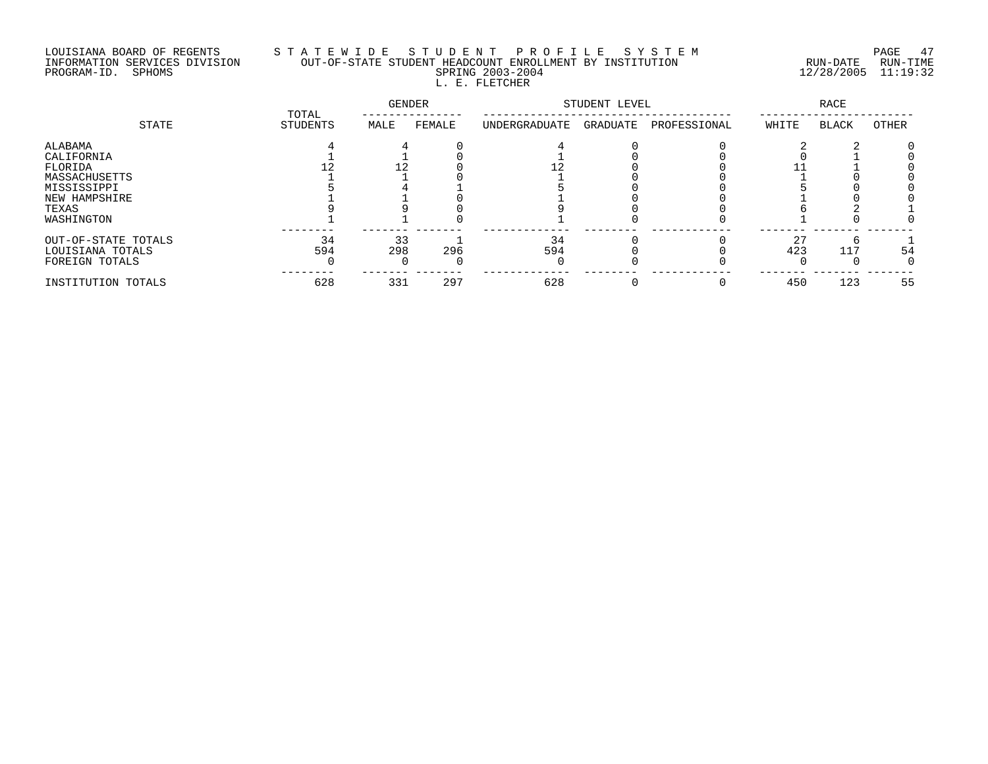# LOUISIANA BOARD OF REGENTS S T A T E W I D E S T U D E N T P R O F I L E S Y S T E M PAGE 47 INFORMATION SERVICES DIVISION OUT-OF-STATE STUDENT HEADCOUNT ENROLLMENT BY INSTITUTION RUN-DATE RUN-TIME PROGRAM-ID. SPHOMS SPRING 2003-2004 12/28/2005 11:19:32 L. E. FLETCHER

|                                                                                                          | TOTAL     | GENDER    |        | STUDENT LEVEL |          | <b>RACE</b>  |               |              |       |
|----------------------------------------------------------------------------------------------------------|-----------|-----------|--------|---------------|----------|--------------|---------------|--------------|-------|
| STATE                                                                                                    | STUDENTS  | MALE      | FEMALE | UNDERGRADUATE | GRADUATE | PROFESSIONAL | WHITE         | <b>BLACK</b> | OTHER |
| ALABAMA<br>CALIFORNIA<br>FLORIDA<br>MASSACHUSETTS<br>MISSISSIPPI<br>NEW HAMPSHIRE<br>TEXAS<br>WASHINGTON |           |           |        |               |          |              |               |              |       |
| OUT-OF-STATE TOTALS<br>LOUISIANA TOTALS<br>FOREIGN TOTALS                                                | 34<br>594 | 33<br>298 | 296    | 34<br>594     |          |              | $\cap$<br>423 | 117          | 54    |
| INSTITUTION TOTALS                                                                                       | 628       | 331       | 297    | 628           |          |              | 450           | 123          | 55    |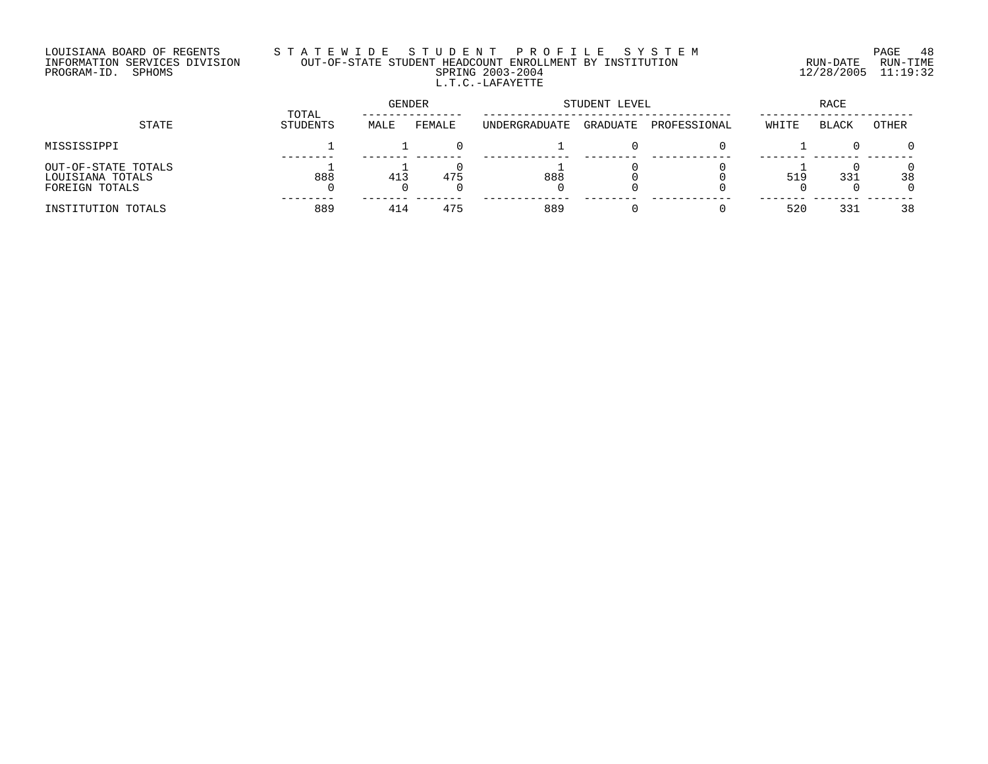## LOUISIANA BOARD OF REGENTS S T A T E W I D E S T U D E N T P R O F I L E S Y S T E M PAGE 48 INFORMATION SERVICES DIVISION OUT-OF-STATE STUDENT HEADCOUNT ENROLLMENT BY INSTITUTION RUN-DATE RUN-TIME PROGRAM-ID. SPHOMS SPRING 2003-2004 12/28/2005 11:19:32 L.T.C.-LAFAYETTE

| STATE                                                     | TOTAL    | GENDER |        | STUDENT LEVEL | RACE     |              |       |       |                |
|-----------------------------------------------------------|----------|--------|--------|---------------|----------|--------------|-------|-------|----------------|
|                                                           | STUDENTS | MALE   | FEMALE | UNDERGRADUATE | GRADUATE | PROFESSIONAL | WHITE | BLACK | OTHER          |
| MISSISSIPPI                                               |          |        |        |               |          |              |       |       | $\Omega$       |
| OUT-OF-STATE TOTALS<br>LOUISIANA TOTALS<br>FOREIGN TOTALS | 888      | 413    | 475    | 888           |          |              | 519   | 331   | $\Omega$<br>38 |
| INSTITUTION TOTALS                                        | 889      | 414    | 475    | 889           |          |              | 520   | 331   | 38             |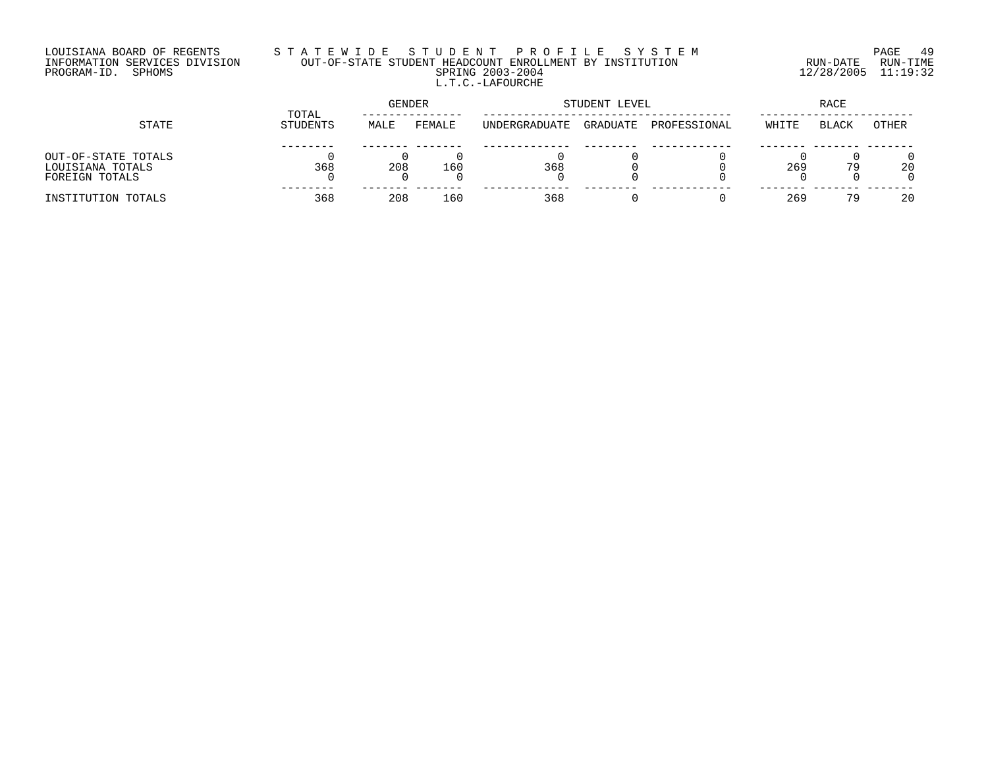## LOUISIANA BOARD OF REGENTS S T A T E W I D E S T U D E N T P R O F I L E S Y S T E M PAGE 49 INFORMATION SERVICES DIVISION OUT-OF-STATE STUDENT HEADCOUNT ENROLLMENT BY INSTITUTION RUN-DATE RUN-TIME PROGRAM-ID. SPHOMS SPRING 2003-2004 12/28/2005 11:19:32 L.T.C.-LAFOURCHE

| STATE                                                     |                   | <b>GENDER</b> |        | STUDENT LEVEL | RACE     |              |       |              |       |
|-----------------------------------------------------------|-------------------|---------------|--------|---------------|----------|--------------|-------|--------------|-------|
|                                                           | TOTAL<br>STUDENTS | MALE          | FEMALE | UNDERGRADUATE | GRADUATE | PROFESSIONAL | WHITE | <b>BLACK</b> | OTHER |
| OUT-OF-STATE TOTALS<br>LOUISIANA TOTALS<br>FOREIGN TOTALS | 368               | 208           | 160    | 368           |          |              | 269   | 79           | 20    |
| INSTITUTION TOTALS                                        | 368               | 208           | 160    | 368           |          |              | 269   | 79           | 20    |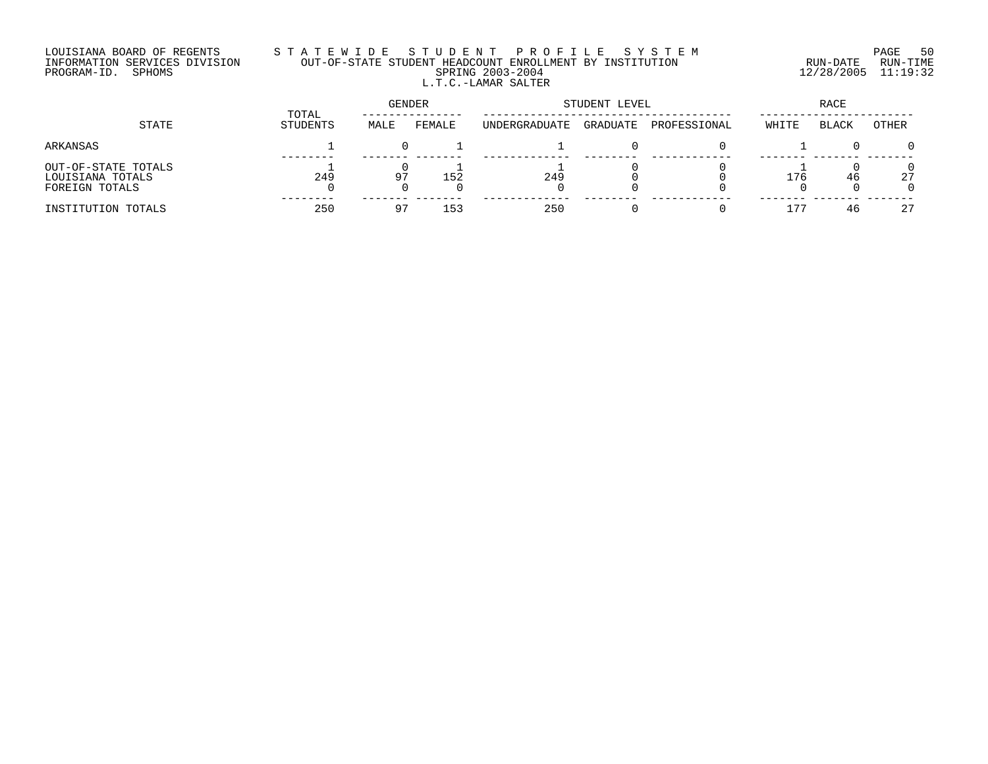## LOUISIANA BOARD OF REGENTS S T A T E W I D E S T U D E N T P R O F I L E S Y S T E M PAGE 50 INFORMATION SERVICES DIVISION OUT-OF-STATE STUDENT HEADCOUNT ENROLLMENT BY INSTITUTION RUN-DATE RUN-TIME PROGRAM-ID. SPHOMS SPRING 2003-2004 12/28/2005 11:19:32 L.T.C.-LAMAR SALTER

| STATE                                                     |                   | GENDER |        | STUDENT LEVEL | RACE     |              |       |              |          |
|-----------------------------------------------------------|-------------------|--------|--------|---------------|----------|--------------|-------|--------------|----------|
|                                                           | TOTAL<br>STUDENTS | MALE   | FEMALE | UNDERGRADUATE | GRADUATE | PROFESSIONAL | WHITE | <b>BLACK</b> | OTHER    |
| ARKANSAS                                                  |                   |        |        |               |          |              |       |              | $\Omega$ |
| OUT-OF-STATE TOTALS<br>LOUISIANA TOTALS<br>FOREIGN TOTALS | 249               | 97     | 152    | 249           |          |              | 176   | 46           | 27<br>0  |
| INSTITUTION TOTALS                                        | 250               | 97     | 153    | 250           |          |              | -75   | 46           | 27       |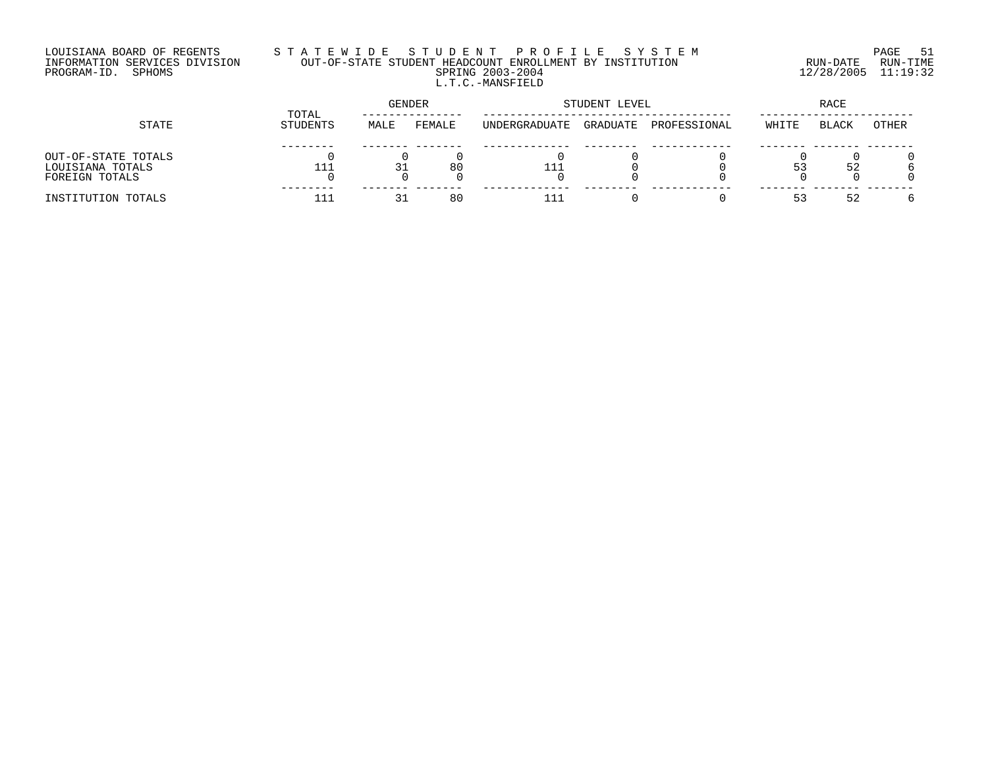## LOUISIANA BOARD OF REGENTS S T A T E W I D E S T U D E N T P R O F I L E S Y S T E M PAGE 51 INFORMATION SERVICES DIVISION OUT-OF-STATE STUDENT HEADCOUNT ENROLLMENT BY INSTITUTION RUN-DATE RUN-TIME PROGRAM-ID. SPHOMS SPRING 2003-2004 12/28/2005 11:19:32 L.T.C.-MANSFIELD

|                                                           |                   |      | GENDER |               | STUDENT LEVEL | RACE         |       |       |       |
|-----------------------------------------------------------|-------------------|------|--------|---------------|---------------|--------------|-------|-------|-------|
| STATE                                                     | TOTAL<br>STUDENTS | MALE | FEMALE | UNDERGRADUATE | GRADUATE      | PROFESSIONAL | WHITE | BLACK | OTHER |
| OUT-OF-STATE TOTALS<br>LOUISIANA TOTALS<br>FOREIGN TOTALS |                   | 31   | 80     |               |               |              |       | 52    |       |
| INSTITUTION TOTALS                                        |                   | 31   | 80     | .             |               |              |       | 52    |       |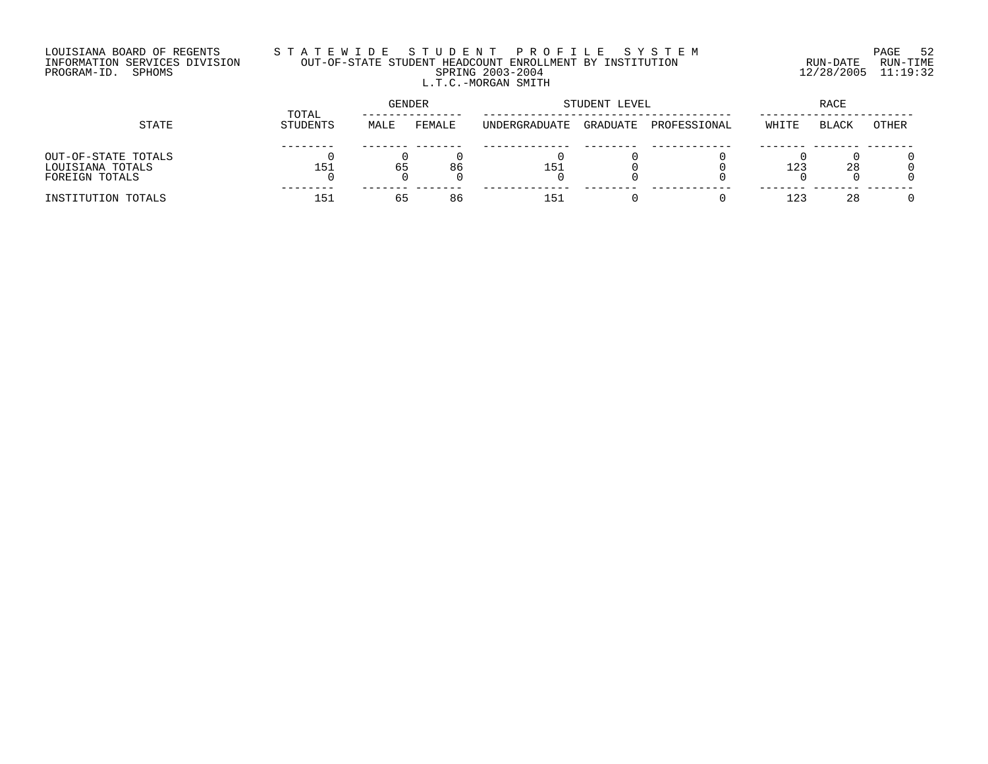## LOUISIANA BOARD OF REGENTS S T A T E W I D E S T U D E N T P R O F I L E S Y S T E M PAGE 52 INFORMATION SERVICES DIVISION OUT-OF-STATE STUDENT HEADCOUNT ENROLLMENT BY INSTITUTION RUN-DATE RUN-TIME PROGRAM-ID. SPHOMS SPRING 2003-2004 12/28/2005 11:19:32 L.T.C.-MORGAN SMITH

| STATE               |                   | <b>GENDER</b> |        | STUDENT LEVEL | RACE     |              |       |              |       |
|---------------------|-------------------|---------------|--------|---------------|----------|--------------|-------|--------------|-------|
|                     | TOTAL<br>STUDENTS | MALE          | FEMALE | UNDERGRADUATE | GRADUATE | PROFESSIONAL | WHITE | <b>BLACK</b> | OTHER |
|                     |                   |               |        |               |          |              |       |              |       |
| OUT-OF-STATE TOTALS |                   |               |        |               |          |              |       |              |       |
| LOUISIANA TOTALS    | 151               | 65            | 86     | 151           |          |              | 123   | 28           |       |
| FOREIGN TOTALS      |                   |               |        |               |          |              |       |              |       |
| INSTITUTION TOTALS  | 151               | 65            | 86     | 151           |          |              | 12.3  | 28           |       |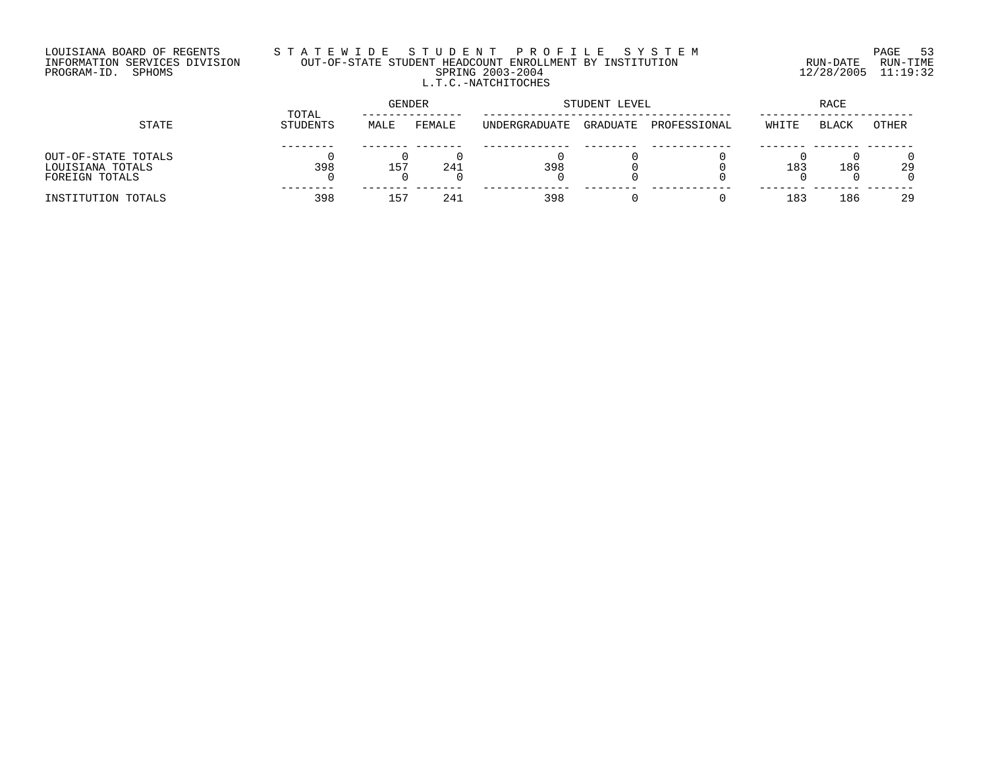## LOUISIANA BOARD OF REGENTS S T A T E W I D E S T U D E N T P R O F I L E S Y S T E M PAGE 53 INFORMATION SERVICES DIVISION OUT-OF-STATE STUDENT HEADCOUNT ENROLLMENT BY INSTITUTION RUN-DATE RUN-TIME PROGRAM-ID. SPHOMS SPRING 2003-2004 12/28/2005 11:19:32 L.T.C.-NATCHITOCHES

| STATE               |                   | GENDER          |        |               | STUDENT LEVEL | RACE         |       |              |       |
|---------------------|-------------------|-----------------|--------|---------------|---------------|--------------|-------|--------------|-------|
|                     | TOTAL<br>STUDENTS | MALE            | FEMALE | UNDERGRADUATE | GRADUATE      | PROFESSIONAL | WHITE | <b>BLACK</b> | OTHER |
|                     |                   |                 |        |               |               |              |       |              |       |
| OUT-OF-STATE TOTALS |                   |                 |        |               |               |              |       |              |       |
| LOUISIANA TOTALS    | 398               | 15 <sup>7</sup> | 241    | 398           |               |              | 183   | 186          | 29    |
| FOREIGN TOTALS      |                   |                 |        |               |               |              |       |              |       |
| INSTITUTION TOTALS  | 398               | 15 <sup>7</sup> | 241    | 398           |               |              | 183   | 186          | 29    |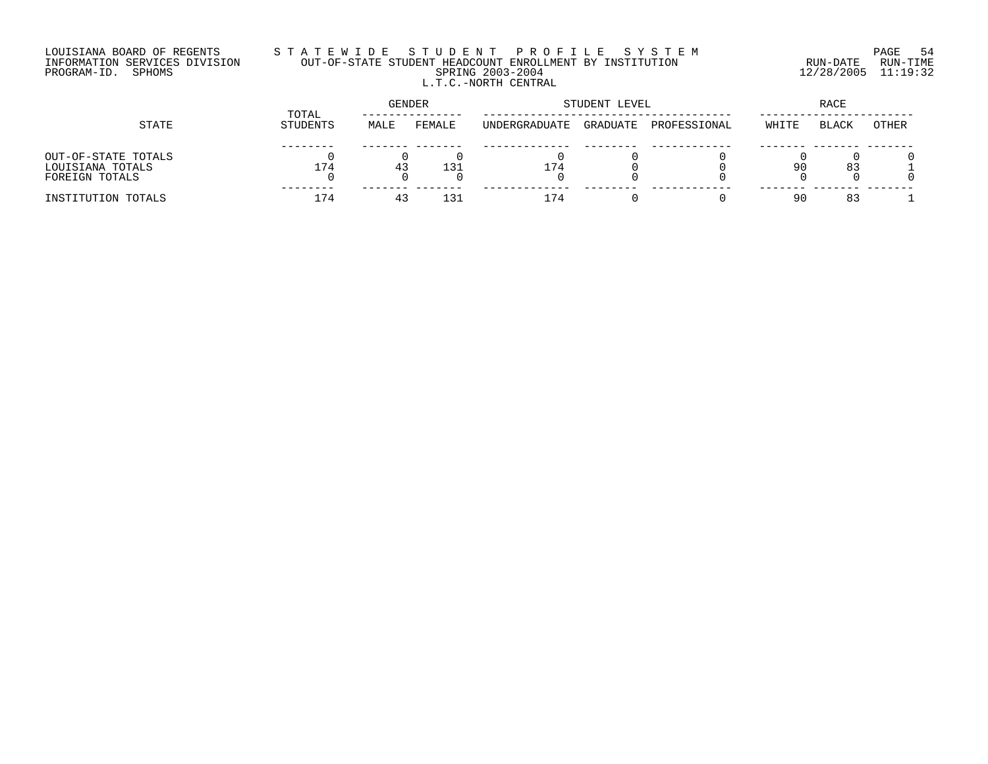## LOUISIANA BOARD OF REGENTS S T A T E W I D E S T U D E N T P R O F I L E S Y S T E M PAGE 54 INFORMATION SERVICES DIVISION OUT-OF-STATE STUDENT HEADCOUNT ENROLLMENT BY INSTITUTION RUN-DATE RUN-TIME PROGRAM-ID. SPHOMS SPRING 2003-2004 12/28/2005 11:19:32 L.T.C.-NORTH CENTRAL

|                                                           |                   | GENDER |        |               | STUDENT LEVEL | RACE         |       |              |       |
|-----------------------------------------------------------|-------------------|--------|--------|---------------|---------------|--------------|-------|--------------|-------|
| STATE                                                     | TOTAL<br>STUDENTS | MALE   | FEMALE | UNDERGRADUATE | GRADUATE      | PROFESSIONAL | WHITE | <b>BLACK</b> | OTHER |
| OUT-OF-STATE TOTALS<br>LOUISIANA TOTALS<br>FOREIGN TOTALS | 174               | 43     | 131    | 174           |               |              | QΛ    | 83           |       |
| INSTITUTION TOTALS                                        | 174               | 4:     | 131    | 174           |               |              | ۵ſ    | 83           |       |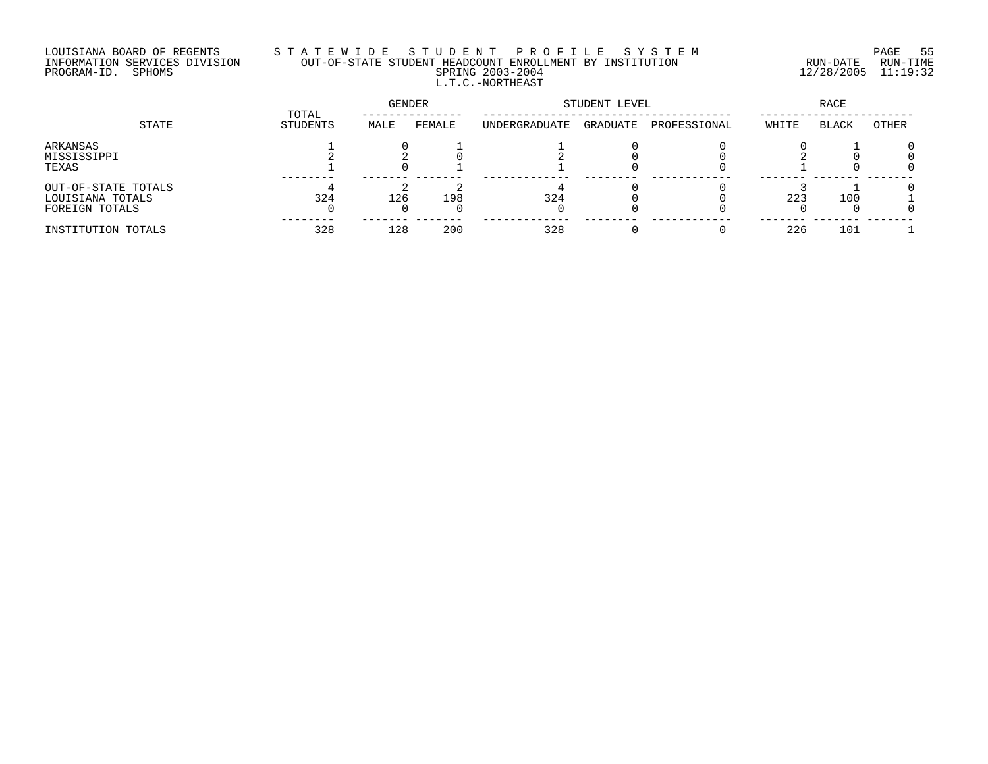# LOUISIANA BOARD OF REGENTS S T A T E W I D E S T U D E N T P R O F I L E S Y S T E M PAGE 55 INFORMATION SERVICES DIVISION OUT-OF-STATE STUDENT HEADCOUNT ENROLLMENT BY INSTITUTION RUN-DATE RUN-TIME PROGRAM-ID. SPHOMS SPRING 2003-2004 12/28/2005 11:19:32 L.T.C.-NORTHEAST

|                                                           | TOTAL    | GENDER |        | STUDENT LEVEL |          | RACE         |       |              |       |
|-----------------------------------------------------------|----------|--------|--------|---------------|----------|--------------|-------|--------------|-------|
| STATE                                                     | STUDENTS | MALE   | FEMALE | UNDERGRADUATE | GRADUATE | PROFESSIONAL | WHITE | <b>BLACK</b> | OTHER |
| ARKANSAS<br>MISSISSIPPI<br>TEXAS                          |          |        |        |               |          |              |       |              |       |
| OUT-OF-STATE TOTALS<br>LOUISIANA TOTALS<br>FOREIGN TOTALS | 324      | 126    | 198    | 324           |          |              | 223   | 100          |       |
| INSTITUTION TOTALS                                        | 328      | 128    | 200    | 328           |          |              | 226   | 101          |       |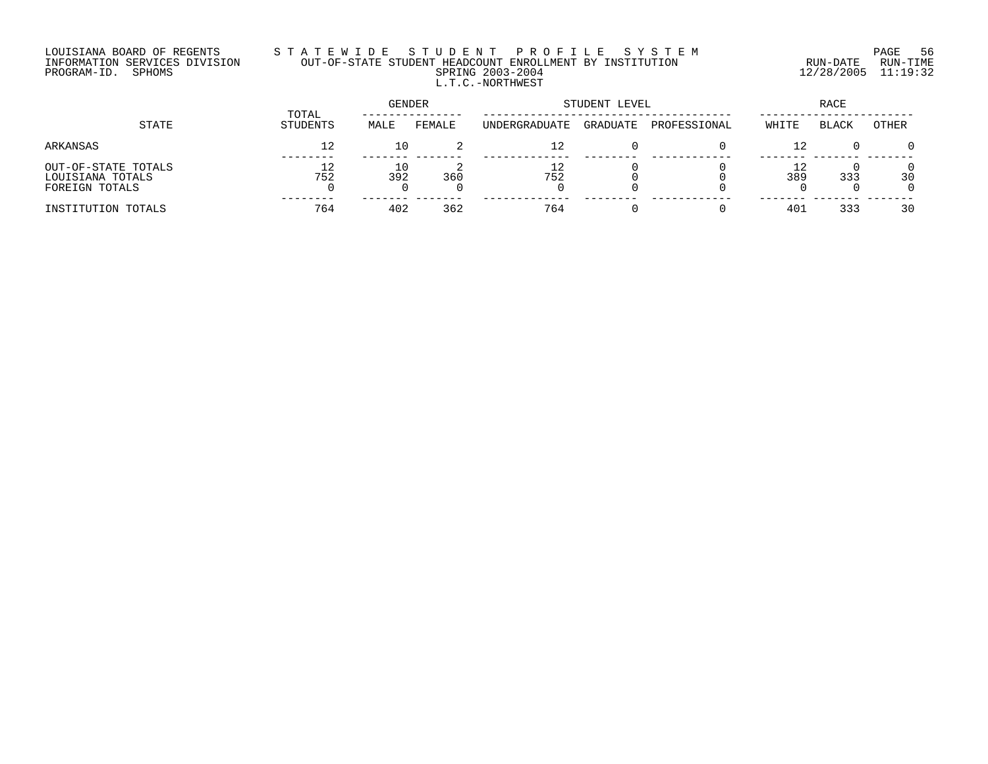# LOUISIANA BOARD OF REGENTS S T A T E W I D E S T U D E N T P R O F I L E S Y S T E M PAGE 56 INFORMATION SERVICES DIVISION OUT-OF-STATE STUDENT HEADCOUNT ENROLLMENT BY INSTITUTION RUN-DATE RUN-TIME PROGRAM-ID. SPHOMS SPRING 2003-2004 12/28/2005 11:19:32 L.T.C.-NORTHWEST

| STATE                                                     |                   | GENDER    |        | STUDENT LEVEL | RACE     |              |       |       |                |
|-----------------------------------------------------------|-------------------|-----------|--------|---------------|----------|--------------|-------|-------|----------------|
|                                                           | TOTAL<br>STUDENTS | MALE      | FEMALE | UNDERGRADUATE | GRADUATE | PROFESSIONAL | WHITE | BLACK | OTHER          |
| ARKANSAS                                                  | 12                | 10        |        | 12            |          |              |       |       | $\Omega$       |
| OUT-OF-STATE TOTALS<br>LOUISIANA TOTALS<br>FOREIGN TOTALS | 752               | 10<br>392 | 360    | 752           |          |              | 389   | 333   | 30<br>$\Omega$ |
| INSTITUTION TOTALS                                        | 764               | 402       | 362    | 764           |          |              | 401   | 333   | 30             |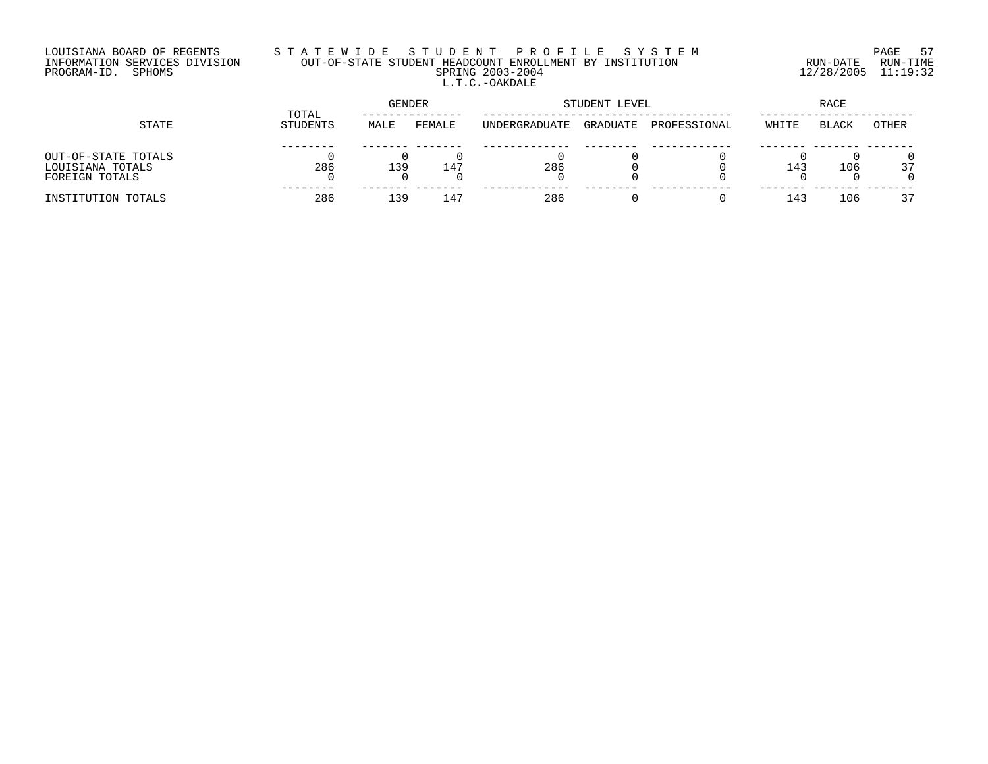## LOUISIANA BOARD OF REGENTS S T A T E W I D E S T U D E N T P R O F I L E S Y S T E M PAGE 57 INFORMATION SERVICES DIVISION OUT-OF-STATE STUDENT HEADCOUNT ENROLLMENT BY INSTITUTION RUN-DATE RUN-TIME PROGRAM-ID. SPHOMS SPRING 2003-2004 12/28/2005 11:19:32 L.T.C.-OAKDALE

|                                                           |                   | GENDER |        | STUDENT LEVEL | RACE     |              |       |              |       |
|-----------------------------------------------------------|-------------------|--------|--------|---------------|----------|--------------|-------|--------------|-------|
| STATE                                                     | TOTAL<br>STUDENTS | MALE   | FEMALE | UNDERGRADUATE | GRADUATE | PROFESSIONAL | WHITE | <b>BLACK</b> | OTHER |
| OUT-OF-STATE TOTALS<br>LOUISIANA TOTALS<br>FOREIGN TOTALS | 286               | 139    | $14^7$ | 286           |          |              | 143   | 106          | 37    |
| INSTITUTION TOTALS                                        | 286               | 139    | $14-$  | 286           |          |              | 14?   | 106          | 37    |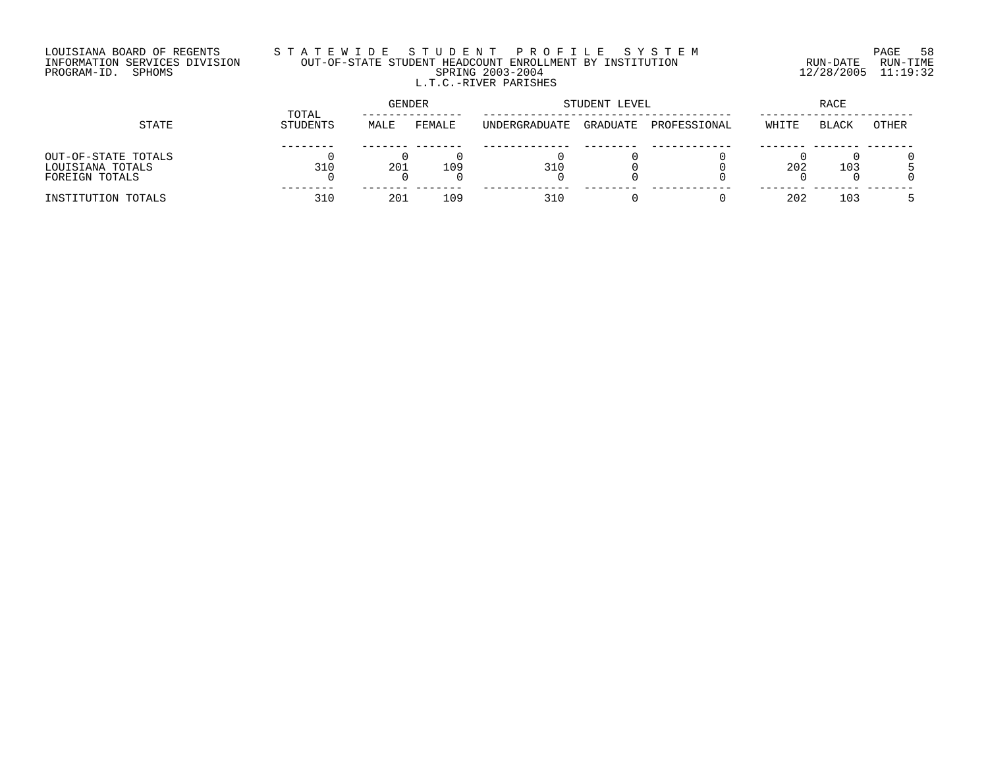## LOUISIANA BOARD OF REGENTS S T A T E W I D E S T U D E N T P R O F I L E S Y S T E M PAGE 58 INFORMATION SERVICES DIVISION OUT-OF-STATE STUDENT HEADCOUNT ENROLLMENT BY INSTITUTION RUN-DATE RUN-TIME PROGRAM-ID. SPHOMS SPRING 2003-2004 12/28/2005 11:19:32 L.T.C.-RIVER PARISHES

| STATE               |                   | <b>GENDER</b> |        |               | STUDENT LEVEL | RACE         |       |              |       |
|---------------------|-------------------|---------------|--------|---------------|---------------|--------------|-------|--------------|-------|
|                     | TOTAL<br>STUDENTS | MALE          | FEMALE | UNDERGRADUATE | GRADUATE      | PROFESSIONAL | WHITE | <b>BLACK</b> | OTHER |
|                     |                   |               |        |               |               |              |       |              |       |
| OUT-OF-STATE TOTALS |                   |               |        |               |               |              |       |              |       |
| LOUISIANA TOTALS    | 310               | 201           | 109    | 310           |               |              | 202   | 103          |       |
| FOREIGN TOTALS      |                   |               |        |               |               |              |       |              |       |
| INSTITUTION TOTALS  | 310               | 201           | 109    | 310           |               |              | 202   | 103          |       |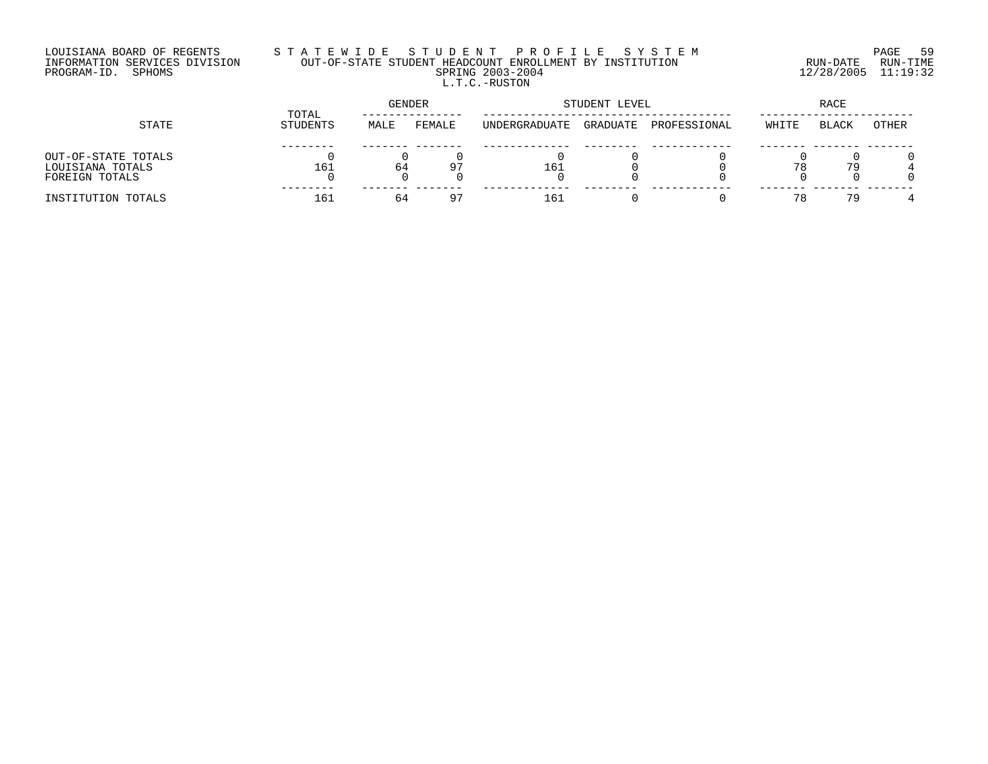## LOUISIANA BOARD OF REGENTS S T A T E W I D E S T U D E N T P R O F I L E S Y S T E M PAGE 59 INFORMATION SERVICES DIVISION OUT-OF-STATE STUDENT HEADCOUNT ENROLLMENT BY INSTITUTION RUN-DATE RUN-TIME PROGRAM-ID. SPHOMS SPRING 2003-2004 12/28/2005 11:19:32 L.T.C.-RUSTON

| STATE                                                     |                   | GENDER |                |               | STUDENT LEVEL | RACE         |       |              |              |
|-----------------------------------------------------------|-------------------|--------|----------------|---------------|---------------|--------------|-------|--------------|--------------|
|                                                           | TOTAL<br>STUDENTS | MALE   | FEMALE         | UNDERGRADUATE | GRADUATE      | PROFESSIONAL | WHITE | <b>BLACK</b> | <b>OTHER</b> |
| OUT-OF-STATE TOTALS<br>LOUISIANA TOTALS<br>FOREIGN TOTALS | 161               | 64     | Q <sub>T</sub> | 161           |               |              |       | 79           |              |
| INSTITUTION TOTALS                                        | 161               | 64     | $\Omega$ 7     | 161           |               |              | 78    | 79           |              |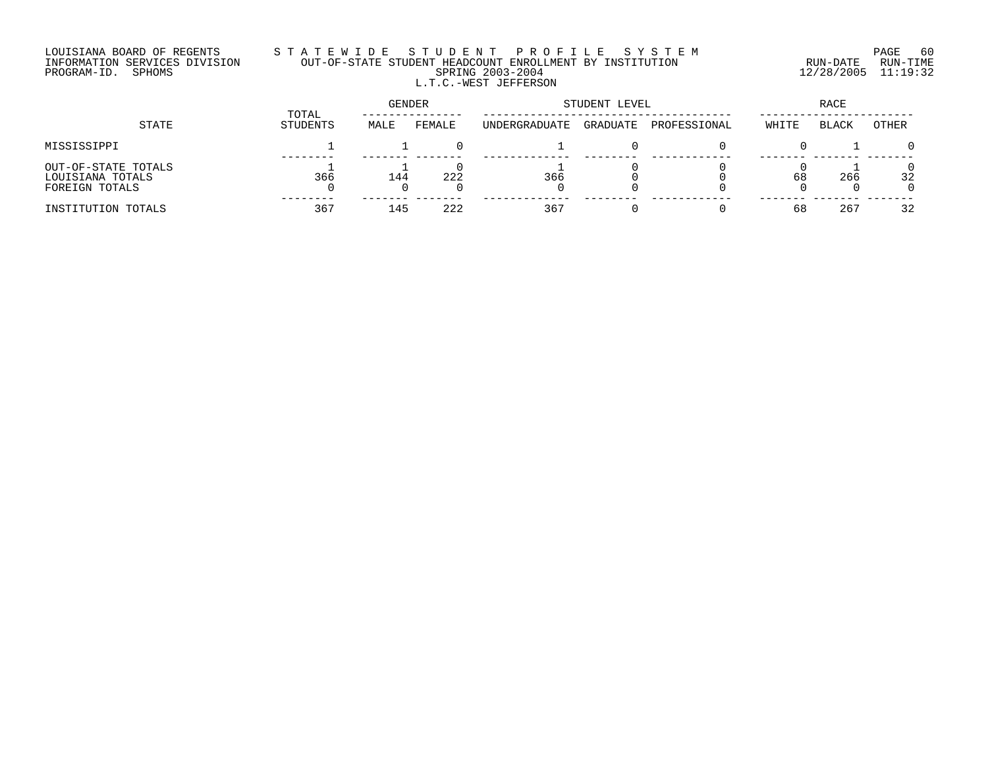## LOUISIANA BOARD OF REGENTS S T A T E W I D E S T U D E N T P R O F I L E S Y S T E M PAGE 60 INFORMATION SERVICES DIVISION OUT-OF-STATE STUDENT HEADCOUNT ENROLLMENT BY INSTITUTION RUN-DATE RUN-TIME PROGRAM-ID. SPHOMS SPRING 2003-2004 12/28/2005 11:19:32 L.T.C.-WEST JEFFERSON

| STATE                                                     |                   | GENDER |        | STUDENT LEVEL | RACE     |              |       |              |          |
|-----------------------------------------------------------|-------------------|--------|--------|---------------|----------|--------------|-------|--------------|----------|
|                                                           | TOTAL<br>STUDENTS | MALE   | FEMALE | UNDERGRADUATE | GRADUATE | PROFESSIONAL | WHITE | <b>BLACK</b> | OTHER    |
| MISSISSIPPI                                               |                   |        |        |               |          |              |       |              | $\Omega$ |
| OUT-OF-STATE TOTALS<br>LOUISIANA TOTALS<br>FOREIGN TOTALS | 366               | 144    | 222    | 366           |          |              | 68    | 266          | 32<br>0  |
| INSTITUTION TOTALS                                        | 367               | 145    | 222    | 367           |          |              | 68    | 267          | 32       |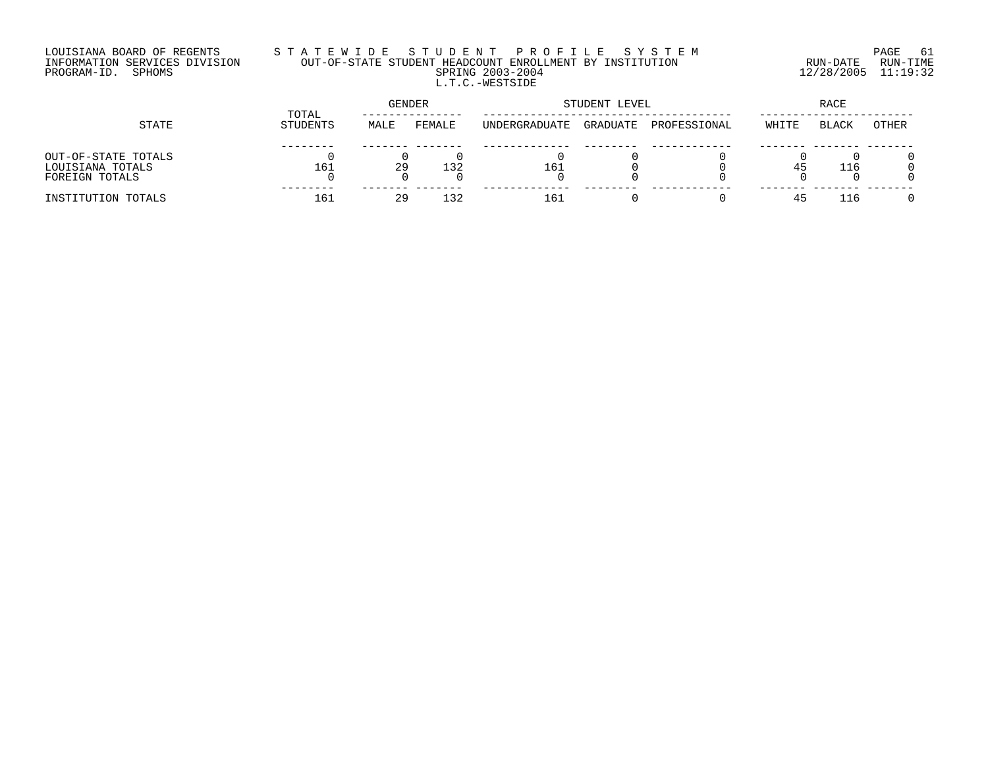## LOUISIANA BOARD OF REGENTS S T A T E W I D E S T U D E N T P R O F I L E S Y S T E M PAGE 61 INFORMATION SERVICES DIVISION OUT-OF-STATE STUDENT HEADCOUNT ENROLLMENT BY INSTITUTION RUN-DATE RUN-TIME PROGRAM-ID. SPHOMS SPRING 2003-2004 12/28/2005 11:19:32 L.T.C.-WESTSIDE

|                                                           |                   | <b>GENDER</b> |        | STUDENT LEVEL | RACE     |              |       |              |              |
|-----------------------------------------------------------|-------------------|---------------|--------|---------------|----------|--------------|-------|--------------|--------------|
| STATE                                                     | TOTAL<br>STUDENTS | MALE          | FEMALE | UNDERGRADUATE | GRADUATE | PROFESSIONAL | WHITE | <b>BLACK</b> | <b>OTHER</b> |
| OUT-OF-STATE TOTALS<br>LOUISIANA TOTALS<br>FOREIGN TOTALS | 161               | 29            | 132    | 161           |          |              | 45    | 116          |              |
| INSTITUTION TOTALS                                        | 161               | 29            | 132    | 161           |          |              |       | 116          |              |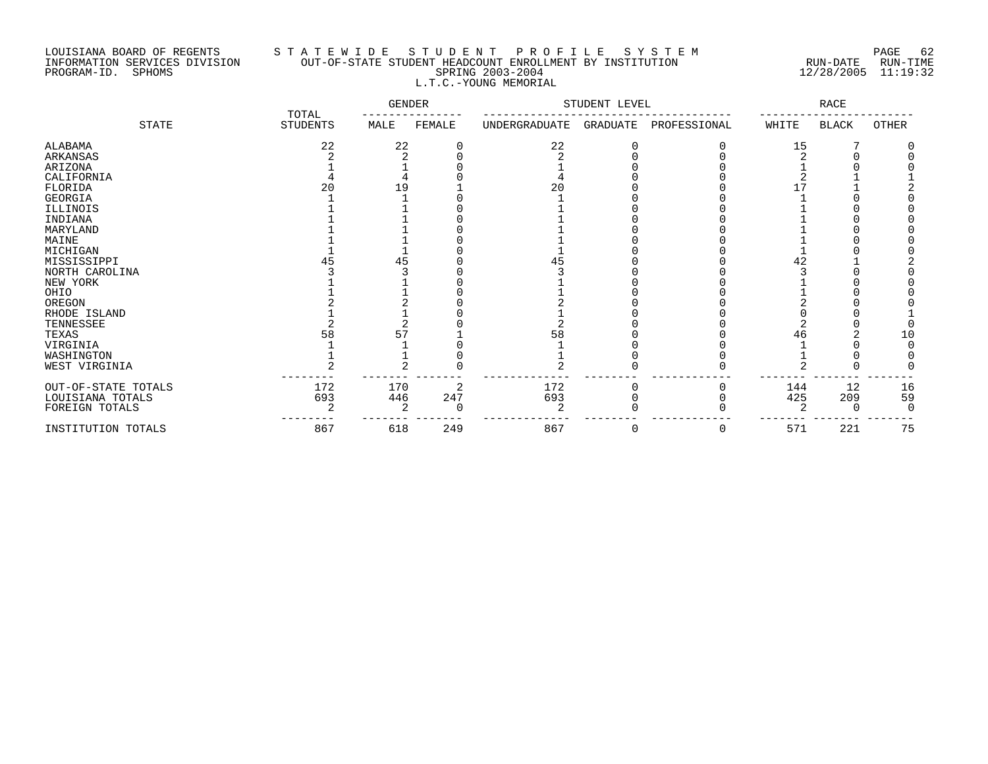## LOUISIANA BOARD OF REGENTS S T A T E W I D E S T U D E N T P R O F I L E S Y S T E M PAGE 62 INFORMATION SERVICES DIVISION OUT-OF-STATE STUDENT HEADCOUNT ENROLLMENT BY INSTITUTION RUN-DATE RUN-TIME PROGRAM-ID. SPHOMS SPRING 2003-2004 12/28/2005 11:19:32 L.T.C.-YOUNG MEMORIAL

|                     |                          | <b>GENDER</b> |        | STUDENT LEVEL |          |              | RACE           |              |       |
|---------------------|--------------------------|---------------|--------|---------------|----------|--------------|----------------|--------------|-------|
| <b>STATE</b>        | TOTAL<br><b>STUDENTS</b> | MALE          | FEMALE | UNDERGRADUATE | GRADUATE | PROFESSIONAL | WHITE          | <b>BLACK</b> | OTHER |
| ALABAMA             | 22                       | 22            |        | 22            |          |              | 15             |              |       |
| <b>ARKANSAS</b>     |                          |               |        |               |          |              |                |              |       |
| ARIZONA             |                          |               |        |               |          |              |                |              |       |
| CALIFORNIA          |                          |               |        |               |          |              |                |              |       |
| FLORIDA             |                          | -9            |        | 20            |          |              |                |              |       |
| GEORGIA             |                          |               |        |               |          |              |                |              |       |
| ILLINOIS            |                          |               |        |               |          |              |                |              |       |
| INDIANA             |                          |               |        |               |          |              |                |              |       |
| MARYLAND            |                          |               |        |               |          |              |                |              |       |
| MAINE               |                          |               |        |               |          |              |                |              |       |
| MICHIGAN            |                          |               |        |               |          |              |                |              |       |
| MISSISSIPPI         |                          |               |        | 45            |          |              | 42             |              |       |
| NORTH CAROLINA      |                          |               |        |               |          |              |                |              |       |
| NEW YORK            |                          |               |        |               |          |              |                |              |       |
| OHIO                |                          |               |        |               |          |              |                |              |       |
| OREGON              |                          |               |        |               |          |              |                |              |       |
| RHODE ISLAND        |                          |               |        |               |          |              |                |              |       |
| TENNESSEE           |                          |               |        |               |          |              |                |              |       |
| TEXAS               |                          |               |        | 58            |          |              | 46             |              | 10    |
| VIRGINIA            |                          |               |        |               |          |              |                |              |       |
| WASHINGTON          |                          |               |        |               |          |              |                |              |       |
| WEST VIRGINIA       |                          |               |        |               |          |              |                |              |       |
| OUT-OF-STATE TOTALS | 172                      | 170           | 2      | 172           | O        |              | 144            | 12           | 16    |
| LOUISIANA TOTALS    | 693                      | 446           | 247    | 693           |          |              | 425            | 209          | 59    |
| FOREIGN TOTALS      | ◠                        |               | O      | 2             |          |              | $\mathfrak{D}$ | $\Omega$     |       |
| INSTITUTION TOTALS  | 867                      | 618           | 249    | 867           | 0        | 0            | 571            | 221          | 75    |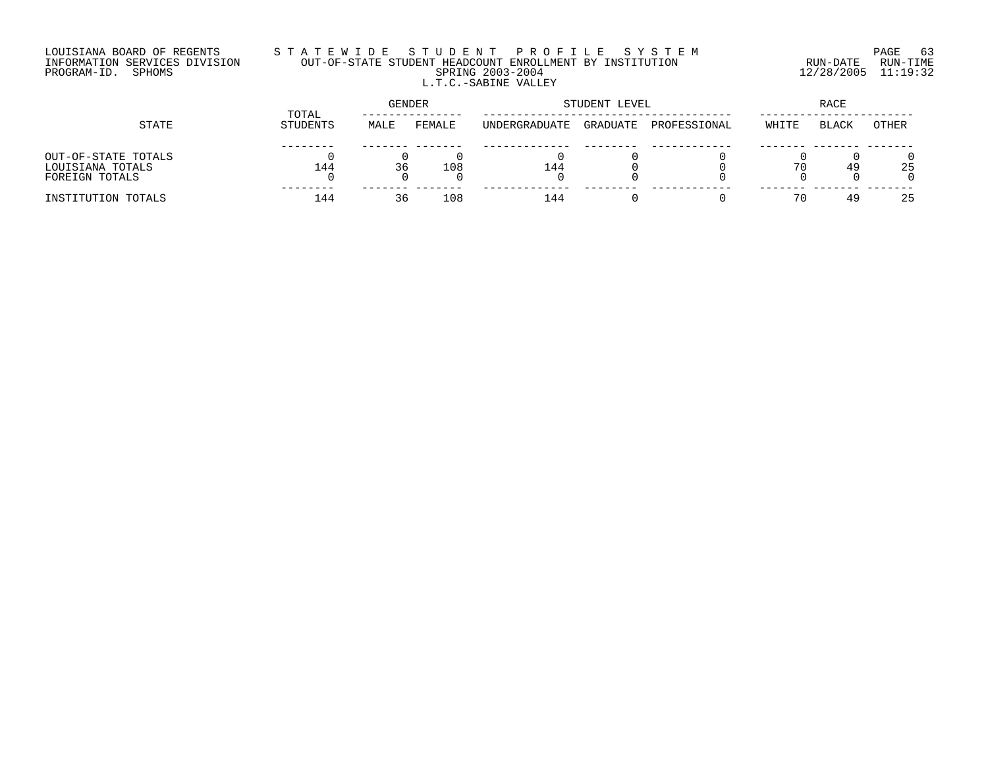## LOUISIANA BOARD OF REGENTS S T A T E W I D E S T U D E N T P R O F I L E S Y S T E M PAGE 63 INFORMATION SERVICES DIVISION OUT-OF-STATE STUDENT HEADCOUNT ENROLLMENT BY INSTITUTION RUN-DATE RUN-TIME PROGRAM-ID. SPHOMS SPRING 2003-2004 12/28/2005 11:19:32 L.T.C.-SABINE VALLEY

| STATE               |                   | <b>GENDER</b> |        | STUDENT LEVEL | RACE     |              |       |              |       |
|---------------------|-------------------|---------------|--------|---------------|----------|--------------|-------|--------------|-------|
|                     | TOTAL<br>STUDENTS | MALE          | FEMALE | UNDERGRADUATE | GRADUATE | PROFESSIONAL | WHITE | <b>BLACK</b> | OTHER |
|                     |                   |               |        |               |          |              |       |              |       |
| OUT-OF-STATE TOTALS |                   |               |        |               |          |              |       |              |       |
| LOUISIANA TOTALS    | 144               | 36            | 108    | 144           |          |              | 70    | 49           | 25    |
| FOREIGN TOTALS      |                   |               |        |               |          |              |       |              |       |
| INSTITUTION TOTALS  | 144               | 36            | 108    | 144           |          |              | 70    | 49           | 25    |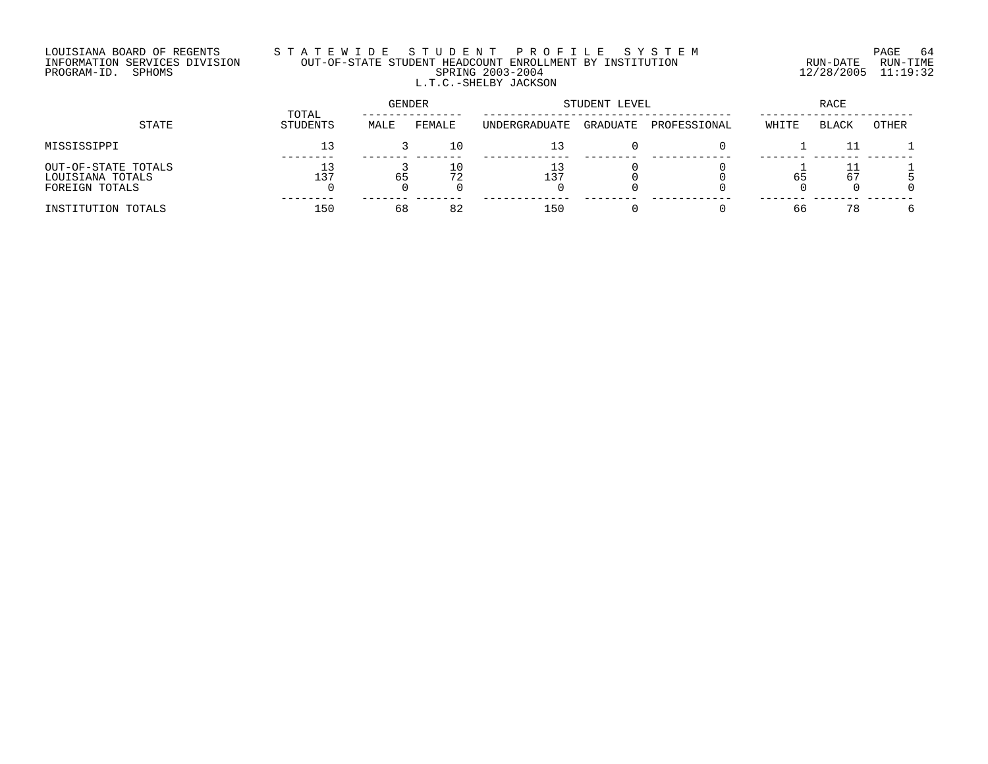## LOUISIANA BOARD OF REGENTS S T A T E W I D E S T U D E N T P R O F I L E S Y S T E M PAGE 64 INFORMATION SERVICES DIVISION OUT-OF-STATE STUDENT HEADCOUNT ENROLLMENT BY INSTITUTION RUN-DATE RUN-TIME PROGRAM-ID. SPHOMS SPRING 2003-2004 12/28/2005 11:19:32 L.T.C.-SHELBY JACKSON

|                                                           |                   | GENDER |        | STUDENT LEVEL | RACE     |              |       |       |       |
|-----------------------------------------------------------|-------------------|--------|--------|---------------|----------|--------------|-------|-------|-------|
| STATE                                                     | TOTAL<br>STUDENTS | MALE   | FEMALE | UNDERGRADUATE | GRADUATE | PROFESSIONAL | WHITE | BLACK | OTHER |
| MISSISSIPPI                                               | 13                |        | 10     | 13            |          |              |       |       |       |
| OUT-OF-STATE TOTALS<br>LOUISIANA TOTALS<br>FOREIGN TOTALS | 13<br>⊥37         | 65     | 72     | 13<br>137     |          |              | 65    | 67    |       |
| INSTITUTION TOTALS                                        | 150               | 68     | 82     | 150           |          |              | 66    | 78    |       |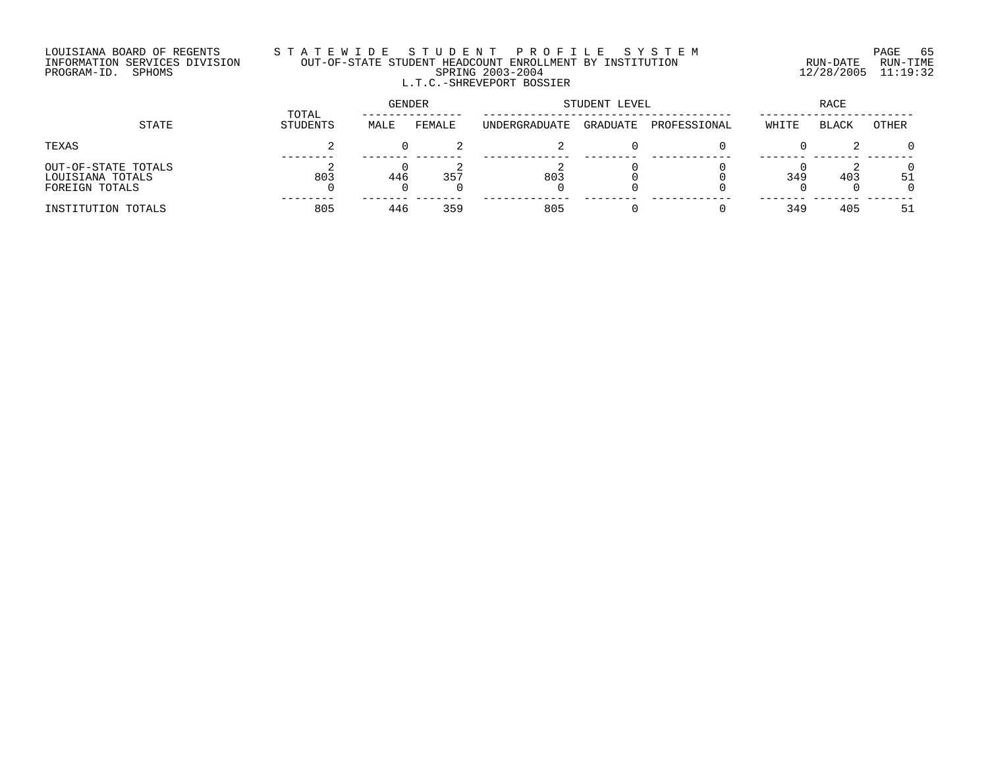#### LOUISIANA BOARD OF REGENTS S T A T E W I D E S T U D E N T P R O F I L E S Y S T E M PAGE 65 INFORMATION SERVICES DIVISION OUT-OF-STATE STUDENT HEADCOUNT ENROLLMENT BY INSTITUTION RUN-DATE RUN-TIME PROGRAM-ID. SPHOMS SPRING 2003-2004 12/28/2005 11:19:32 L.T.C.-SHREVEPORT BOSSIER

| STATE                                                     |                   | GENDER |        | STUDENT LEVEL | RACE     |              |       |              |          |
|-----------------------------------------------------------|-------------------|--------|--------|---------------|----------|--------------|-------|--------------|----------|
|                                                           | TOTAL<br>STUDENTS | MALE   | FEMALE | UNDERGRADUATE | GRADUATE | PROFESSIONAL | WHITE | <b>BLACK</b> | OTHER    |
| TEXAS                                                     |                   |        |        |               |          |              |       |              | $\Omega$ |
| OUT-OF-STATE TOTALS<br>LOUISIANA TOTALS<br>FOREIGN TOTALS | 803               | 446    | 357    | 803           |          |              | 349   | 403          | 51       |
| INSTITUTION TOTALS                                        | 805               | 446    | 359    | 805           |          |              | 349   | 405          | 51       |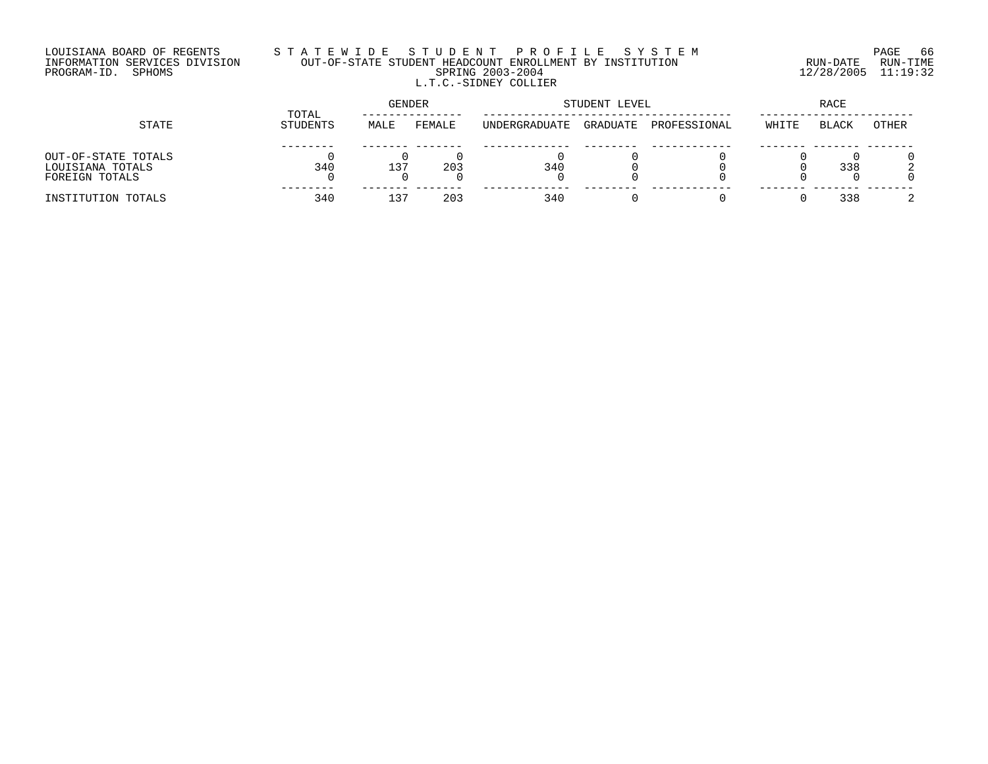## LOUISIANA BOARD OF REGENTS S T A T E W I D E S T U D E N T P R O F I L E S Y S T E M PAGE 66 INFORMATION SERVICES DIVISION OUT-OF-STATE STUDENT HEADCOUNT ENROLLMENT BY INSTITUTION RUN-DATE RUN-TIME PROGRAM-ID. SPHOMS SPRING 2003-2004 12/28/2005 11:19:32 L.T.C.-SIDNEY COLLIER

| STATE                                                     |                   | <b>GENDER</b>   |        | STUDENT LEVEL | RACE     |              |       |              |       |
|-----------------------------------------------------------|-------------------|-----------------|--------|---------------|----------|--------------|-------|--------------|-------|
|                                                           | TOTAL<br>STUDENTS | MALE            | FEMALE | UNDERGRADUATE | GRADUATE | PROFESSIONAL | WHITE | <b>BLACK</b> | OTHER |
| OUT-OF-STATE TOTALS<br>LOUISIANA TOTALS<br>FOREIGN TOTALS | 340               | 137             | 203    | 340           |          |              |       | 338          |       |
| INSTITUTION TOTALS                                        | 340               | 13 <sup>7</sup> | 203    | 340           |          |              |       | 338          |       |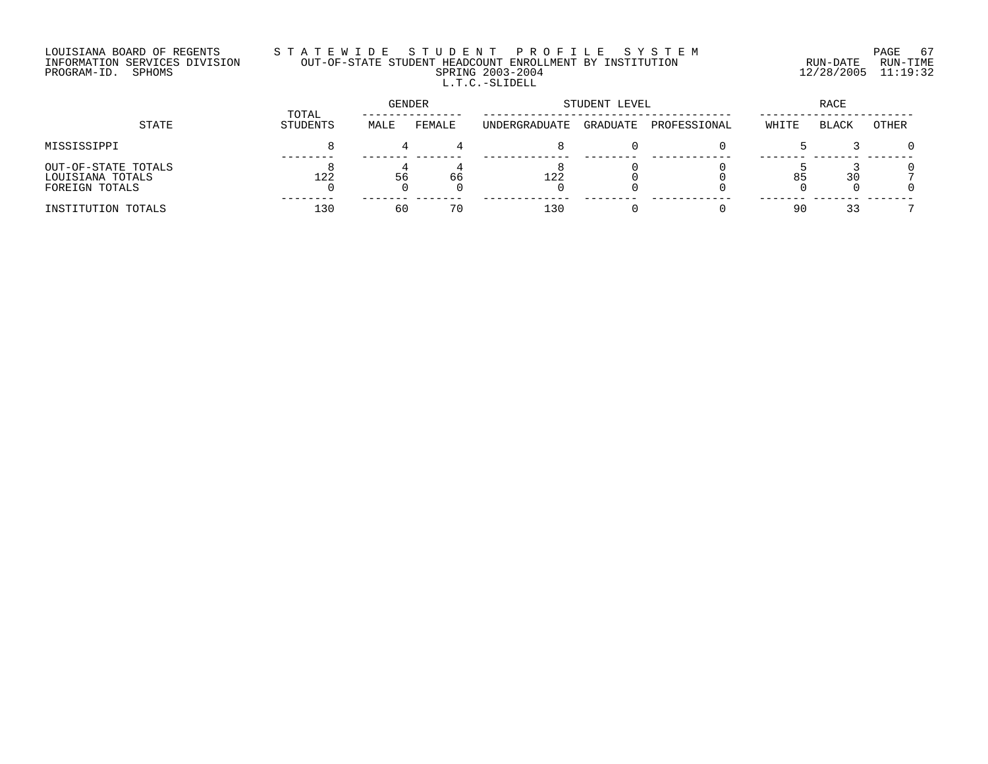## LOUISIANA BOARD OF REGENTS S T A T E W I D E S T U D E N T P R O F I L E S Y S T E M PAGE 67 INFORMATION SERVICES DIVISION OUT-OF-STATE STUDENT HEADCOUNT ENROLLMENT BY INSTITUTION RUN-DATE RUN-TIME PROGRAM-ID. SPHOMS SPRING 2003-2004 12/28/2005 11:19:32 L.T.C.-SLIDELL

| STATE                                                     |                   | GENDER |        | STUDENT LEVEL | RACE     |              |       |              |       |
|-----------------------------------------------------------|-------------------|--------|--------|---------------|----------|--------------|-------|--------------|-------|
|                                                           | TOTAL<br>STUDENTS | MALE   | FEMALE | UNDERGRADUATE | GRADUATE | PROFESSIONAL | WHITE | <b>BLACK</b> | OTHER |
| MISSISSIPPI                                               |                   |        |        |               |          |              |       |              |       |
| OUT-OF-STATE TOTALS<br>LOUISIANA TOTALS<br>FOREIGN TOTALS | 122               | 56     | 66     | 122           |          |              | 85    | 30           |       |
| INSTITUTION TOTALS                                        | 130               | 60     | 70     | 130           |          |              | 90    | 33           |       |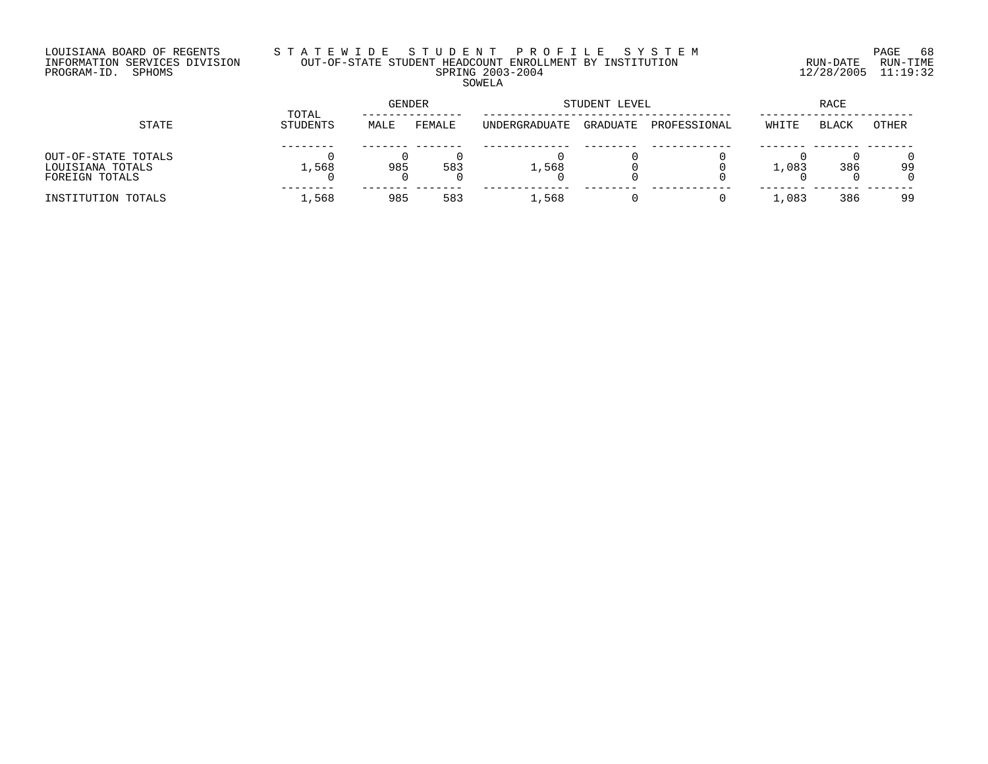#### LOUISIANA BOARD OF REGENTS S T A T E W I D E S T U D E N T P R O F I L E S Y S T E M PAGE 68 INFORMATION SERVICES DIVISION OUT-OF-STATE STUDENT HEADCOUNT ENROLLMENT BY INSTITUTION RUN-DATE RUN-TIME PROGRAM-ID. SPHOMS SPRING 2003-2004 12/28/2005 11:19:32 SOWELA

| STATE                                                     |                   | <b>GENDER</b> |        | STUDENT LEVEL | RACE     |              |       |              |              |
|-----------------------------------------------------------|-------------------|---------------|--------|---------------|----------|--------------|-------|--------------|--------------|
|                                                           | TOTAL<br>STUDENTS | MALE          | FEMALE | UNDERGRADUATE | GRADUATE | PROFESSIONAL | WHITE | <b>BLACK</b> | <b>OTHER</b> |
| OUT-OF-STATE TOTALS<br>LOUISIANA TOTALS<br>FOREIGN TOTALS | 1,568             | 985           | 583    | 1,568         |          |              | 1,083 | 386          | 99           |
| INSTITUTION TOTALS                                        | 1,568             | 985           | 583    | 1,568         |          |              | 1,083 | 386          | 99           |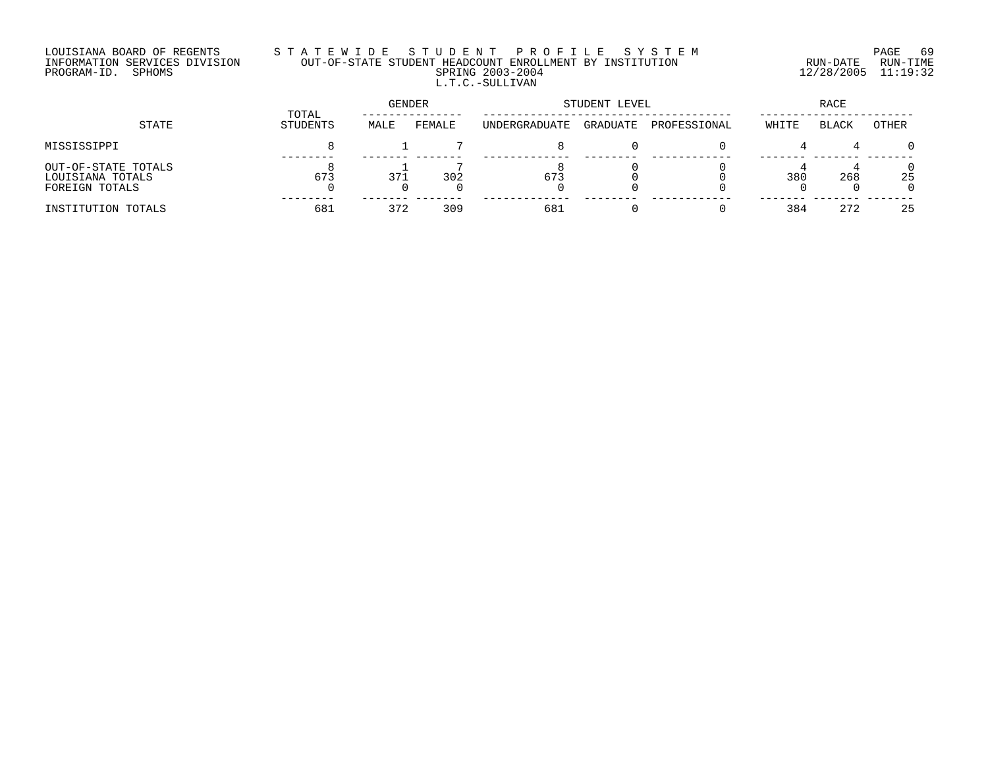## LOUISIANA BOARD OF REGENTS S T A T E W I D E S T U D E N T P R O F I L E S Y S T E M PAGE 69 INFORMATION SERVICES DIVISION OUT-OF-STATE STUDENT HEADCOUNT ENROLLMENT BY INSTITUTION RUN-DATE RUN-TIME PROGRAM-ID. SPHOMS SPRING 2003-2004 12/28/2005 11:19:32 L.T.C.-SULLIVAN

| STATE                                                     |                   | GENDER |        | STUDENT LEVEL | RACE     |              |       |              |              |
|-----------------------------------------------------------|-------------------|--------|--------|---------------|----------|--------------|-------|--------------|--------------|
|                                                           | TOTAL<br>STUDENTS | MALE   | FEMALE | UNDERGRADUATE | GRADUATE | PROFESSIONAL | WHITE | <b>BLACK</b> | OTHER        |
| MISSISSIPPI                                               |                   |        |        |               |          |              |       |              | $\Omega$     |
| OUT-OF-STATE TOTALS<br>LOUISIANA TOTALS<br>FOREIGN TOTALS | 673               | 371    | 302    | 673           |          |              | 380   | 268          | 0<br>25<br>0 |
| INSTITUTION TOTALS                                        | 681               | 372    | 309    | 681           |          |              | 384   | 272          | 25           |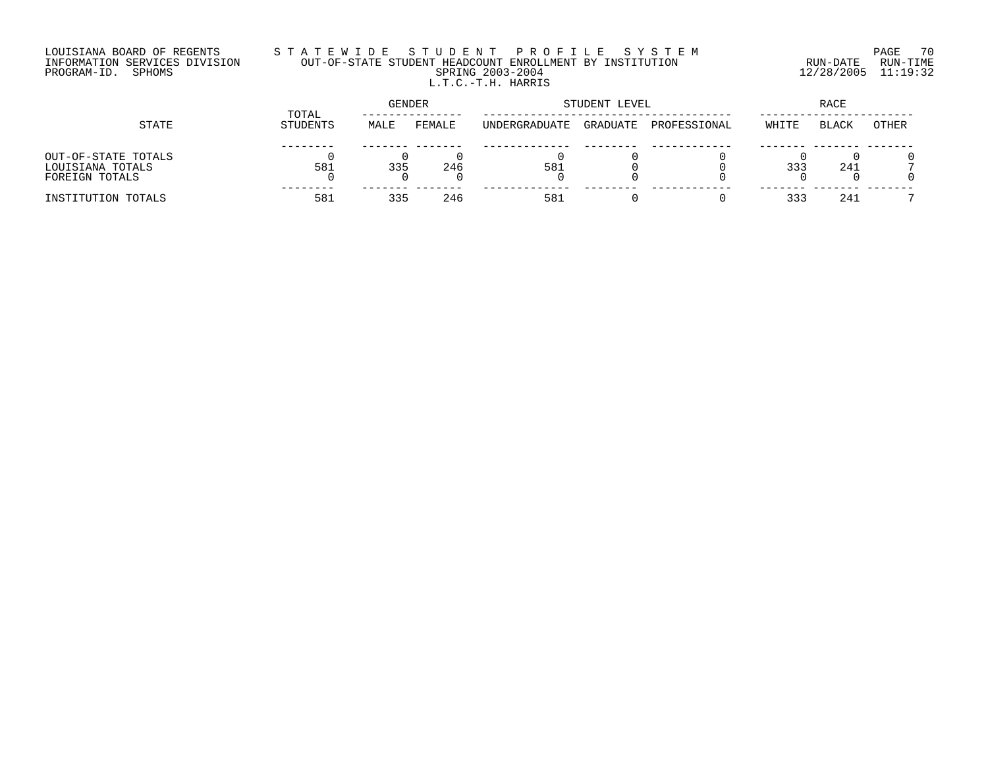## LOUISIANA BOARD OF REGENTS S T A T E W I D E S T U D E N T P R O F I L E S Y S T E M PAGE 70 INFORMATION SERVICES DIVISION OUT-OF-STATE STUDENT HEADCOUNT ENROLLMENT BY INSTITUTION RUN-DATE RUN-TIME PROGRAM-ID. SPHOMS SPRING 2003-2004 12/28/2005 11:19:32 L.T.C.-T.H. HARRIS

|                     |                   | <b>GENDER</b> |        | STUDENT LEVEL | RACE     |              |       |              |       |
|---------------------|-------------------|---------------|--------|---------------|----------|--------------|-------|--------------|-------|
| STATE               | TOTAL<br>STUDENTS | MALE          | FEMALE | UNDERGRADUATE | GRADUATE | PROFESSIONAL | WHITE | <b>BLACK</b> | OTHER |
|                     |                   |               |        |               |          |              |       |              |       |
| OUT-OF-STATE TOTALS |                   |               |        |               |          |              |       |              |       |
| LOUISIANA TOTALS    | 581               | 335           | 246    | 581           |          |              | 333   | 241          |       |
| FOREIGN TOTALS      |                   |               |        |               |          |              |       |              |       |
| INSTITUTION TOTALS  | 581               | 335           | 246    | 581           |          |              | 333   | 241          |       |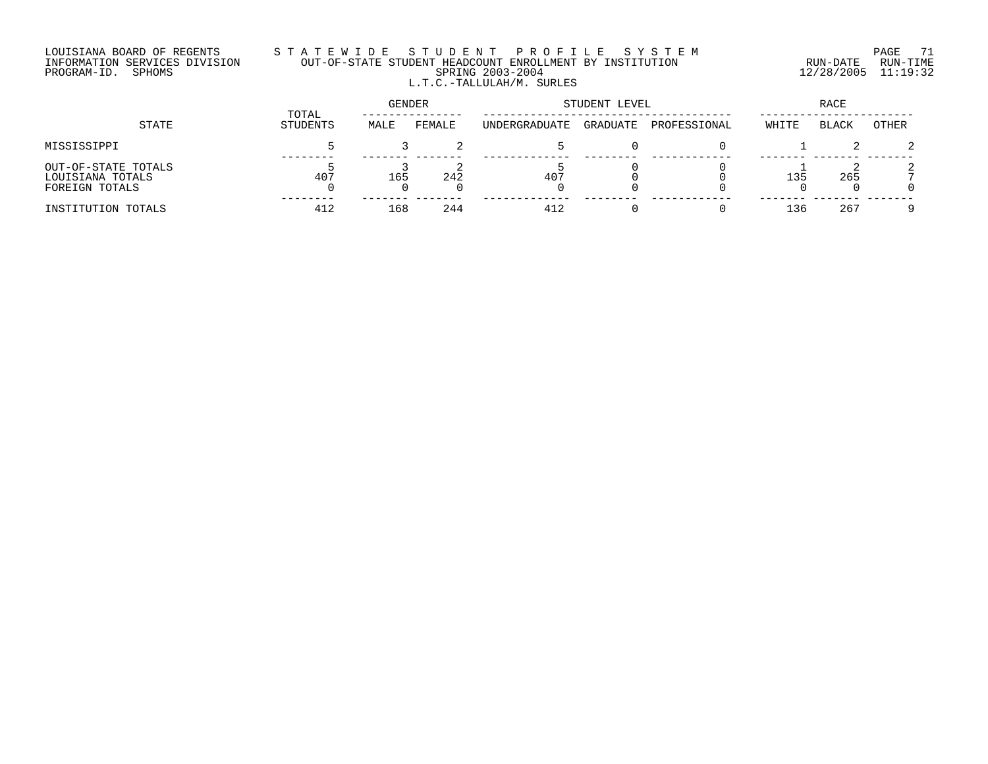#### LOUISIANA BOARD OF REGENTS S T A T E W I D E S T U D E N T P R O F I L E S Y S T E M PAGE 71 INFORMATION SERVICES DIVISION OUT-OF-STATE STUDENT HEADCOUNT ENROLLMENT BY INSTITUTION RUN-DATE RUN-TIME PROGRAM-ID. SPHOMS SPRING 2003-2004 12/28/2005 11:19:32 L.T.C.-TALLULAH/M. SURLES

| STATE                                                     |                   | GENDER |        | STUDENT LEVEL | RACE     |              |       |       |       |
|-----------------------------------------------------------|-------------------|--------|--------|---------------|----------|--------------|-------|-------|-------|
|                                                           | TOTAL<br>STUDENTS | MALE   | FEMALE | UNDERGRADUATE | GRADUATE | PROFESSIONAL | WHITE | BLACK | OTHER |
| MISSISSIPPI                                               |                   |        |        |               |          |              |       |       | 2     |
| OUT-OF-STATE TOTALS<br>LOUISIANA TOTALS<br>FOREIGN TOTALS | 407               | 165    | 242    | 407           |          |              | 135   | 265   |       |
| INSTITUTION TOTALS                                        | 412               | 168    | 244    | 412           |          |              | 136   | 267   |       |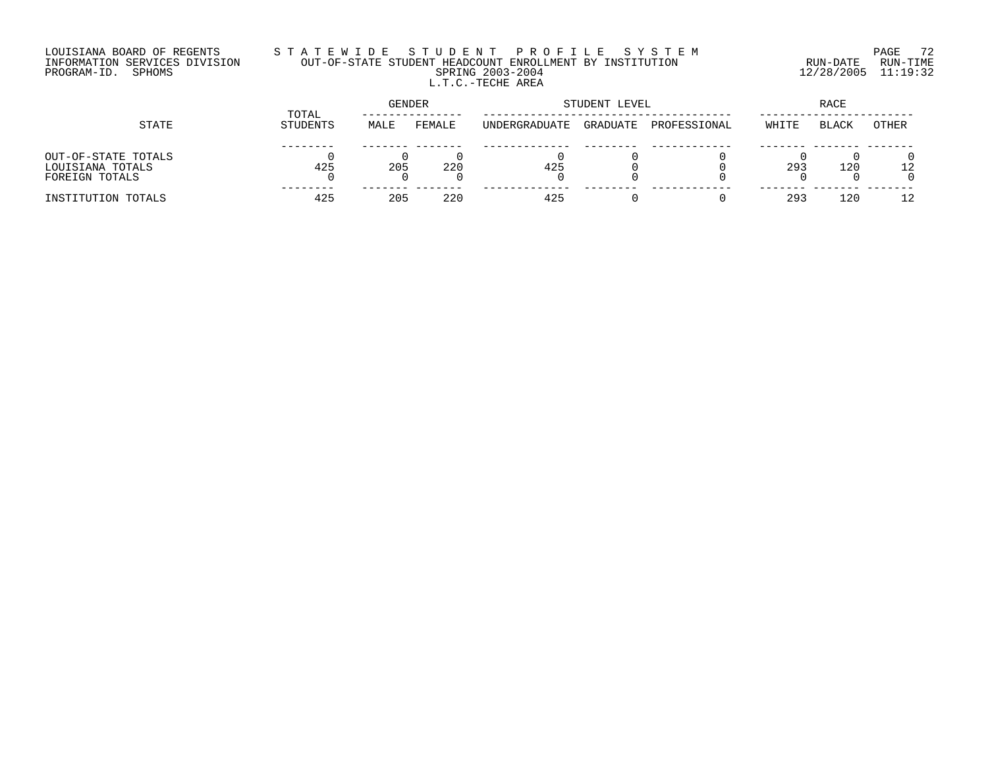## LOUISIANA BOARD OF REGENTS S T A T E W I D E S T U D E N T P R O F I L E S Y S T E M PAGE 72 INFORMATION SERVICES DIVISION OUT-OF-STATE STUDENT HEADCOUNT ENROLLMENT BY INSTITUTION RUN-DATE RUN-TIME PROGRAM-ID. SPHOMS SPRING 2003-2004 12/28/2005 11:19:32 L.T.C.-TECHE AREA

|                                                           |                   | GENDER |        | STUDENT LEVEL | RACE     |              |       |              |       |
|-----------------------------------------------------------|-------------------|--------|--------|---------------|----------|--------------|-------|--------------|-------|
| STATE                                                     | TOTAL<br>STUDENTS | MALE   | FEMALE | UNDERGRADUATE | GRADUATE | PROFESSIONAL | WHITE | <b>BLACK</b> | OTHER |
| OUT-OF-STATE TOTALS<br>LOUISIANA TOTALS<br>FOREIGN TOTALS | 425               | 205    | 220    | 425           |          |              | 293   | 120          |       |
| INSTITUTION TOTALS                                        | 425               | 205    | 220    | 425           |          |              | 293   | 120          |       |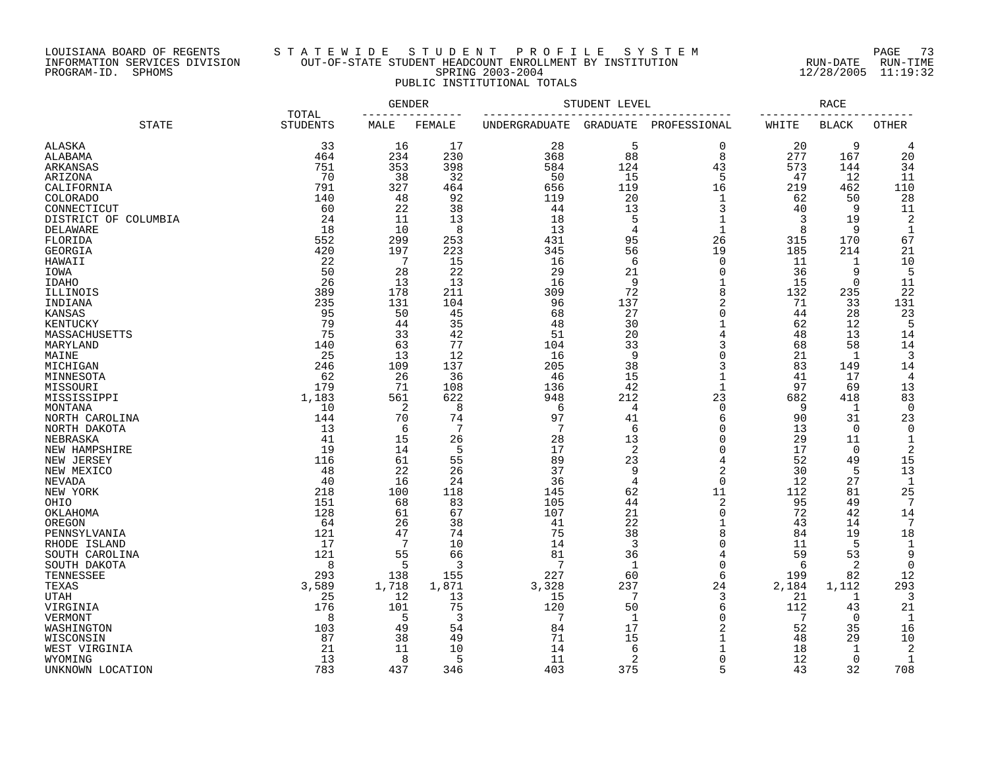## LOUISIANA BOARD OF REGENTS S T A T E W I D E S T U D E N T P R O F I L E S Y S T E M PAGE 73 INFORMATION SERVICES DIVISION OUT-OF-STATE STUDENT HEADCOUNT ENROLLMENT BY INSTITUTION RUN-DATE RUN-TIME PROGRAM-ID. SPHOMS SPRING 2003-2004 12/28/2005 11:19:32 PUBLIC INSTITUTIONAL TOTALS

| <b>STATE</b>                 | TOTAL<br><b>STUDENTS</b> | GENDER |        | STUDENT LEVEL   |                |                             | RACE     |              |                 |
|------------------------------|--------------------------|--------|--------|-----------------|----------------|-----------------------------|----------|--------------|-----------------|
|                              |                          | MALE   | FEMALE | UNDERGRADUATE   | GRADUATE       | PROFESSIONAL                | WHITE    | <b>BLACK</b> | OTHER           |
| ALASKA                       | 33                       | 16     | 17     | 28              | 5              | $\mathbf 0$                 | 20       | 9            | 4               |
| ALABAMA                      | 464                      | 234    | 230    | 368             | 88             | 8                           | 277      | 167          | 20              |
| ARKANSAS                     | 751                      | 353    | 398    | 584             | 124            | 43                          | 573      | 144          | 34              |
| ARIZONA                      | 70                       | 38     | 32     | 50              | 15             | 5                           | 47       | 12           | 11              |
| CALIFORNIA                   | 791                      | 327    | 464    | 656             | 119            | 16                          | 219      | 462          | 110             |
| <b>COLORADO</b>              | 140                      | 48     | 92     | 119             | 20             | $\mathbf 1$                 | 62       | 50           | 28              |
| CONNECTICUT                  | 60                       | 22     | 38     | 44              | 13             | 3                           | 40       | 9            | 11              |
| DISTRICT OF COLUMBIA         | 24                       | 11     | 13     | 18              | 5              | $\mathbf 1$                 | 3        | 19           | 2               |
| DELAWARE                     | 18                       | 10     | 8      | 13              | 4              | $\mathbf{1}$                | 8        | 9            | $\mathbf{1}$    |
| FLORIDA                      | 552                      | 299    | 253    | 431             | 95             | 26                          | 315      | 170          | 67              |
| GEORGIA                      | 420                      | 197    | 223    | 345             | 56             | 19                          | 185      | 214          | 21              |
| HAWAII                       | 22                       | 7      | 15     | 16              | 6              | $\Omega$                    | 11       | 1            | 10              |
| IOWA                         | 50                       | 28     | 22     | 29              | 21             | $\Omega$                    | 36       | 9            | 5               |
| <b>IDAHO</b>                 | 26                       | 13     | 13     | 16              | 9              | 1                           | 15       | 0            | 11              |
| ILLINOIS                     | 389                      | 178    | 211    | 309             | 72             | 8                           | 132      | 235          | 22              |
| INDIANA                      | 235                      | 131    | 104    | 96              | 137            | $\overline{2}$              | 71       | 33           | 131             |
| <b>KANSAS</b>                | 95                       | 50     | 45     | 68              | 27             | $\mathbf 0$                 | 44       | 28           | 23              |
| KENTUCKY                     | 79                       | 44     | 35     | 48              | 30             | $\mathbf{1}$                | 62       | 12           | 5               |
| MASSACHUSETTS                | 75                       | 33     | 42     | 51              | 20             |                             | 48       | 13           | 14              |
| MARYLAND                     | 140                      | 63     | 77     | 104             | 33             | 3                           | 68       | 58           | 14              |
| MAINE                        | 25                       | 13     | 12     | 16              | 9              | $\Omega$                    | 21       | -1           | 3               |
| MICHIGAN                     | 246                      | 109    | 137    | 205             | 38             | 3                           | 83       | 149          | 14              |
| MINNESOTA                    | 62                       | 26     | 36     | 46              | 15             | $\mathbf 1$                 | 41       | 17           | $\overline{4}$  |
| MISSOURI                     | 179                      | 71     | 108    | 136             | 42             | $\mathbf{1}$                | 97       | 69           | 13              |
| MISSISSIPPI                  | 1,183                    | 561    | 622    | 948             | 212            | 23                          | 682      | 418          | 83              |
| MONTANA                      | 10                       | 2      | 8      | 6               | $\overline{4}$ | $\mathbf 0$                 | 9        | 1            | $\Omega$        |
| NORTH CAROLINA               | 144                      | 70     | 74     | 97              | 41             | 6                           | 90       | 31           | 23              |
| NORTH DAKOTA                 | 13                       | 6      | 7      | $7\phantom{.0}$ | 6              | $\Omega$                    | 13       | $\mathbf 0$  | $\mathbf 0$     |
| NEBRASKA                     | 41                       | 15     | 26     | 28              | 13             | $\Omega$                    | 29       | 11           | $\mathbf{1}$    |
| NEW HAMPSHIRE                | 19                       | 14     | 5      | 17              | 2              | $\Omega$                    | 17       | 0            | 2               |
|                              | 116                      | 61     | 55     | 89              | 23             | 4                           | 52       | 49           | 15              |
| NEW JERSEY<br>NEW MEXICO     | 48                       | 22     | 26     | 37              | 9              | $\overline{2}$              | 30       | 5            | 13              |
|                              | 40                       | 16     | 24     | 36              | $\overline{4}$ | $\overline{0}$              | 12       | 27           | $\mathbf{1}$    |
| NEVADA                       | 218                      | 100    | 118    | 145             | 62             | 11                          | 112      | 81           | 25              |
| NEW YORK                     | 151                      | 68     | 83     | 105             | 44             | $\overline{2}$              | 95       | 49           | 7               |
| OHIO<br>OKLAHOMA             | 128                      | 61     | 67     | 107             | 21             | $\overline{0}$              | 72       | 42           | 14              |
| OREGON                       | 64                       | 26     | 38     | 41              | 22             | $\mathbf 1$                 | 43       | 14           | $7\phantom{.0}$ |
|                              | 121                      | 47     | 74     | 75              | 38             | 8                           | 84       | 19           | 18              |
| PENNSYLVANIA<br>RHODE ISLAND | 17                       | 7      | 10     | 14              | 3              | $\overline{0}$              | 11       | 5            | $\mathbf{1}$    |
|                              | 121                      | 55     | 66     | 81              | 36             | 4                           | 59       | 53           | 9               |
| SOUTH CAROLINA               | 8                        | 5      | 3      | 7               | 1              | $\Omega$                    | 6        | -2           | $\Omega$        |
| SOUTH DAKOTA                 | 293                      |        | 155    | 227             | 60             | 6                           | 199      |              | 12              |
| TENNESSEE                    |                          | 138    |        |                 | 237            | 24                          |          | 82           |                 |
| TEXAS                        | 3,589                    | 1,718  | 1,871  | 3,328           | 7              |                             | 2,184    | 1,112        | 293             |
| UTAH                         | 25                       | 12     | 13     | 15              |                | 3<br>6                      | 21       | 1            | 3               |
| VIRGINIA                     | 176                      | 101    | 75     | 120<br>7        | 50             | $\Omega$                    | 112<br>7 | 43           | 21              |
| VERMONT                      | 8                        | 5      | 3      |                 | $\mathbf{1}$   | $\overline{2}$              |          | 0            | $\mathbf{1}$    |
| WASHINGTON                   | 103                      | 49     | 54     | 84              | 17             | $\mathbf{1}$                | 52       | 35           | 16              |
| WISCONSIN                    | 87                       | 38     | 49     | 71              | 15             |                             | 48       | 29           | 10              |
| WEST VIRGINIA                | 21                       | 11     | 10     | 14              | 6              |                             | 18       | 1            | 2               |
| WYOMING                      | 13                       | 8      | 5      | 11              | 2              | $\Omega$<br>$5\overline{2}$ | 12       | 0            | $\mathbf{1}$    |
| UNKNOWN LOCATION             | 783                      | 437    | 346    | 403             | 375            |                             | 43       | 32           | 708             |